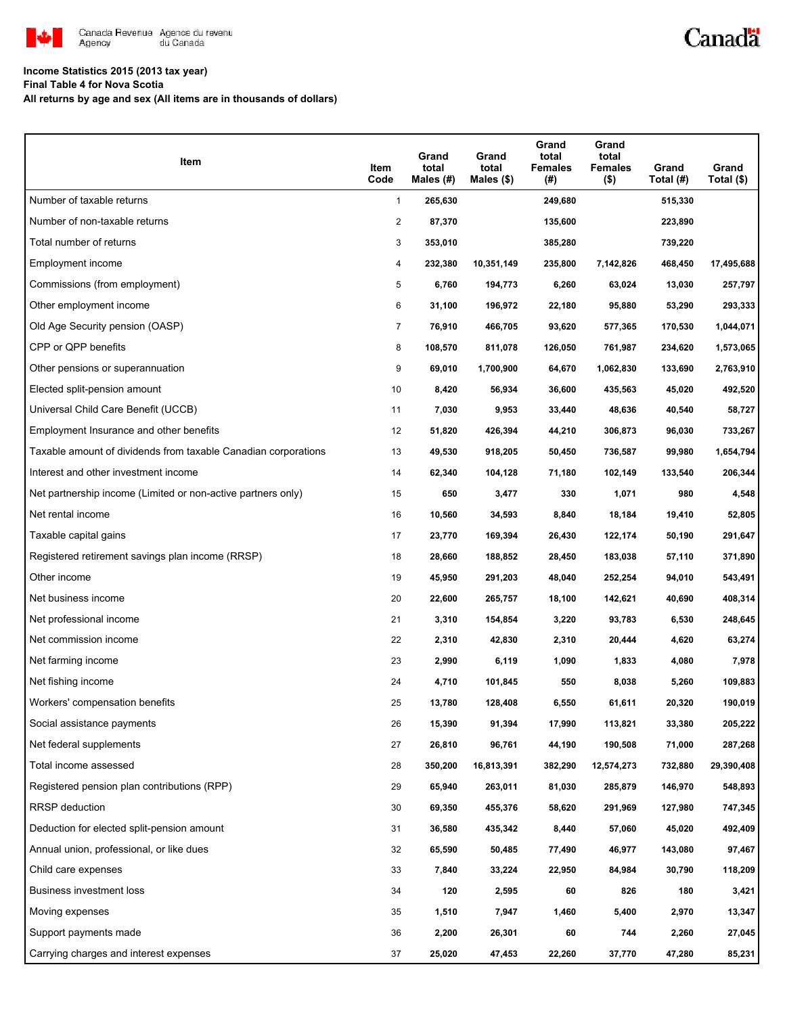

## Canadä

## **Income Statistics 2015 (2013 tax year)**

**Final Table 4 for Nova Scotia**

**All returns by age and sex (All items are in thousands of dollars)**

| Item                                                           | Item<br>Code   | Grand<br>total<br>Males (#) | Grand<br>total<br>Males $($)$ | Grand<br>total<br><b>Females</b><br>(#) | Grand<br>total<br><b>Females</b><br>$($ \$) | Grand<br>Total (#) | Grand<br>Total (\$) |
|----------------------------------------------------------------|----------------|-----------------------------|-------------------------------|-----------------------------------------|---------------------------------------------|--------------------|---------------------|
| Number of taxable returns                                      | $\mathbf{1}$   | 265,630                     |                               | 249,680                                 |                                             | 515,330            |                     |
| Number of non-taxable returns                                  | 2              | 87,370                      |                               | 135,600                                 |                                             | 223,890            |                     |
| Total number of returns                                        | 3              | 353,010                     |                               | 385,280                                 |                                             | 739,220            |                     |
| Employment income                                              | 4              | 232,380                     | 10,351,149                    | 235,800                                 | 7,142,826                                   | 468,450            | 17,495,688          |
| Commissions (from employment)                                  | 5              | 6,760                       | 194,773                       | 6,260                                   | 63,024                                      | 13,030             | 257,797             |
| Other employment income                                        | 6              | 31,100                      | 196,972                       | 22,180                                  | 95,880                                      | 53,290             | 293,333             |
| Old Age Security pension (OASP)                                | $\overline{7}$ | 76,910                      | 466,705                       | 93,620                                  | 577,365                                     | 170,530            | 1,044,071           |
| CPP or QPP benefits                                            | 8              | 108,570                     | 811,078                       | 126,050                                 | 761,987                                     | 234,620            | 1,573,065           |
| Other pensions or superannuation                               | 9              | 69,010                      | 1,700,900                     | 64,670                                  | 1,062,830                                   | 133,690            | 2,763,910           |
| Elected split-pension amount                                   | 10             | 8,420                       | 56,934                        | 36,600                                  | 435,563                                     | 45,020             | 492,520             |
| Universal Child Care Benefit (UCCB)                            | 11             | 7,030                       | 9,953                         | 33,440                                  | 48,636                                      | 40,540             | 58,727              |
| Employment Insurance and other benefits                        | 12             | 51,820                      | 426,394                       | 44,210                                  | 306,873                                     | 96,030             | 733,267             |
| Taxable amount of dividends from taxable Canadian corporations | 13             | 49,530                      | 918,205                       | 50,450                                  | 736,587                                     | 99,980             | 1,654,794           |
| Interest and other investment income                           | 14             | 62,340                      | 104,128                       | 71,180                                  | 102,149                                     | 133,540            | 206,344             |
| Net partnership income (Limited or non-active partners only)   | 15             | 650                         | 3,477                         | 330                                     | 1,071                                       | 980                | 4,548               |
| Net rental income                                              | 16             | 10,560                      | 34,593                        | 8,840                                   | 18,184                                      | 19,410             | 52,805              |
| Taxable capital gains                                          | 17             | 23,770                      | 169,394                       | 26,430                                  | 122,174                                     | 50,190             | 291,647             |
| Registered retirement savings plan income (RRSP)               | 18             | 28,660                      | 188,852                       | 28,450                                  | 183,038                                     | 57,110             | 371,890             |
| Other income                                                   | 19             | 45,950                      | 291,203                       | 48,040                                  | 252,254                                     | 94,010             | 543,491             |
| Net business income                                            | 20             | 22,600                      | 265,757                       | 18,100                                  | 142,621                                     | 40,690             | 408,314             |
| Net professional income                                        | 21             | 3,310                       | 154,854                       | 3,220                                   | 93,783                                      | 6,530              | 248,645             |
| Net commission income                                          | 22             | 2,310                       | 42,830                        | 2,310                                   | 20,444                                      | 4,620              | 63,274              |
| Net farming income                                             | 23             | 2,990                       | 6,119                         | 1,090                                   | 1,833                                       | 4,080              | 7,978               |
| Net fishing income                                             | 24             | 4,710                       | 101,845                       | 550                                     | 8,038                                       | 5,260              | 109,883             |
| Workers' compensation benefits                                 | 25             | 13,780                      | 128,408                       | 6,550                                   | 61,611                                      | 20,320             | 190,019             |
| Social assistance payments                                     | 26             | 15,390                      | 91,394                        | 17,990                                  | 113,821                                     | 33,380             | 205,222             |
| Net federal supplements                                        | 27             | 26,810                      | 96,761                        | 44,190                                  | 190,508                                     | 71,000             | 287,268             |
| Total income assessed                                          | 28             | 350,200                     | 16,813,391                    | 382,290                                 | 12,574,273                                  | 732,880            | 29,390,408          |
| Registered pension plan contributions (RPP)                    | 29             | 65,940                      | 263,011                       | 81,030                                  | 285,879                                     | 146,970            | 548,893             |
| RRSP deduction                                                 | 30             | 69,350                      | 455,376                       | 58,620                                  | 291,969                                     | 127,980            | 747,345             |
| Deduction for elected split-pension amount                     | 31             | 36,580                      | 435,342                       | 8,440                                   | 57,060                                      | 45,020             | 492,409             |
| Annual union, professional, or like dues                       | 32             | 65,590                      | 50,485                        | 77,490                                  | 46,977                                      | 143,080            | 97,467              |
| Child care expenses                                            | 33             | 7,840                       | 33,224                        | 22,950                                  | 84,984                                      | 30,790             | 118,209             |
| Business investment loss                                       | 34             | 120                         | 2,595                         | 60                                      | 826                                         | 180                | 3,421               |
| Moving expenses                                                | 35             | 1,510                       | 7,947                         | 1,460                                   | 5,400                                       | 2,970              | 13,347              |
| Support payments made                                          | 36             | 2,200                       | 26,301                        | 60                                      | 744                                         | 2,260              | 27,045              |
| Carrying charges and interest expenses                         | 37             | 25,020                      | 47,453                        | 22,260                                  | 37,770                                      | 47,280             | 85,231              |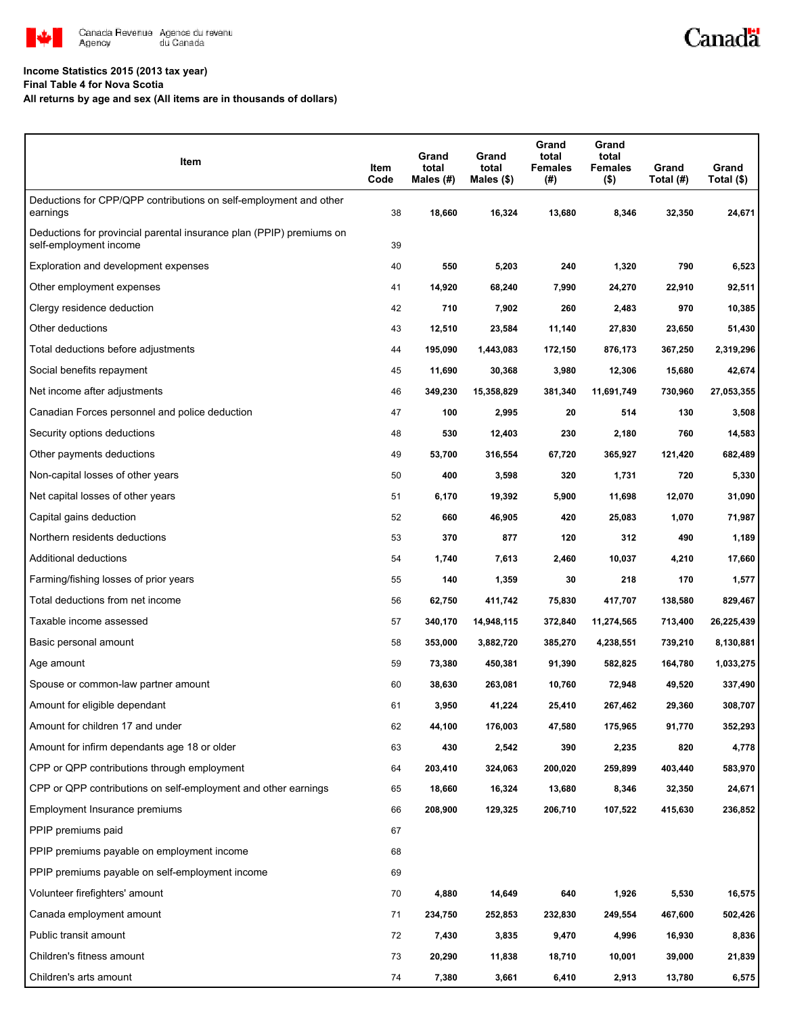

#### **Income Statistics 2015 (2013 tax year)**

**Final Table 4 for Nova Scotia**

**All returns by age and sex (All items are in thousands of dollars)**

| Item                                                                                           | Item<br>Code | Grand<br>total<br>Males (#) | Grand<br>total<br>Males (\$) | Grand<br>total<br><b>Females</b><br>(#) | Grand<br>total<br>Females<br>$($ \$) | Grand<br>Total (#) | Grand<br>Total (\$) |
|------------------------------------------------------------------------------------------------|--------------|-----------------------------|------------------------------|-----------------------------------------|--------------------------------------|--------------------|---------------------|
| Deductions for CPP/QPP contributions on self-employment and other<br>earnings                  | 38           | 18,660                      | 16,324                       | 13,680                                  | 8,346                                | 32,350             | 24,671              |
| Deductions for provincial parental insurance plan (PPIP) premiums on<br>self-employment income | 39           |                             |                              |                                         |                                      |                    |                     |
| Exploration and development expenses                                                           | 40           | 550                         | 5,203                        | 240                                     | 1,320                                | 790                | 6,523               |
| Other employment expenses                                                                      | 41           | 14,920                      | 68,240                       | 7,990                                   | 24,270                               | 22,910             | 92,511              |
| Clergy residence deduction                                                                     | 42           | 710                         | 7,902                        | 260                                     | 2,483                                | 970                | 10,385              |
| Other deductions                                                                               | 43           | 12,510                      | 23,584                       | 11,140                                  | 27,830                               | 23,650             | 51,430              |
| Total deductions before adjustments                                                            | 44           | 195,090                     | 1,443,083                    | 172,150                                 | 876,173                              | 367,250            | 2,319,296           |
| Social benefits repayment                                                                      | 45           | 11,690                      | 30,368                       | 3,980                                   | 12,306                               | 15,680             | 42,674              |
| Net income after adjustments                                                                   | 46           | 349,230                     | 15,358,829                   | 381,340                                 | 11,691,749                           | 730,960            | 27,053,355          |
| Canadian Forces personnel and police deduction                                                 | 47           | 100                         | 2,995                        | 20                                      | 514                                  | 130                | 3,508               |
| Security options deductions                                                                    | 48           | 530                         | 12,403                       | 230                                     | 2,180                                | 760                | 14,583              |
| Other payments deductions                                                                      | 49           | 53,700                      | 316,554                      | 67,720                                  | 365,927                              | 121,420            | 682,489             |
| Non-capital losses of other years                                                              | 50           | 400                         | 3,598                        | 320                                     | 1,731                                | 720                | 5,330               |
| Net capital losses of other years                                                              | 51           | 6,170                       | 19,392                       | 5,900                                   | 11,698                               | 12,070             | 31,090              |
| Capital gains deduction                                                                        | 52           | 660                         | 46,905                       | 420                                     | 25,083                               | 1,070              | 71,987              |
| Northern residents deductions                                                                  | 53           | 370                         | 877                          | 120                                     | 312                                  | 490                | 1,189               |
| Additional deductions                                                                          | 54           | 1,740                       | 7,613                        | 2,460                                   | 10,037                               | 4,210              | 17,660              |
| Farming/fishing losses of prior years                                                          | 55           | 140                         | 1,359                        | 30                                      | 218                                  | 170                | 1,577               |
| Total deductions from net income                                                               | 56           | 62,750                      | 411,742                      | 75,830                                  | 417,707                              | 138,580            | 829,467             |
| Taxable income assessed                                                                        | 57           | 340,170                     | 14,948,115                   | 372,840                                 | 11,274,565                           | 713,400            | 26,225,439          |
| Basic personal amount                                                                          | 58           | 353,000                     | 3,882,720                    | 385,270                                 | 4,238,551                            | 739,210            | 8,130,881           |
| Age amount                                                                                     | 59           | 73,380                      | 450,381                      | 91,390                                  | 582,825                              | 164,780            | 1,033,275           |
| Spouse or common-law partner amount                                                            | 60           | 38,630                      | 263,081                      | 10,760                                  | 72,948                               | 49,520             | 337,490             |
| Amount for eligible dependant                                                                  | 61           | 3,950                       | 41,224                       | 25,410                                  | 267,462                              | 29,360             | 308,707             |
| Amount for children 17 and under                                                               | 62           | 44,100                      | 176,003                      | 47,580                                  | 175,965                              | 91,770             | 352,293             |
| Amount for infirm dependants age 18 or older                                                   | 63           | 430                         | 2,542                        | 390                                     | 2,235                                | 820                | 4,778               |
| CPP or QPP contributions through employment                                                    | 64           | 203,410                     | 324,063                      | 200,020                                 | 259,899                              | 403,440            | 583,970             |
| CPP or QPP contributions on self-employment and other earnings                                 | 65           | 18,660                      | 16,324                       | 13,680                                  | 8,346                                | 32,350             | 24,671              |
| Employment Insurance premiums                                                                  | 66           | 208,900                     | 129,325                      | 206,710                                 | 107,522                              | 415,630            | 236,852             |
| PPIP premiums paid                                                                             | 67           |                             |                              |                                         |                                      |                    |                     |
| PPIP premiums payable on employment income                                                     | 68           |                             |                              |                                         |                                      |                    |                     |
| PPIP premiums payable on self-employment income                                                | 69           |                             |                              |                                         |                                      |                    |                     |
| Volunteer firefighters' amount                                                                 | 70           | 4,880                       | 14,649                       | 640                                     | 1,926                                | 5,530              | 16,575              |
| Canada employment amount                                                                       | 71           | 234,750                     | 252,853                      | 232,830                                 | 249,554                              | 467,600            | 502,426             |
| Public transit amount                                                                          | 72           | 7,430                       | 3,835                        | 9,470                                   | 4,996                                | 16,930             | 8,836               |
| Children's fitness amount                                                                      | 73           | 20,290                      | 11,838                       | 18,710                                  | 10,001                               | 39,000             | 21,839              |
| Children's arts amount                                                                         | 74           | 7,380                       | 3,661                        | 6,410                                   | 2,913                                | 13,780             | 6,575               |

Canadä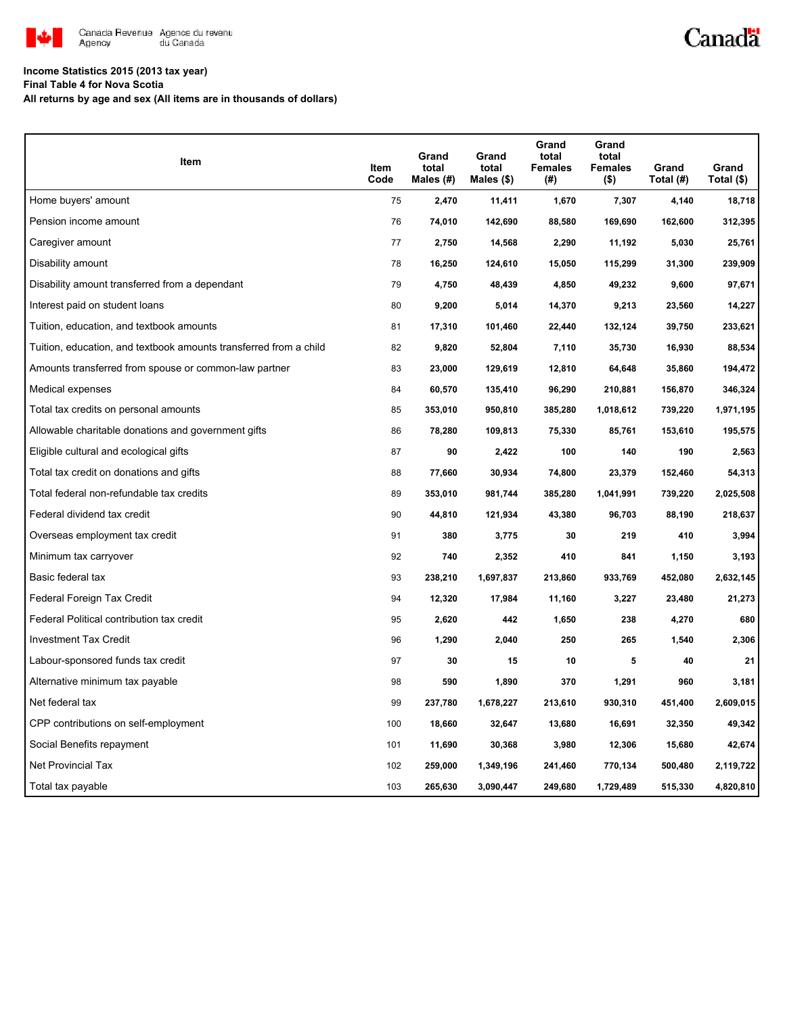

# Canadä

## **Income Statistics 2015 (2013 tax year)**

**Final Table 4 for Nova Scotia**

**All returns by age and sex (All items are in thousands of dollars)**

| Item                                                              | Item<br>Code | Grand<br>total<br>Males (#) | Grand<br>total<br>Males (\$) | Grand<br>total<br><b>Females</b><br>(#) | Grand<br>total<br><b>Females</b><br>$($ \$) | Grand<br>Total (#) | Grand<br>Total $($)$ |
|-------------------------------------------------------------------|--------------|-----------------------------|------------------------------|-----------------------------------------|---------------------------------------------|--------------------|----------------------|
| Home buyers' amount                                               | 75           | 2,470                       | 11,411                       | 1,670                                   | 7,307                                       | 4,140              | 18,718               |
| Pension income amount                                             | 76           | 74,010                      | 142,690                      | 88,580                                  | 169,690                                     | 162,600            | 312,395              |
| Caregiver amount                                                  | 77           | 2,750                       | 14,568                       | 2,290                                   | 11,192                                      | 5,030              | 25,761               |
| Disability amount                                                 | 78           | 16,250                      | 124,610                      | 15,050                                  | 115,299                                     | 31,300             | 239,909              |
| Disability amount transferred from a dependant                    | 79           | 4,750                       | 48,439                       | 4,850                                   | 49,232                                      | 9,600              | 97,671               |
| Interest paid on student loans                                    | 80           | 9,200                       | 5,014                        | 14,370                                  | 9,213                                       | 23,560             | 14,227               |
| Tuition, education, and textbook amounts                          | 81           | 17,310                      | 101,460                      | 22,440                                  | 132,124                                     | 39,750             | 233,621              |
| Tuition, education, and textbook amounts transferred from a child | 82           | 9,820                       | 52,804                       | 7,110                                   | 35,730                                      | 16,930             | 88,534               |
| Amounts transferred from spouse or common-law partner             | 83           | 23,000                      | 129,619                      | 12,810                                  | 64,648                                      | 35,860             | 194,472              |
| Medical expenses                                                  | 84           | 60,570                      | 135,410                      | 96,290                                  | 210,881                                     | 156,870            | 346,324              |
| Total tax credits on personal amounts                             | 85           | 353,010                     | 950,810                      | 385,280                                 | 1,018,612                                   | 739,220            | 1,971,195            |
| Allowable charitable donations and government gifts               | 86           | 78,280                      | 109,813                      | 75,330                                  | 85,761                                      | 153,610            | 195,575              |
| Eligible cultural and ecological gifts                            | 87           | 90                          | 2,422                        | 100                                     | 140                                         | 190                | 2,563                |
| Total tax credit on donations and gifts                           | 88           | 77,660                      | 30,934                       | 74,800                                  | 23,379                                      | 152,460            | 54,313               |
| Total federal non-refundable tax credits                          | 89           | 353,010                     | 981,744                      | 385,280                                 | 1,041,991                                   | 739,220            | 2,025,508            |
| Federal dividend tax credit                                       | 90           | 44,810                      | 121,934                      | 43,380                                  | 96,703                                      | 88,190             | 218,637              |
| Overseas employment tax credit                                    | 91           | 380                         | 3,775                        | 30                                      | 219                                         | 410                | 3,994                |
| Minimum tax carryover                                             | 92           | 740                         | 2,352                        | 410                                     | 841                                         | 1,150              | 3,193                |
| Basic federal tax                                                 | 93           | 238,210                     | 1,697,837                    | 213,860                                 | 933,769                                     | 452,080            | 2,632,145            |
| Federal Foreign Tax Credit                                        | 94           | 12,320                      | 17,984                       | 11,160                                  | 3,227                                       | 23,480             | 21,273               |
| Federal Political contribution tax credit                         | 95           | 2,620                       | 442                          | 1,650                                   | 238                                         | 4,270              | 680                  |
| <b>Investment Tax Credit</b>                                      | 96           | 1,290                       | 2,040                        | 250                                     | 265                                         | 1,540              | 2,306                |
| Labour-sponsored funds tax credit                                 | 97           | 30                          | 15                           | 10                                      | 5                                           | 40                 | 21                   |
| Alternative minimum tax payable                                   | 98           | 590                         | 1,890                        | 370                                     | 1,291                                       | 960                | 3,181                |
| Net federal tax                                                   | 99           | 237,780                     | 1,678,227                    | 213,610                                 | 930,310                                     | 451,400            | 2,609,015            |
| CPP contributions on self-employment                              | 100          | 18,660                      | 32,647                       | 13,680                                  | 16,691                                      | 32,350             | 49,342               |
| Social Benefits repayment                                         | 101          | 11,690                      | 30,368                       | 3,980                                   | 12,306                                      | 15,680             | 42,674               |
| Net Provincial Tax                                                | 102          | 259,000                     | 1,349,196                    | 241,460                                 | 770,134                                     | 500,480            | 2,119,722            |
| Total tax payable                                                 | 103          | 265,630                     | 3,090,447                    | 249,680                                 | 1,729,489                                   | 515,330            | 4,820,810            |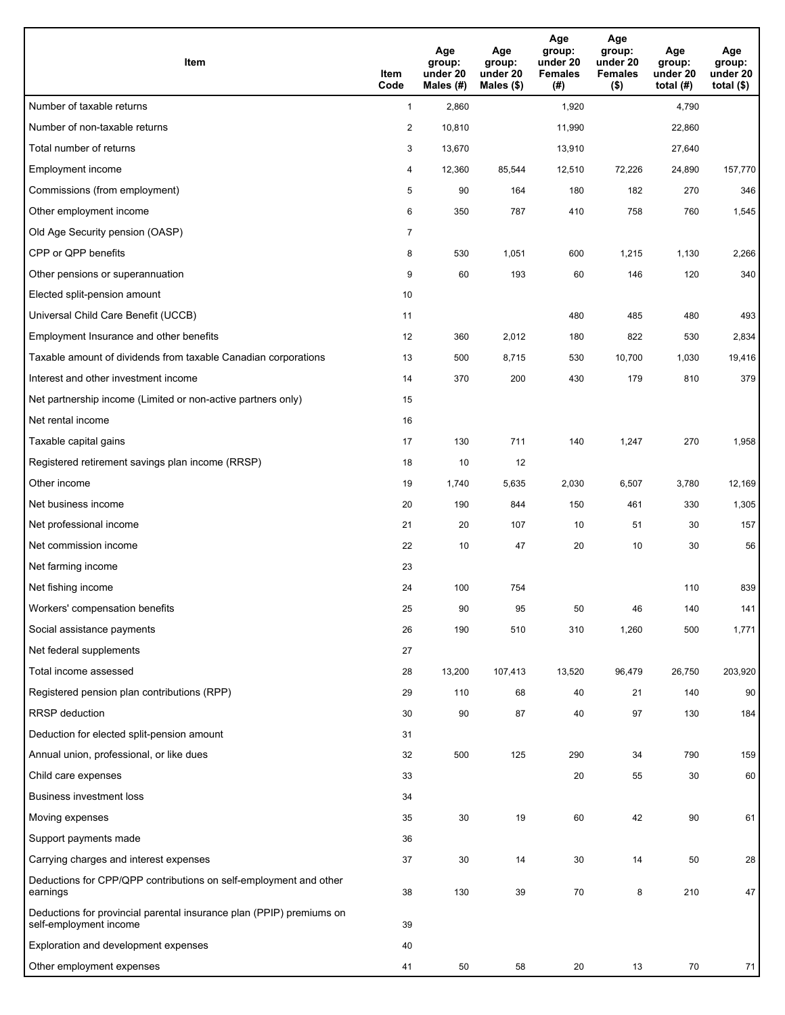| <b>Item</b>                                                                                    | Item<br>Code            | Age<br>group:<br>under 20<br>Males (#) | Age<br>group:<br>under 20<br>Males (\$) | Age<br>group:<br>under 20<br><b>Females</b><br>(#) | Age<br>group:<br>under 20<br><b>Females</b><br>$($ \$) | Age<br>group:<br>under 20<br>total $(H)$ | Age<br>group:<br>under 20<br>total $($)$ |
|------------------------------------------------------------------------------------------------|-------------------------|----------------------------------------|-----------------------------------------|----------------------------------------------------|--------------------------------------------------------|------------------------------------------|------------------------------------------|
| Number of taxable returns                                                                      | $\mathbf{1}$            | 2,860                                  |                                         | 1,920                                              |                                                        | 4,790                                    |                                          |
| Number of non-taxable returns                                                                  | $\overline{\mathbf{c}}$ | 10,810                                 |                                         | 11,990                                             |                                                        | 22,860                                   |                                          |
| Total number of returns                                                                        | 3                       | 13,670                                 |                                         | 13,910                                             |                                                        | 27,640                                   |                                          |
| Employment income                                                                              | 4                       | 12,360                                 | 85,544                                  | 12,510                                             | 72,226                                                 | 24,890                                   | 157,770                                  |
| Commissions (from employment)                                                                  | 5                       | 90                                     | 164                                     | 180                                                | 182                                                    | 270                                      | 346                                      |
| Other employment income                                                                        | 6                       | 350                                    | 787                                     | 410                                                | 758                                                    | 760                                      | 1,545                                    |
| Old Age Security pension (OASP)                                                                | $\overline{7}$          |                                        |                                         |                                                    |                                                        |                                          |                                          |
| CPP or QPP benefits                                                                            | 8                       | 530                                    | 1,051                                   | 600                                                | 1,215                                                  | 1,130                                    | 2,266                                    |
| Other pensions or superannuation                                                               | 9                       | 60                                     | 193                                     | 60                                                 | 146                                                    | 120                                      | 340                                      |
| Elected split-pension amount                                                                   | 10                      |                                        |                                         |                                                    |                                                        |                                          |                                          |
| Universal Child Care Benefit (UCCB)                                                            | 11                      |                                        |                                         | 480                                                | 485                                                    | 480                                      | 493                                      |
| Employment Insurance and other benefits                                                        | 12                      | 360                                    | 2,012                                   | 180                                                | 822                                                    | 530                                      | 2,834                                    |
| Taxable amount of dividends from taxable Canadian corporations                                 | 13                      | 500                                    | 8,715                                   | 530                                                | 10,700                                                 | 1,030                                    | 19,416                                   |
| Interest and other investment income                                                           | 14                      | 370                                    | 200                                     | 430                                                | 179                                                    | 810                                      | 379                                      |
| Net partnership income (Limited or non-active partners only)                                   | 15                      |                                        |                                         |                                                    |                                                        |                                          |                                          |
| Net rental income                                                                              | 16                      |                                        |                                         |                                                    |                                                        |                                          |                                          |
| Taxable capital gains                                                                          | 17                      | 130                                    | 711                                     | 140                                                | 1,247                                                  | 270                                      | 1,958                                    |
| Registered retirement savings plan income (RRSP)                                               | 18                      | 10                                     | 12                                      |                                                    |                                                        |                                          |                                          |
| Other income                                                                                   | 19                      | 1,740                                  | 5,635                                   | 2,030                                              | 6,507                                                  | 3,780                                    | 12,169                                   |
| Net business income                                                                            | 20                      | 190                                    | 844                                     | 150                                                | 461                                                    | 330                                      | 1,305                                    |
| Net professional income                                                                        | 21                      | 20                                     | 107                                     | 10                                                 | 51                                                     | 30                                       | 157                                      |
| Net commission income                                                                          | 22                      | 10                                     | 47                                      | 20                                                 | 10                                                     | 30                                       | 56                                       |
| Net farming income                                                                             | 23                      |                                        |                                         |                                                    |                                                        |                                          |                                          |
| Net fishing income                                                                             | 24                      | 100                                    | 754                                     |                                                    |                                                        | 110                                      | 839                                      |
| Workers' compensation benefits                                                                 | 25                      | 90                                     | 95                                      | 50                                                 | 46                                                     | 140                                      | 141                                      |
| Social assistance payments                                                                     | 26                      | 190                                    | 510                                     | 310                                                | 1,260                                                  | 500                                      | 1,771                                    |
| Net federal supplements                                                                        | 27                      |                                        |                                         |                                                    |                                                        |                                          |                                          |
| Total income assessed                                                                          | 28                      | 13,200                                 | 107,413                                 | 13,520                                             | 96,479                                                 | 26,750                                   | 203,920                                  |
| Registered pension plan contributions (RPP)                                                    | 29                      | 110                                    | 68                                      | 40                                                 | 21                                                     | 140                                      | 90                                       |
| RRSP deduction                                                                                 | 30                      | 90                                     | 87                                      | 40                                                 | 97                                                     | 130                                      | 184                                      |
| Deduction for elected split-pension amount                                                     | 31                      |                                        |                                         |                                                    |                                                        |                                          |                                          |
| Annual union, professional, or like dues                                                       | 32                      | 500                                    | 125                                     | 290                                                | 34                                                     | 790                                      | 159                                      |
| Child care expenses                                                                            | 33                      |                                        |                                         | 20                                                 | 55                                                     | 30                                       | 60                                       |
| <b>Business investment loss</b>                                                                | 34                      |                                        |                                         |                                                    |                                                        |                                          |                                          |
| Moving expenses                                                                                | 35                      | 30                                     | 19                                      | 60                                                 | 42                                                     | 90                                       | 61                                       |
| Support payments made                                                                          | 36                      |                                        |                                         |                                                    |                                                        |                                          |                                          |
| Carrying charges and interest expenses                                                         | 37                      | 30                                     | 14                                      | 30                                                 | 14                                                     | 50                                       | 28                                       |
| Deductions for CPP/QPP contributions on self-employment and other<br>earnings                  | 38                      | 130                                    | 39                                      | 70                                                 | 8                                                      | 210                                      | 47                                       |
| Deductions for provincial parental insurance plan (PPIP) premiums on<br>self-employment income | 39                      |                                        |                                         |                                                    |                                                        |                                          |                                          |
| Exploration and development expenses                                                           | 40                      |                                        |                                         |                                                    |                                                        |                                          |                                          |
| Other employment expenses                                                                      | 41                      | 50                                     | 58                                      | 20                                                 | 13                                                     | 70                                       | 71                                       |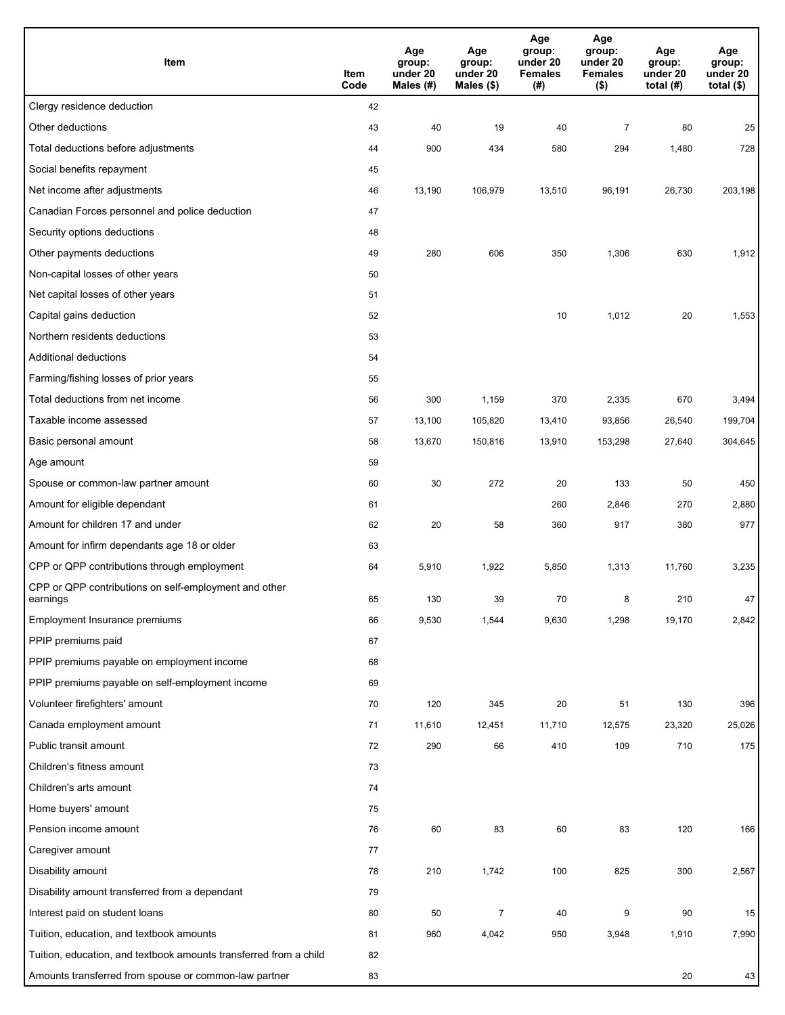| Item                                                              | Item<br>Code | Age<br>group:<br>under 20<br>Males (#) | Age<br>group:<br>under 20<br>Males (\$) | Age<br>group:<br>under 20<br><b>Females</b><br>(#) | Age<br>group:<br>under 20<br><b>Females</b><br>$($ \$) | Age<br>group:<br>under 20<br>total $(#)$ | Age<br>group:<br>under 20<br>total $($)$ |
|-------------------------------------------------------------------|--------------|----------------------------------------|-----------------------------------------|----------------------------------------------------|--------------------------------------------------------|------------------------------------------|------------------------------------------|
| Clergy residence deduction                                        | 42           |                                        |                                         |                                                    |                                                        |                                          |                                          |
| Other deductions                                                  | 43           | 40                                     | 19                                      | 40                                                 | $\overline{7}$                                         | 80                                       | 25                                       |
| Total deductions before adjustments                               | 44           | 900                                    | 434                                     | 580                                                | 294                                                    | 1,480                                    | 728                                      |
| Social benefits repayment                                         | 45           |                                        |                                         |                                                    |                                                        |                                          |                                          |
| Net income after adjustments                                      | 46           | 13,190                                 | 106,979                                 | 13,510                                             | 96,191                                                 | 26,730                                   | 203,198                                  |
| Canadian Forces personnel and police deduction                    | 47           |                                        |                                         |                                                    |                                                        |                                          |                                          |
| Security options deductions                                       | 48           |                                        |                                         |                                                    |                                                        |                                          |                                          |
| Other payments deductions                                         | 49           | 280                                    | 606                                     | 350                                                | 1,306                                                  | 630                                      | 1,912                                    |
| Non-capital losses of other years                                 | 50           |                                        |                                         |                                                    |                                                        |                                          |                                          |
| Net capital losses of other years                                 | 51           |                                        |                                         |                                                    |                                                        |                                          |                                          |
| Capital gains deduction                                           | 52           |                                        |                                         | 10                                                 | 1,012                                                  | 20                                       | 1,553                                    |
| Northern residents deductions                                     | 53           |                                        |                                         |                                                    |                                                        |                                          |                                          |
| Additional deductions                                             | 54           |                                        |                                         |                                                    |                                                        |                                          |                                          |
| Farming/fishing losses of prior years                             | 55           |                                        |                                         |                                                    |                                                        |                                          |                                          |
| Total deductions from net income                                  | 56           | 300                                    | 1,159                                   | 370                                                | 2,335                                                  | 670                                      | 3,494                                    |
| Taxable income assessed                                           | 57           | 13,100                                 | 105,820                                 | 13,410                                             | 93,856                                                 | 26,540                                   | 199,704                                  |
| Basic personal amount                                             | 58           | 13,670                                 | 150,816                                 | 13,910                                             | 153,298                                                | 27,640                                   | 304,645                                  |
| Age amount                                                        | 59           |                                        |                                         |                                                    |                                                        |                                          |                                          |
| Spouse or common-law partner amount                               | 60           | 30                                     | 272                                     | 20                                                 | 133                                                    | 50                                       | 450                                      |
| Amount for eligible dependant                                     | 61           |                                        |                                         | 260                                                | 2,846                                                  | 270                                      | 2,880                                    |
| Amount for children 17 and under                                  | 62           | 20                                     | 58                                      | 360                                                | 917                                                    | 380                                      | 977                                      |
| Amount for infirm dependants age 18 or older                      | 63           |                                        |                                         |                                                    |                                                        |                                          |                                          |
| CPP or QPP contributions through employment                       | 64           | 5,910                                  | 1,922                                   | 5,850                                              | 1,313                                                  | 11,760                                   | 3,235                                    |
| CPP or QPP contributions on self-employment and other<br>earnings | 65           | 130                                    | 39                                      | 70                                                 | 8                                                      | 210                                      | 47                                       |
| Employment Insurance premiums                                     | 66           | 9,530                                  | 1,544                                   | 9,630                                              | 1,298                                                  | 19,170                                   | 2,842                                    |
| PPIP premiums paid                                                | 67           |                                        |                                         |                                                    |                                                        |                                          |                                          |
| PPIP premiums payable on employment income                        | 68           |                                        |                                         |                                                    |                                                        |                                          |                                          |
| PPIP premiums payable on self-employment income                   | 69           |                                        |                                         |                                                    |                                                        |                                          |                                          |
| Volunteer firefighters' amount                                    | 70           | 120                                    | 345                                     | 20                                                 | 51                                                     | 130                                      | 396                                      |
| Canada employment amount                                          | 71           | 11,610                                 | 12,451                                  | 11,710                                             | 12,575                                                 | 23,320                                   | 25,026                                   |
| Public transit amount                                             | 72           | 290                                    | 66                                      | 410                                                | 109                                                    | 710                                      | 175                                      |
| Children's fitness amount                                         | 73           |                                        |                                         |                                                    |                                                        |                                          |                                          |
| Children's arts amount                                            | 74           |                                        |                                         |                                                    |                                                        |                                          |                                          |
| Home buyers' amount                                               | 75           |                                        |                                         |                                                    |                                                        |                                          |                                          |
| Pension income amount                                             | 76           | 60                                     | 83                                      | 60                                                 | 83                                                     | 120                                      | 166                                      |
| Caregiver amount                                                  | 77           |                                        |                                         |                                                    |                                                        |                                          |                                          |
| Disability amount                                                 | 78           | 210                                    | 1,742                                   | 100                                                | 825                                                    | 300                                      | 2,567                                    |
| Disability amount transferred from a dependant                    | 79           |                                        |                                         |                                                    |                                                        |                                          |                                          |
| Interest paid on student loans                                    | 80           | 50                                     | $\overline{7}$                          | 40                                                 | 9                                                      | 90                                       | 15                                       |
| Tuition, education, and textbook amounts                          | 81           | 960                                    | 4,042                                   | 950                                                | 3,948                                                  | 1,910                                    | 7,990                                    |
| Tuition, education, and textbook amounts transferred from a child | 82           |                                        |                                         |                                                    |                                                        |                                          |                                          |
| Amounts transferred from spouse or common-law partner             | 83           |                                        |                                         |                                                    |                                                        | 20                                       | 43                                       |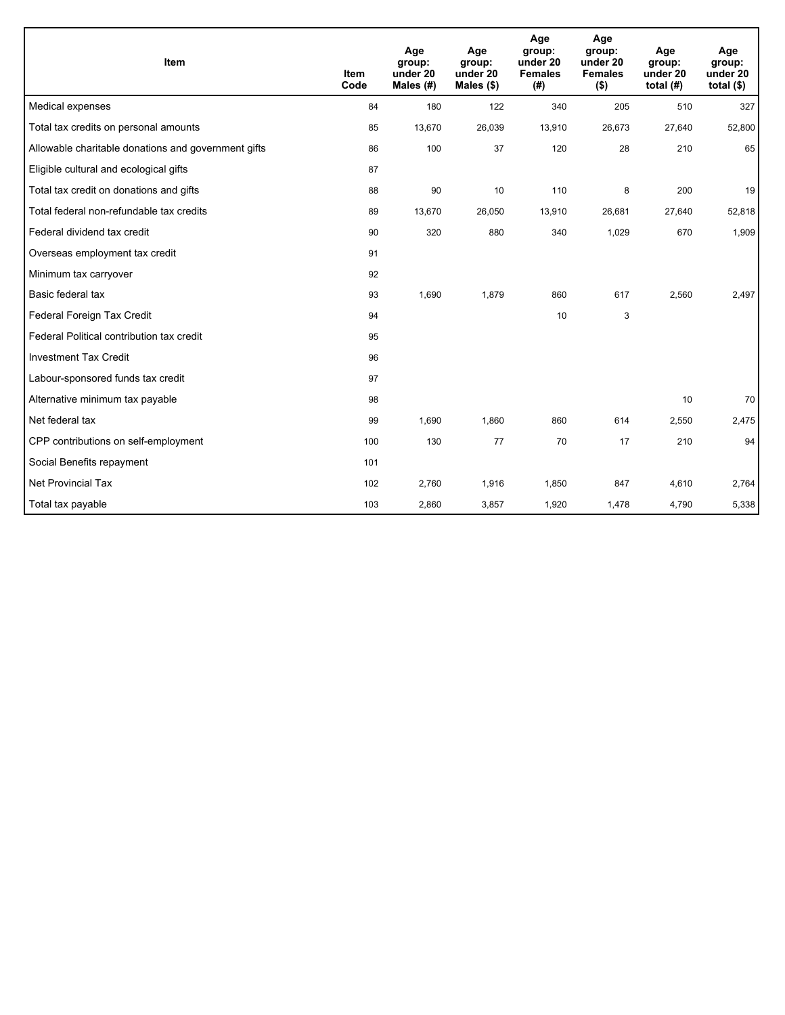| <b>Item</b>                                         | <b>Item</b><br>Code | Age<br>group:<br>under 20<br>Males $(H)$ | Age<br>group:<br>under 20<br>Males $(\$)$ | Age<br>group:<br>under 20<br><b>Females</b><br>(# ) | Age<br>group:<br>under 20<br><b>Females</b><br>$($ \$) | Age<br>group:<br>under 20<br>total $(H)$ | Age<br>group:<br>under 20<br>total $($ \$) |
|-----------------------------------------------------|---------------------|------------------------------------------|-------------------------------------------|-----------------------------------------------------|--------------------------------------------------------|------------------------------------------|--------------------------------------------|
| Medical expenses                                    | 84                  | 180                                      | 122                                       | 340                                                 | 205                                                    | 510                                      | 327                                        |
| Total tax credits on personal amounts               | 85                  | 13,670                                   | 26,039                                    | 13,910                                              | 26,673                                                 | 27,640                                   | 52,800                                     |
| Allowable charitable donations and government gifts | 86                  | 100                                      | 37                                        | 120                                                 | 28                                                     | 210                                      | 65                                         |
| Eligible cultural and ecological gifts              | 87                  |                                          |                                           |                                                     |                                                        |                                          |                                            |
| Total tax credit on donations and gifts             | 88                  | 90                                       | 10                                        | 110                                                 | 8                                                      | 200                                      | 19                                         |
| Total federal non-refundable tax credits            | 89                  | 13,670                                   | 26,050                                    | 13,910                                              | 26,681                                                 | 27,640                                   | 52,818                                     |
| Federal dividend tax credit                         | 90                  | 320                                      | 880                                       | 340                                                 | 1,029                                                  | 670                                      | 1,909                                      |
| Overseas employment tax credit                      | 91                  |                                          |                                           |                                                     |                                                        |                                          |                                            |
| Minimum tax carryover                               | 92                  |                                          |                                           |                                                     |                                                        |                                          |                                            |
| Basic federal tax                                   | 93                  | 1,690                                    | 1,879                                     | 860                                                 | 617                                                    | 2,560                                    | 2,497                                      |
| Federal Foreign Tax Credit                          | 94                  |                                          |                                           | 10                                                  | 3                                                      |                                          |                                            |
| Federal Political contribution tax credit           | 95                  |                                          |                                           |                                                     |                                                        |                                          |                                            |
| <b>Investment Tax Credit</b>                        | 96                  |                                          |                                           |                                                     |                                                        |                                          |                                            |
| Labour-sponsored funds tax credit                   | 97                  |                                          |                                           |                                                     |                                                        |                                          |                                            |
| Alternative minimum tax payable                     | 98                  |                                          |                                           |                                                     |                                                        | 10                                       | 70                                         |
| Net federal tax                                     | 99                  | 1,690                                    | 1.860                                     | 860                                                 | 614                                                    | 2,550                                    | 2,475                                      |
| CPP contributions on self-employment                | 100                 | 130                                      | 77                                        | 70                                                  | 17                                                     | 210                                      | 94                                         |
| Social Benefits repayment                           | 101                 |                                          |                                           |                                                     |                                                        |                                          |                                            |
| <b>Net Provincial Tax</b>                           | 102                 | 2,760                                    | 1,916                                     | 1,850                                               | 847                                                    | 4,610                                    | 2,764                                      |
| Total tax payable                                   | 103                 | 2,860                                    | 3,857                                     | 1,920                                               | 1,478                                                  | 4,790                                    | 5,338                                      |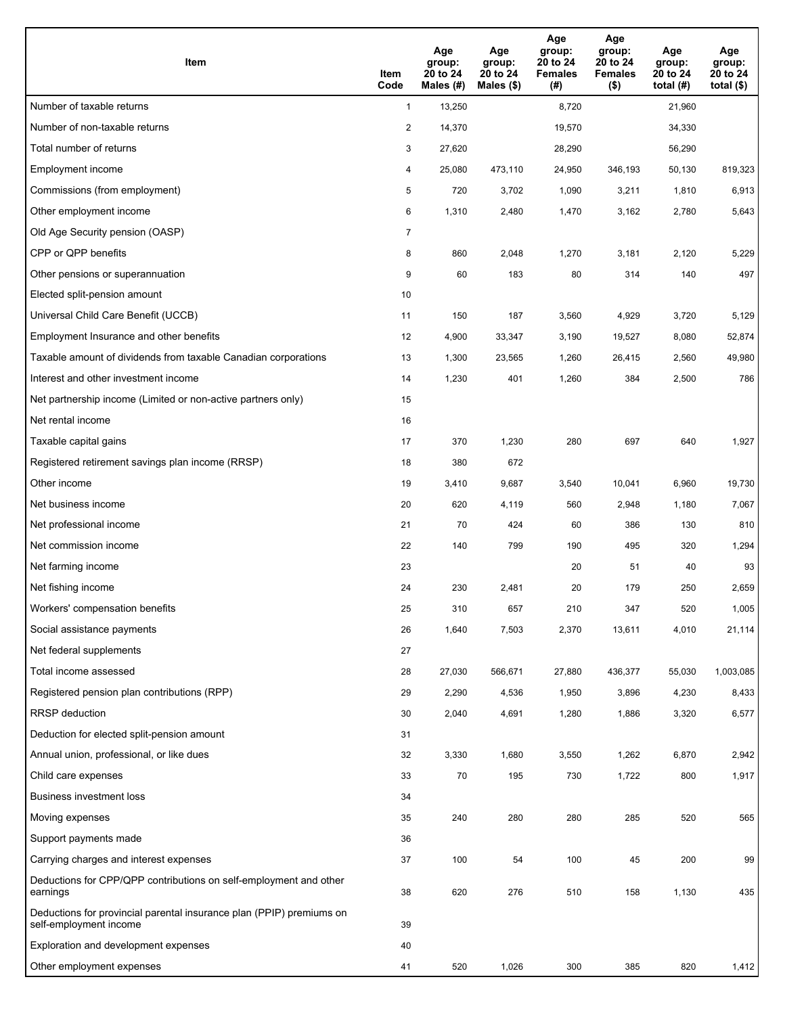| Item                                                                                           | Item<br>Code   | Age<br>group:<br>20 to 24<br>Males (#) | Age<br>group:<br>20 to 24<br>Males (\$) | Age<br>group:<br>20 to 24<br><b>Females</b><br>(# ) | Age<br>group:<br>20 to 24<br><b>Females</b><br>$($ \$) | Age<br>group:<br>20 to 24<br>total $(H)$ | Age<br>group:<br>20 to 24<br>total $($ |
|------------------------------------------------------------------------------------------------|----------------|----------------------------------------|-----------------------------------------|-----------------------------------------------------|--------------------------------------------------------|------------------------------------------|----------------------------------------|
| Number of taxable returns                                                                      | $\mathbf{1}$   | 13,250                                 |                                         | 8,720                                               |                                                        | 21,960                                   |                                        |
| Number of non-taxable returns                                                                  | $\overline{c}$ | 14,370                                 |                                         | 19,570                                              |                                                        | 34,330                                   |                                        |
| Total number of returns                                                                        | 3              | 27,620                                 |                                         | 28,290                                              |                                                        | 56,290                                   |                                        |
| Employment income                                                                              | 4              | 25,080                                 | 473,110                                 | 24,950                                              | 346,193                                                | 50,130                                   | 819,323                                |
| Commissions (from employment)                                                                  | 5              | 720                                    | 3,702                                   | 1,090                                               | 3,211                                                  | 1,810                                    | 6,913                                  |
| Other employment income                                                                        | 6              | 1,310                                  | 2,480                                   | 1,470                                               | 3,162                                                  | 2,780                                    | 5,643                                  |
| Old Age Security pension (OASP)                                                                | $\overline{7}$ |                                        |                                         |                                                     |                                                        |                                          |                                        |
| CPP or QPP benefits                                                                            | 8              | 860                                    | 2,048                                   | 1,270                                               | 3,181                                                  | 2,120                                    | 5,229                                  |
| Other pensions or superannuation                                                               | 9              | 60                                     | 183                                     | 80                                                  | 314                                                    | 140                                      | 497                                    |
| Elected split-pension amount                                                                   | 10             |                                        |                                         |                                                     |                                                        |                                          |                                        |
| Universal Child Care Benefit (UCCB)                                                            | 11             | 150                                    | 187                                     | 3,560                                               | 4,929                                                  | 3,720                                    | 5,129                                  |
| Employment Insurance and other benefits                                                        | 12             | 4,900                                  | 33,347                                  | 3,190                                               | 19,527                                                 | 8,080                                    | 52,874                                 |
| Taxable amount of dividends from taxable Canadian corporations                                 | 13             | 1,300                                  | 23,565                                  | 1,260                                               | 26,415                                                 | 2,560                                    | 49,980                                 |
| Interest and other investment income                                                           | 14             | 1,230                                  | 401                                     | 1,260                                               | 384                                                    | 2,500                                    | 786                                    |
| Net partnership income (Limited or non-active partners only)                                   | 15             |                                        |                                         |                                                     |                                                        |                                          |                                        |
| Net rental income                                                                              | 16             |                                        |                                         |                                                     |                                                        |                                          |                                        |
| Taxable capital gains                                                                          | 17             | 370                                    | 1,230                                   | 280                                                 | 697                                                    | 640                                      | 1,927                                  |
| Registered retirement savings plan income (RRSP)                                               | 18             | 380                                    | 672                                     |                                                     |                                                        |                                          |                                        |
| Other income                                                                                   | 19             | 3,410                                  | 9,687                                   | 3,540                                               | 10,041                                                 | 6,960                                    | 19,730                                 |
| Net business income                                                                            | 20             | 620                                    | 4,119                                   | 560                                                 | 2,948                                                  | 1,180                                    | 7,067                                  |
| Net professional income                                                                        | 21             | 70                                     | 424                                     | 60                                                  | 386                                                    | 130                                      | 810                                    |
| Net commission income                                                                          | 22             | 140                                    | 799                                     | 190                                                 | 495                                                    | 320                                      | 1,294                                  |
| Net farming income                                                                             | 23             |                                        |                                         | 20                                                  | 51                                                     | 40                                       | 93                                     |
| Net fishing income                                                                             | 24             | 230                                    | 2,481                                   | 20                                                  | 179                                                    | 250                                      | 2,659                                  |
| Workers' compensation benefits                                                                 | 25             | 310                                    | 657                                     | 210                                                 | 347                                                    | 520                                      | 1,005                                  |
| Social assistance payments                                                                     | 26             | 1,640                                  | 7,503                                   | 2,370                                               | 13,611                                                 | 4,010                                    | 21,114                                 |
| Net federal supplements                                                                        | 27             |                                        |                                         |                                                     |                                                        |                                          |                                        |
| Total income assessed                                                                          | 28             | 27,030                                 | 566,671                                 | 27,880                                              | 436,377                                                | 55,030                                   | 1,003,085                              |
| Registered pension plan contributions (RPP)                                                    | 29             | 2,290                                  | 4,536                                   | 1,950                                               | 3,896                                                  | 4,230                                    | 8,433                                  |
| RRSP deduction                                                                                 | 30             | 2,040                                  | 4,691                                   | 1,280                                               | 1,886                                                  | 3,320                                    | 6,577                                  |
| Deduction for elected split-pension amount                                                     | 31             |                                        |                                         |                                                     |                                                        |                                          |                                        |
| Annual union, professional, or like dues                                                       | 32             | 3,330                                  | 1,680                                   | 3,550                                               | 1,262                                                  | 6,870                                    | 2,942                                  |
| Child care expenses                                                                            | 33             | 70                                     | 195                                     | 730                                                 | 1,722                                                  | 800                                      | 1,917                                  |
| Business investment loss                                                                       | 34             |                                        |                                         |                                                     |                                                        |                                          |                                        |
| Moving expenses                                                                                | 35             | 240                                    | 280                                     | 280                                                 | 285                                                    | 520                                      | 565                                    |
| Support payments made                                                                          | 36             |                                        |                                         |                                                     |                                                        |                                          |                                        |
| Carrying charges and interest expenses                                                         | 37             | 100                                    | 54                                      | 100                                                 | 45                                                     | 200                                      | 99                                     |
| Deductions for CPP/QPP contributions on self-employment and other<br>earnings                  | 38             | 620                                    | 276                                     | 510                                                 | 158                                                    | 1,130                                    | 435                                    |
| Deductions for provincial parental insurance plan (PPIP) premiums on<br>self-employment income | 39             |                                        |                                         |                                                     |                                                        |                                          |                                        |
| Exploration and development expenses                                                           | 40             |                                        |                                         |                                                     |                                                        |                                          |                                        |
| Other employment expenses                                                                      | 41             | 520                                    | 1,026                                   | 300                                                 | 385                                                    | 820                                      | 1,412                                  |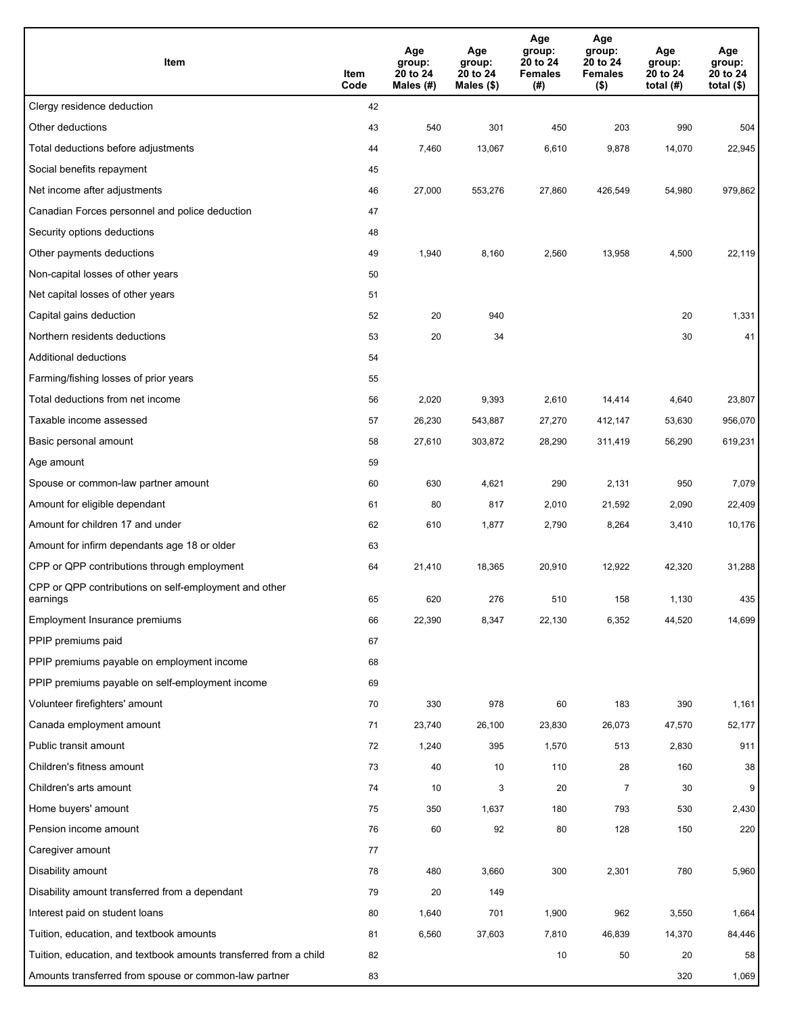| Item                                                              | Item<br>Code | Age<br>group:<br>20 to 24<br>Males (#) | Age<br>group:<br>20 to 24<br>Males (\$) | Age<br>group:<br>20 to 24<br><b>Females</b><br>(#) | Age<br>group:<br>20 to 24<br><b>Females</b><br>$($ \$) | Age<br>group:<br>20 to 24<br>total $(#)$ | Age<br>group:<br>20 to 24<br>total $($)$ |
|-------------------------------------------------------------------|--------------|----------------------------------------|-----------------------------------------|----------------------------------------------------|--------------------------------------------------------|------------------------------------------|------------------------------------------|
| Clergy residence deduction                                        | 42           |                                        |                                         |                                                    |                                                        |                                          |                                          |
| Other deductions                                                  | 43           | 540                                    | 301                                     | 450                                                | 203                                                    | 990                                      | 504                                      |
| Total deductions before adjustments                               | 44           | 7,460                                  | 13,067                                  | 6,610                                              | 9,878                                                  | 14,070                                   | 22,945                                   |
| Social benefits repayment                                         | 45           |                                        |                                         |                                                    |                                                        |                                          |                                          |
| Net income after adjustments                                      | 46           | 27,000                                 | 553,276                                 | 27,860                                             | 426,549                                                | 54,980                                   | 979,862                                  |
| Canadian Forces personnel and police deduction                    | 47           |                                        |                                         |                                                    |                                                        |                                          |                                          |
| Security options deductions                                       | 48           |                                        |                                         |                                                    |                                                        |                                          |                                          |
| Other payments deductions                                         | 49           | 1,940                                  | 8,160                                   | 2,560                                              | 13,958                                                 | 4,500                                    | 22,119                                   |
| Non-capital losses of other years                                 | 50           |                                        |                                         |                                                    |                                                        |                                          |                                          |
| Net capital losses of other years                                 | 51           |                                        |                                         |                                                    |                                                        |                                          |                                          |
| Capital gains deduction                                           | 52           | 20                                     | 940                                     |                                                    |                                                        | 20                                       | 1,331                                    |
| Northern residents deductions                                     | 53           | 20                                     | 34                                      |                                                    |                                                        | 30                                       | 41                                       |
| Additional deductions                                             | 54           |                                        |                                         |                                                    |                                                        |                                          |                                          |
| Farming/fishing losses of prior years                             | 55           |                                        |                                         |                                                    |                                                        |                                          |                                          |
| Total deductions from net income                                  | 56           | 2,020                                  | 9,393                                   | 2,610                                              | 14,414                                                 | 4,640                                    | 23,807                                   |
| Taxable income assessed                                           | 57           | 26,230                                 | 543,887                                 | 27,270                                             | 412,147                                                | 53,630                                   | 956,070                                  |
| Basic personal amount                                             | 58           | 27,610                                 | 303,872                                 | 28,290                                             | 311,419                                                | 56,290                                   | 619,231                                  |
| Age amount                                                        | 59           |                                        |                                         |                                                    |                                                        |                                          |                                          |
| Spouse or common-law partner amount                               | 60           | 630                                    | 4,621                                   | 290                                                | 2,131                                                  | 950                                      | 7,079                                    |
| Amount for eligible dependant                                     | 61           | 80                                     | 817                                     | 2,010                                              | 21,592                                                 | 2,090                                    | 22,409                                   |
| Amount for children 17 and under                                  | 62           | 610                                    | 1,877                                   | 2,790                                              | 8,264                                                  | 3,410                                    | 10,176                                   |
| Amount for infirm dependants age 18 or older                      | 63           |                                        |                                         |                                                    |                                                        |                                          |                                          |
| CPP or QPP contributions through employment                       | 64           | 21,410                                 | 18,365                                  | 20,910                                             | 12,922                                                 | 42,320                                   | 31,288                                   |
| CPP or QPP contributions on self-employment and other<br>earnings | 65           | 620                                    | 276                                     | 510                                                | 158                                                    | 1,130                                    | 435                                      |
| Employment Insurance premiums                                     | 66           | 22,390                                 | 8,347                                   | 22,130                                             | 6,352                                                  | 44,520                                   | 14,699                                   |
| PPIP premiums paid                                                | 67           |                                        |                                         |                                                    |                                                        |                                          |                                          |
| PPIP premiums payable on employment income                        | 68           |                                        |                                         |                                                    |                                                        |                                          |                                          |
| PPIP premiums payable on self-employment income                   | 69           |                                        |                                         |                                                    |                                                        |                                          |                                          |
| Volunteer firefighters' amount                                    | 70           | 330                                    | 978                                     | 60                                                 | 183                                                    | 390                                      | 1,161                                    |
| Canada employment amount                                          | 71           | 23,740                                 | 26,100                                  | 23,830                                             | 26,073                                                 | 47,570                                   | 52,177                                   |
| Public transit amount                                             | 72           | 1,240                                  | 395                                     | 1,570                                              | 513                                                    | 2,830                                    | 911                                      |
| Children's fitness amount                                         | 73           | 40                                     | 10                                      | 110                                                | 28                                                     | 160                                      | 38                                       |
| Children's arts amount                                            | 74           | 10                                     | 3                                       | 20                                                 | $\overline{7}$                                         | 30                                       | 9                                        |
| Home buyers' amount                                               | 75           | 350                                    | 1,637                                   | 180                                                | 793                                                    | 530                                      | 2,430                                    |
| Pension income amount                                             | 76           | 60                                     | 92                                      | 80                                                 | 128                                                    | 150                                      | 220                                      |
| Caregiver amount                                                  | 77           |                                        |                                         |                                                    |                                                        |                                          |                                          |
| Disability amount                                                 | 78           | 480                                    | 3,660                                   | 300                                                | 2,301                                                  | 780                                      | 5,960                                    |
| Disability amount transferred from a dependant                    | 79           | 20                                     | 149                                     |                                                    |                                                        |                                          |                                          |
| Interest paid on student loans                                    | 80           | 1,640                                  | 701                                     | 1,900                                              | 962                                                    | 3,550                                    | 1,664                                    |
| Tuition, education, and textbook amounts                          | 81           | 6,560                                  | 37,603                                  | 7,810                                              | 46,839                                                 | 14,370                                   | 84,446                                   |
| Tuition, education, and textbook amounts transferred from a child | 82           |                                        |                                         | 10                                                 | 50                                                     | 20                                       | 58                                       |
| Amounts transferred from spouse or common-law partner             | 83           |                                        |                                         |                                                    |                                                        | 320                                      | 1,069                                    |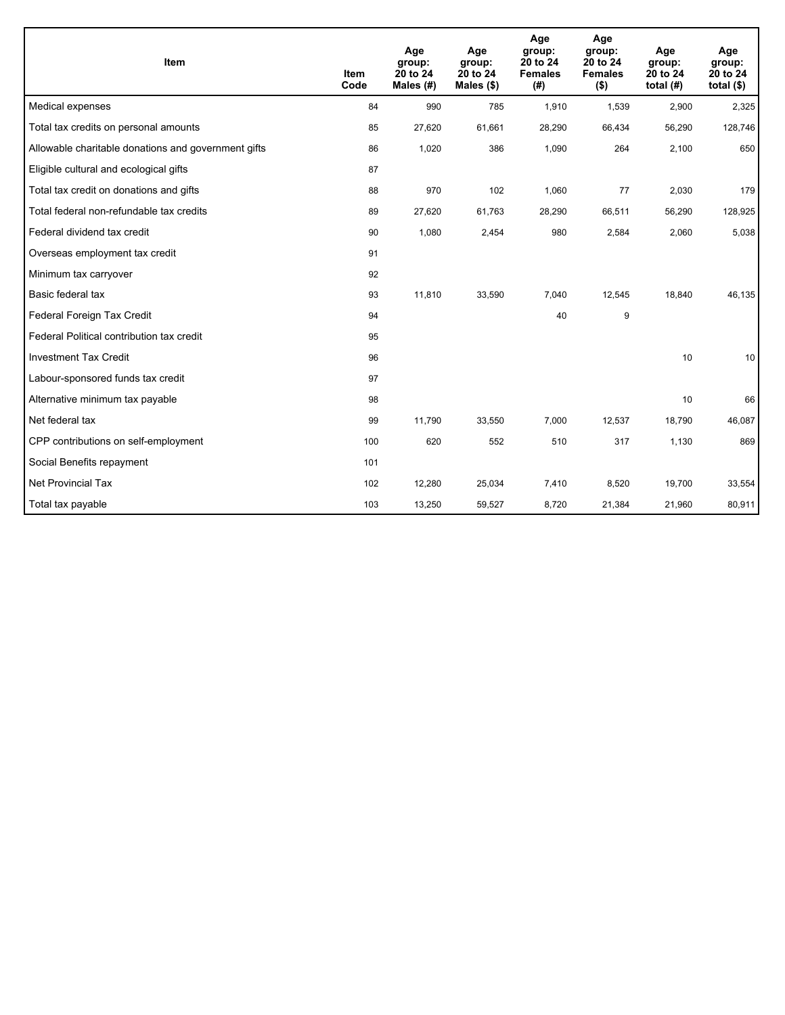| Item                                                | <b>Item</b><br>Code | Age<br>group:<br>20 to 24<br>Males $(H)$ | Age<br>group:<br>20 to 24<br>Males (\$) | Age<br>group:<br>20 to 24<br><b>Females</b><br>(# ) | Age<br>group:<br>20 to 24<br><b>Females</b><br>$($ \$) | Age<br>group:<br>20 to 24<br>total $(H)$ | Age<br>group:<br>20 to 24<br>total $($)$ |
|-----------------------------------------------------|---------------------|------------------------------------------|-----------------------------------------|-----------------------------------------------------|--------------------------------------------------------|------------------------------------------|------------------------------------------|
| Medical expenses                                    | 84                  | 990                                      | 785                                     | 1,910                                               | 1,539                                                  | 2,900                                    | 2,325                                    |
| Total tax credits on personal amounts               | 85                  | 27,620                                   | 61,661                                  | 28,290                                              | 66,434                                                 | 56,290                                   | 128,746                                  |
| Allowable charitable donations and government gifts | 86                  | 1,020                                    | 386                                     | 1,090                                               | 264                                                    | 2,100                                    | 650                                      |
| Eligible cultural and ecological gifts              | 87                  |                                          |                                         |                                                     |                                                        |                                          |                                          |
| Total tax credit on donations and gifts             | 88                  | 970                                      | 102                                     | 1,060                                               | 77                                                     | 2,030                                    | 179                                      |
| Total federal non-refundable tax credits            | 89                  | 27,620                                   | 61,763                                  | 28,290                                              | 66,511                                                 | 56,290                                   | 128,925                                  |
| Federal dividend tax credit                         | 90                  | 1,080                                    | 2,454                                   | 980                                                 | 2,584                                                  | 2,060                                    | 5,038                                    |
| Overseas employment tax credit                      | 91                  |                                          |                                         |                                                     |                                                        |                                          |                                          |
| Minimum tax carryover                               | 92                  |                                          |                                         |                                                     |                                                        |                                          |                                          |
| Basic federal tax                                   | 93                  | 11,810                                   | 33,590                                  | 7,040                                               | 12,545                                                 | 18,840                                   | 46,135                                   |
| Federal Foreign Tax Credit                          | 94                  |                                          |                                         | 40                                                  | 9                                                      |                                          |                                          |
| Federal Political contribution tax credit           | 95                  |                                          |                                         |                                                     |                                                        |                                          |                                          |
| <b>Investment Tax Credit</b>                        | 96                  |                                          |                                         |                                                     |                                                        | 10                                       | 10                                       |
| Labour-sponsored funds tax credit                   | 97                  |                                          |                                         |                                                     |                                                        |                                          |                                          |
| Alternative minimum tax payable                     | 98                  |                                          |                                         |                                                     |                                                        | 10                                       | 66                                       |
| Net federal tax                                     | 99                  | 11,790                                   | 33,550                                  | 7,000                                               | 12,537                                                 | 18,790                                   | 46,087                                   |
| CPP contributions on self-employment                | 100                 | 620                                      | 552                                     | 510                                                 | 317                                                    | 1,130                                    | 869                                      |
| Social Benefits repayment                           | 101                 |                                          |                                         |                                                     |                                                        |                                          |                                          |
| Net Provincial Tax                                  | 102                 | 12,280                                   | 25,034                                  | 7,410                                               | 8,520                                                  | 19,700                                   | 33,554                                   |
| Total tax payable                                   | 103                 | 13,250                                   | 59,527                                  | 8,720                                               | 21,384                                                 | 21,960                                   | 80,911                                   |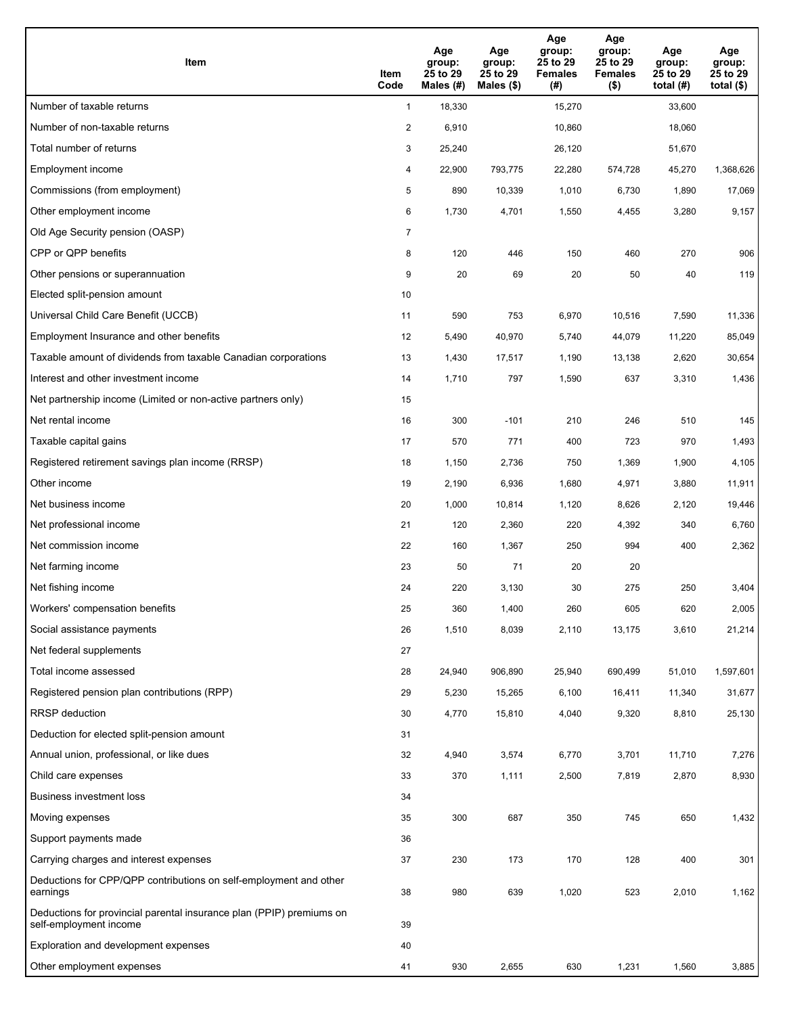| Item                                                                                           | Item<br>Code   | Age<br>group:<br>25 to 29<br>Males (#) | Age<br>group:<br>25 to 29<br>Males (\$) | Age<br>group:<br>25 to 29<br><b>Females</b><br>(#) | Age<br>group:<br>25 to 29<br><b>Females</b><br>$($ \$) | Age<br>group:<br>25 to 29<br>total $(#)$ | Age<br>group:<br>25 to 29<br>total $($ |
|------------------------------------------------------------------------------------------------|----------------|----------------------------------------|-----------------------------------------|----------------------------------------------------|--------------------------------------------------------|------------------------------------------|----------------------------------------|
| Number of taxable returns                                                                      | $\mathbf{1}$   | 18,330                                 |                                         | 15,270                                             |                                                        | 33,600                                   |                                        |
| Number of non-taxable returns                                                                  | $\overline{2}$ | 6,910                                  |                                         | 10,860                                             |                                                        | 18,060                                   |                                        |
| Total number of returns                                                                        | 3              | 25,240                                 |                                         | 26,120                                             |                                                        | 51,670                                   |                                        |
| <b>Employment income</b>                                                                       | 4              | 22,900                                 | 793,775                                 | 22,280                                             | 574,728                                                | 45,270                                   | 1,368,626                              |
| Commissions (from employment)                                                                  | 5              | 890                                    | 10,339                                  | 1,010                                              | 6,730                                                  | 1,890                                    | 17,069                                 |
| Other employment income                                                                        | 6              | 1,730                                  | 4,701                                   | 1,550                                              | 4,455                                                  | 3,280                                    | 9,157                                  |
| Old Age Security pension (OASP)                                                                | $\overline{7}$ |                                        |                                         |                                                    |                                                        |                                          |                                        |
| CPP or QPP benefits                                                                            | 8              | 120                                    | 446                                     | 150                                                | 460                                                    | 270                                      | 906                                    |
| Other pensions or superannuation                                                               | 9              | 20                                     | 69                                      | 20                                                 | 50                                                     | 40                                       | 119                                    |
| Elected split-pension amount                                                                   | 10             |                                        |                                         |                                                    |                                                        |                                          |                                        |
| Universal Child Care Benefit (UCCB)                                                            | 11             | 590                                    | 753                                     | 6,970                                              | 10,516                                                 | 7,590                                    | 11,336                                 |
| Employment Insurance and other benefits                                                        | 12             | 5,490                                  | 40,970                                  | 5,740                                              | 44,079                                                 | 11,220                                   | 85,049                                 |
| Taxable amount of dividends from taxable Canadian corporations                                 | 13             | 1,430                                  | 17,517                                  | 1,190                                              | 13,138                                                 | 2,620                                    | 30,654                                 |
| Interest and other investment income                                                           | 14             | 1,710                                  | 797                                     | 1,590                                              | 637                                                    | 3,310                                    | 1,436                                  |
| Net partnership income (Limited or non-active partners only)                                   | 15             |                                        |                                         |                                                    |                                                        |                                          |                                        |
| Net rental income                                                                              | 16             | 300                                    | $-101$                                  | 210                                                | 246                                                    | 510                                      | 145                                    |
| Taxable capital gains                                                                          | 17             | 570                                    | 771                                     | 400                                                | 723                                                    | 970                                      | 1,493                                  |
| Registered retirement savings plan income (RRSP)                                               | 18             | 1,150                                  | 2,736                                   | 750                                                | 1,369                                                  | 1,900                                    | 4,105                                  |
| Other income                                                                                   | 19             | 2,190                                  | 6,936                                   | 1,680                                              | 4,971                                                  | 3,880                                    | 11,911                                 |
| Net business income                                                                            | 20             | 1,000                                  | 10,814                                  | 1,120                                              | 8,626                                                  | 2,120                                    | 19,446                                 |
| Net professional income                                                                        | 21             | 120                                    | 2,360                                   | 220                                                | 4,392                                                  | 340                                      | 6,760                                  |
| Net commission income                                                                          | 22             | 160                                    | 1,367                                   | 250                                                | 994                                                    | 400                                      | 2,362                                  |
| Net farming income                                                                             | 23             | 50                                     | 71                                      | 20                                                 | 20                                                     |                                          |                                        |
| Net fishing income                                                                             | 24             | 220                                    | 3,130                                   | 30                                                 | 275                                                    | 250                                      | 3,404                                  |
| Workers' compensation benefits                                                                 | 25             | 360                                    | 1,400                                   | 260                                                | 605                                                    | 620                                      | 2,005                                  |
| Social assistance payments                                                                     | 26             | 1,510                                  | 8,039                                   | 2,110                                              | 13,175                                                 | 3,610                                    | 21,214                                 |
| Net federal supplements                                                                        | 27             |                                        |                                         |                                                    |                                                        |                                          |                                        |
| Total income assessed                                                                          | 28             | 24,940                                 | 906,890                                 | 25,940                                             | 690,499                                                | 51,010                                   | 1,597,601                              |
| Registered pension plan contributions (RPP)                                                    | 29             | 5,230                                  | 15,265                                  | 6,100                                              | 16,411                                                 | 11,340                                   | 31,677                                 |
| RRSP deduction                                                                                 | 30             | 4,770                                  | 15,810                                  | 4,040                                              | 9,320                                                  | 8,810                                    | 25,130                                 |
| Deduction for elected split-pension amount                                                     | 31             |                                        |                                         |                                                    |                                                        |                                          |                                        |
| Annual union, professional, or like dues                                                       | 32             | 4,940                                  | 3,574                                   | 6,770                                              | 3,701                                                  | 11,710                                   | 7,276                                  |
| Child care expenses                                                                            | 33             | 370                                    | 1,111                                   | 2,500                                              | 7,819                                                  | 2,870                                    | 8,930                                  |
| Business investment loss                                                                       | 34             |                                        |                                         |                                                    |                                                        |                                          |                                        |
| Moving expenses                                                                                | 35             | 300                                    | 687                                     | 350                                                | 745                                                    | 650                                      | 1,432                                  |
| Support payments made                                                                          | 36             |                                        |                                         |                                                    |                                                        |                                          |                                        |
| Carrying charges and interest expenses                                                         | 37             | 230                                    | 173                                     | 170                                                | 128                                                    | 400                                      | 301                                    |
| Deductions for CPP/QPP contributions on self-employment and other<br>earnings                  | 38             | 980                                    | 639                                     | 1,020                                              | 523                                                    | 2,010                                    | 1,162                                  |
| Deductions for provincial parental insurance plan (PPIP) premiums on<br>self-employment income | 39             |                                        |                                         |                                                    |                                                        |                                          |                                        |
| Exploration and development expenses                                                           | 40             |                                        |                                         |                                                    |                                                        |                                          |                                        |
| Other employment expenses                                                                      | 41             | 930                                    | 2,655                                   | 630                                                | 1,231                                                  | 1,560                                    | 3,885                                  |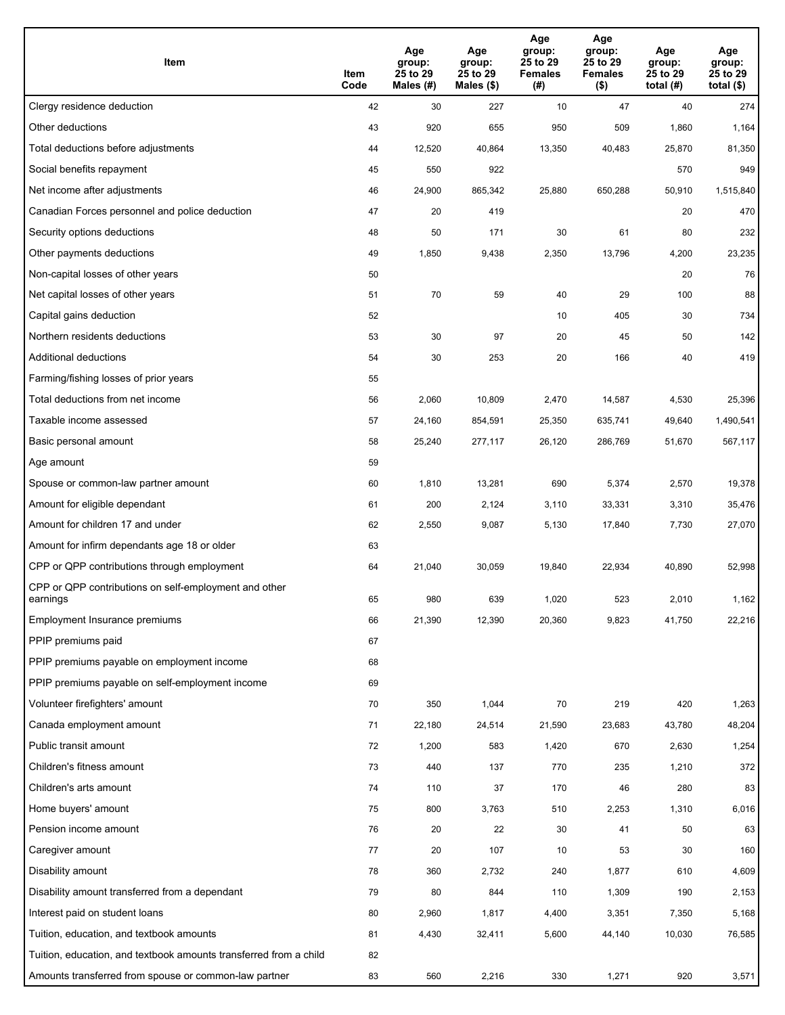| Item                                                              | Item<br>Code | Age<br>group:<br>25 to 29<br>Males (#) | Age<br>group:<br>25 to 29<br>Males (\$) | Age<br>group:<br>25 to 29<br><b>Females</b><br>(# ) | Age<br>group:<br>25 to 29<br>Females<br>$($ \$) | Age<br>group:<br>25 to 29<br>total (#) | Age<br>group:<br>25 to 29<br>total $($)$ |
|-------------------------------------------------------------------|--------------|----------------------------------------|-----------------------------------------|-----------------------------------------------------|-------------------------------------------------|----------------------------------------|------------------------------------------|
| Clergy residence deduction                                        | 42           | 30                                     | 227                                     | 10                                                  | 47                                              | 40                                     | 274                                      |
| Other deductions                                                  | 43           | 920                                    | 655                                     | 950                                                 | 509                                             | 1,860                                  | 1,164                                    |
| Total deductions before adjustments                               | 44           | 12,520                                 | 40,864                                  | 13,350                                              | 40,483                                          | 25,870                                 | 81,350                                   |
| Social benefits repayment                                         | 45           | 550                                    | 922                                     |                                                     |                                                 | 570                                    | 949                                      |
| Net income after adjustments                                      | 46           | 24,900                                 | 865,342                                 | 25,880                                              | 650,288                                         | 50,910                                 | 1,515,840                                |
| Canadian Forces personnel and police deduction                    | 47           | 20                                     | 419                                     |                                                     |                                                 | 20                                     | 470                                      |
| Security options deductions                                       | 48           | 50                                     | 171                                     | 30                                                  | 61                                              | 80                                     | 232                                      |
| Other payments deductions                                         | 49           | 1,850                                  | 9,438                                   | 2,350                                               | 13,796                                          | 4,200                                  | 23,235                                   |
| Non-capital losses of other years                                 | 50           |                                        |                                         |                                                     |                                                 | 20                                     | 76                                       |
| Net capital losses of other years                                 | 51           | 70                                     | 59                                      | 40                                                  | 29                                              | 100                                    | 88                                       |
| Capital gains deduction                                           | 52           |                                        |                                         | 10                                                  | 405                                             | 30                                     | 734                                      |
| Northern residents deductions                                     | 53           | 30                                     | 97                                      | 20                                                  | 45                                              | 50                                     | 142                                      |
| Additional deductions                                             | 54           | 30                                     | 253                                     | 20                                                  | 166                                             | 40                                     | 419                                      |
| Farming/fishing losses of prior years                             | 55           |                                        |                                         |                                                     |                                                 |                                        |                                          |
| Total deductions from net income                                  | 56           | 2,060                                  | 10,809                                  | 2,470                                               | 14,587                                          | 4,530                                  | 25,396                                   |
| Taxable income assessed                                           | 57           | 24,160                                 | 854,591                                 | 25,350                                              | 635,741                                         | 49,640                                 | 1,490,541                                |
| Basic personal amount                                             | 58           | 25,240                                 | 277,117                                 | 26,120                                              | 286,769                                         | 51,670                                 | 567,117                                  |
| Age amount                                                        | 59           |                                        |                                         |                                                     |                                                 |                                        |                                          |
| Spouse or common-law partner amount                               | 60           | 1,810                                  | 13,281                                  | 690                                                 | 5,374                                           | 2,570                                  | 19,378                                   |
| Amount for eligible dependant                                     | 61           | 200                                    | 2,124                                   | 3,110                                               | 33,331                                          | 3,310                                  | 35,476                                   |
| Amount for children 17 and under                                  | 62           | 2,550                                  | 9,087                                   | 5,130                                               | 17,840                                          | 7,730                                  | 27,070                                   |
| Amount for infirm dependants age 18 or older                      | 63           |                                        |                                         |                                                     |                                                 |                                        |                                          |
| CPP or QPP contributions through employment                       | 64           | 21,040                                 | 30,059                                  | 19,840                                              | 22,934                                          | 40,890                                 | 52,998                                   |
| CPP or QPP contributions on self-employment and other<br>earnings | 65           | 980                                    | 639                                     | 1,020                                               | 523                                             | 2,010                                  | 1,162                                    |
| Employment Insurance premiums                                     | 66           | 21,390                                 | 12,390                                  | 20,360                                              | 9,823                                           | 41,750                                 | 22,216                                   |
| PPIP premiums paid                                                | 67           |                                        |                                         |                                                     |                                                 |                                        |                                          |
| PPIP premiums payable on employment income                        | 68           |                                        |                                         |                                                     |                                                 |                                        |                                          |
| PPIP premiums payable on self-employment income                   | 69           |                                        |                                         |                                                     |                                                 |                                        |                                          |
| Volunteer firefighters' amount                                    | 70           | 350                                    | 1,044                                   | 70                                                  | 219                                             | 420                                    | 1,263                                    |
| Canada employment amount                                          | 71           | 22,180                                 | 24,514                                  | 21,590                                              | 23,683                                          | 43,780                                 | 48,204                                   |
| Public transit amount                                             | 72           | 1,200                                  | 583                                     | 1,420                                               | 670                                             | 2,630                                  | 1,254                                    |
| Children's fitness amount                                         | 73           | 440                                    | 137                                     | 770                                                 | 235                                             | 1,210                                  | 372                                      |
| Children's arts amount                                            | 74           | 110                                    | 37                                      | 170                                                 | 46                                              | 280                                    | 83                                       |
| Home buyers' amount                                               | 75           | 800                                    | 3,763                                   | 510                                                 | 2,253                                           | 1,310                                  | 6,016                                    |
| Pension income amount                                             | 76           | 20                                     | 22                                      | 30                                                  | 41                                              | 50                                     | 63                                       |
| Caregiver amount                                                  | 77           | 20                                     | 107                                     | 10                                                  | 53                                              | 30                                     | 160                                      |
| Disability amount                                                 | 78           | 360                                    | 2,732                                   | 240                                                 | 1,877                                           | 610                                    | 4,609                                    |
| Disability amount transferred from a dependant                    | 79           | 80                                     | 844                                     | 110                                                 | 1,309                                           | 190                                    | 2,153                                    |
| Interest paid on student loans                                    | 80           | 2,960                                  | 1,817                                   | 4,400                                               | 3,351                                           | 7,350                                  | 5,168                                    |
| Tuition, education, and textbook amounts                          | 81           | 4,430                                  | 32,411                                  | 5,600                                               | 44,140                                          | 10,030                                 | 76,585                                   |
| Tuition, education, and textbook amounts transferred from a child | 82           |                                        |                                         |                                                     |                                                 |                                        |                                          |
| Amounts transferred from spouse or common-law partner             | 83           | 560                                    | 2,216                                   | 330                                                 | 1,271                                           | 920                                    | 3,571                                    |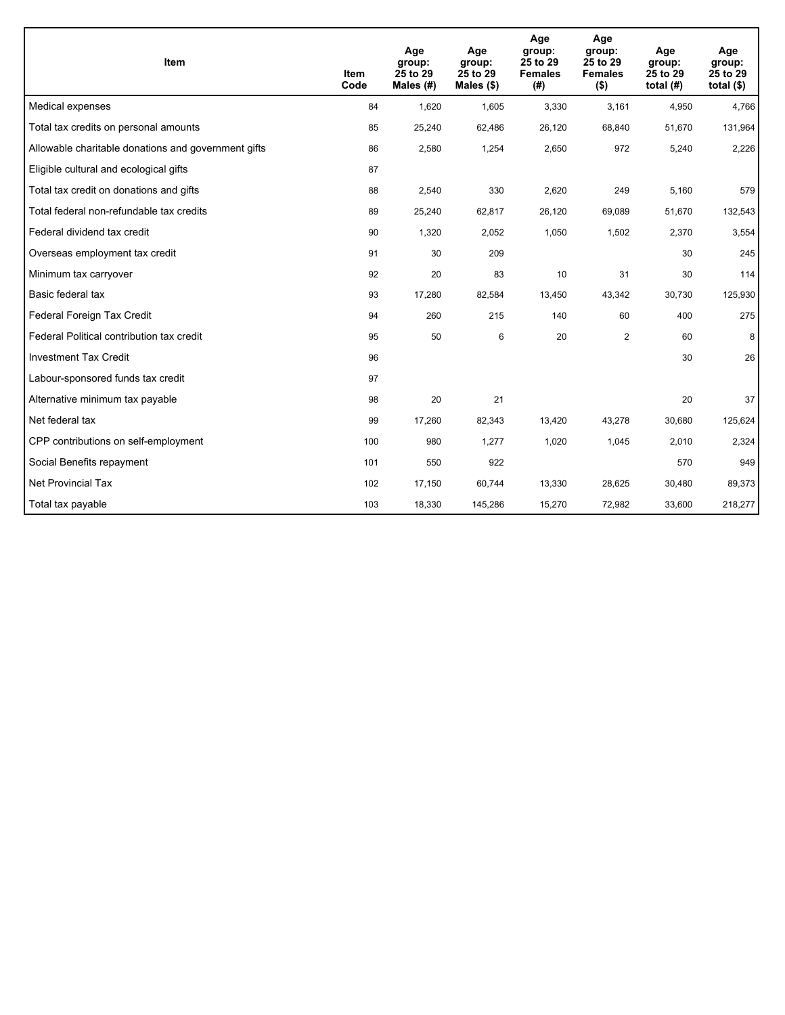| Item                                                | <b>Item</b><br>Code | Age<br>group:<br>25 to 29<br>Males (#) | Age<br>group:<br>25 to 29<br>Males $(\$)$ | Age<br>group:<br>25 to 29<br><b>Females</b><br>(#) | Age<br>group:<br>25 to 29<br><b>Females</b><br>$($ \$) | Age<br>group:<br>25 to 29<br>total $(H)$ | Age<br>group:<br>25 to 29<br>total $($)$ |
|-----------------------------------------------------|---------------------|----------------------------------------|-------------------------------------------|----------------------------------------------------|--------------------------------------------------------|------------------------------------------|------------------------------------------|
| Medical expenses                                    | 84                  | 1,620                                  | 1,605                                     | 3,330                                              | 3,161                                                  | 4,950                                    | 4,766                                    |
| Total tax credits on personal amounts               | 85                  | 25,240                                 | 62,486                                    | 26,120                                             | 68,840                                                 | 51,670                                   | 131,964                                  |
| Allowable charitable donations and government gifts | 86                  | 2,580                                  | 1,254                                     | 2,650                                              | 972                                                    | 5,240                                    | 2,226                                    |
| Eligible cultural and ecological gifts              | 87                  |                                        |                                           |                                                    |                                                        |                                          |                                          |
| Total tax credit on donations and gifts             | 88                  | 2,540                                  | 330                                       | 2,620                                              | 249                                                    | 5,160                                    | 579                                      |
| Total federal non-refundable tax credits            | 89                  | 25,240                                 | 62,817                                    | 26,120                                             | 69,089                                                 | 51,670                                   | 132,543                                  |
| Federal dividend tax credit                         | 90                  | 1,320                                  | 2,052                                     | 1,050                                              | 1,502                                                  | 2,370                                    | 3,554                                    |
| Overseas employment tax credit                      | 91                  | 30                                     | 209                                       |                                                    |                                                        | 30                                       | 245                                      |
| Minimum tax carryover                               | 92                  | 20                                     | 83                                        | 10                                                 | 31                                                     | 30                                       | 114                                      |
| Basic federal tax                                   | 93                  | 17,280                                 | 82,584                                    | 13,450                                             | 43,342                                                 | 30,730                                   | 125,930                                  |
| Federal Foreign Tax Credit                          | 94                  | 260                                    | 215                                       | 140                                                | 60                                                     | 400                                      | 275                                      |
| Federal Political contribution tax credit           | 95                  | 50                                     | 6                                         | 20                                                 | $\overline{2}$                                         | 60                                       | 8                                        |
| <b>Investment Tax Credit</b>                        | 96                  |                                        |                                           |                                                    |                                                        | 30                                       | 26                                       |
| Labour-sponsored funds tax credit                   | 97                  |                                        |                                           |                                                    |                                                        |                                          |                                          |
| Alternative minimum tax payable                     | 98                  | 20                                     | 21                                        |                                                    |                                                        | 20                                       | 37                                       |
| Net federal tax                                     | 99                  | 17,260                                 | 82,343                                    | 13,420                                             | 43,278                                                 | 30,680                                   | 125,624                                  |
| CPP contributions on self-employment                | 100                 | 980                                    | 1,277                                     | 1,020                                              | 1,045                                                  | 2,010                                    | 2,324                                    |
| Social Benefits repayment                           | 101                 | 550                                    | 922                                       |                                                    |                                                        | 570                                      | 949                                      |
| Net Provincial Tax                                  | 102                 | 17,150                                 | 60,744                                    | 13,330                                             | 28,625                                                 | 30,480                                   | 89,373                                   |
| Total tax payable                                   | 103                 | 18,330                                 | 145,286                                   | 15,270                                             | 72,982                                                 | 33,600                                   | 218,277                                  |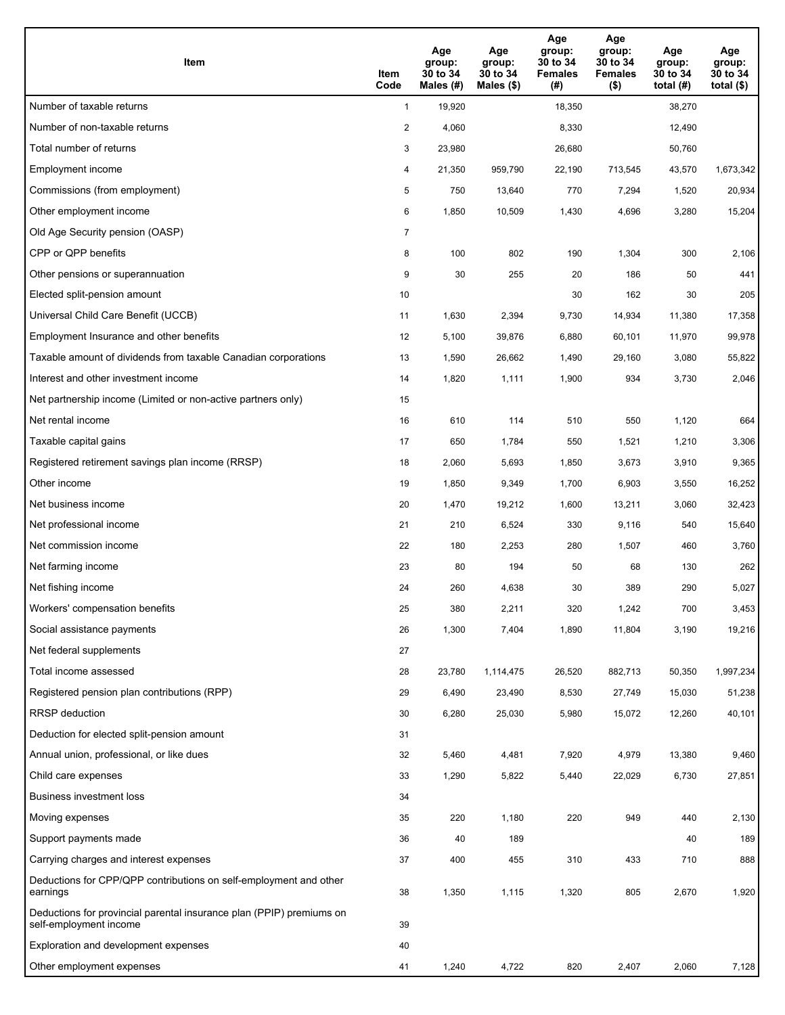| Item                                                                                           | Item<br>Code   | Age<br>group:<br>30 to 34<br>Males (#) | Age<br>group:<br>30 to 34<br>Males $(\$)$ | Age<br>group:<br>30 to 34<br><b>Females</b><br>(#) | Age<br>group:<br>30 to 34<br><b>Females</b><br>$($ \$) | Age<br>group:<br>30 to 34<br>total $(H)$ | Age<br>group:<br>30 to 34<br>total $($)$ |
|------------------------------------------------------------------------------------------------|----------------|----------------------------------------|-------------------------------------------|----------------------------------------------------|--------------------------------------------------------|------------------------------------------|------------------------------------------|
| Number of taxable returns                                                                      | $\mathbf{1}$   | 19,920                                 |                                           | 18,350                                             |                                                        | 38,270                                   |                                          |
| Number of non-taxable returns                                                                  | $\overline{c}$ | 4,060                                  |                                           | 8,330                                              |                                                        | 12,490                                   |                                          |
| Total number of returns                                                                        | 3              | 23,980                                 |                                           | 26,680                                             |                                                        | 50,760                                   |                                          |
| Employment income                                                                              | 4              | 21,350                                 | 959,790                                   | 22,190                                             | 713,545                                                | 43,570                                   | 1,673,342                                |
| Commissions (from employment)                                                                  | 5              | 750                                    | 13,640                                    | 770                                                | 7,294                                                  | 1,520                                    | 20,934                                   |
| Other employment income                                                                        | 6              | 1,850                                  | 10,509                                    | 1,430                                              | 4,696                                                  | 3,280                                    | 15,204                                   |
| Old Age Security pension (OASP)                                                                | $\overline{7}$ |                                        |                                           |                                                    |                                                        |                                          |                                          |
| CPP or QPP benefits                                                                            | 8              | 100                                    | 802                                       | 190                                                | 1,304                                                  | 300                                      | 2,106                                    |
| Other pensions or superannuation                                                               | 9              | 30                                     | 255                                       | 20                                                 | 186                                                    | 50                                       | 441                                      |
| Elected split-pension amount                                                                   | 10             |                                        |                                           | 30                                                 | 162                                                    | 30                                       | 205                                      |
| Universal Child Care Benefit (UCCB)                                                            | 11             | 1,630                                  | 2,394                                     | 9,730                                              | 14,934                                                 | 11,380                                   | 17,358                                   |
| Employment Insurance and other benefits                                                        | 12             | 5,100                                  | 39,876                                    | 6,880                                              | 60,101                                                 | 11,970                                   | 99,978                                   |
| Taxable amount of dividends from taxable Canadian corporations                                 | 13             | 1,590                                  | 26,662                                    | 1,490                                              | 29,160                                                 | 3,080                                    | 55,822                                   |
| Interest and other investment income                                                           | 14             | 1,820                                  | 1,111                                     | 1,900                                              | 934                                                    | 3,730                                    | 2,046                                    |
| Net partnership income (Limited or non-active partners only)                                   | 15             |                                        |                                           |                                                    |                                                        |                                          |                                          |
| Net rental income                                                                              | 16             | 610                                    | 114                                       | 510                                                | 550                                                    | 1,120                                    | 664                                      |
| Taxable capital gains                                                                          | 17             | 650                                    | 1,784                                     | 550                                                | 1,521                                                  | 1,210                                    | 3,306                                    |
| Registered retirement savings plan income (RRSP)                                               | 18             | 2,060                                  | 5,693                                     | 1,850                                              | 3,673                                                  | 3,910                                    | 9,365                                    |
| Other income                                                                                   | 19             | 1,850                                  | 9,349                                     | 1,700                                              | 6,903                                                  | 3,550                                    | 16,252                                   |
| Net business income                                                                            | 20             | 1,470                                  | 19,212                                    | 1,600                                              | 13,211                                                 | 3,060                                    | 32,423                                   |
| Net professional income                                                                        | 21             | 210                                    | 6,524                                     | 330                                                | 9,116                                                  | 540                                      | 15,640                                   |
| Net commission income                                                                          | 22             | 180                                    | 2,253                                     | 280                                                | 1,507                                                  | 460                                      | 3,760                                    |
| Net farming income                                                                             | 23             | 80                                     | 194                                       | 50                                                 | 68                                                     | 130                                      | 262                                      |
| Net fishing income                                                                             | 24             | 260                                    | 4,638                                     | 30                                                 | 389                                                    | 290                                      | 5,027                                    |
| Workers' compensation benefits                                                                 | 25             | 380                                    | 2,211                                     | 320                                                | 1,242                                                  | 700                                      | 3,453                                    |
| Social assistance payments                                                                     | 26             | 1,300                                  | 7,404                                     | 1,890                                              | 11,804                                                 | 3,190                                    | 19,216                                   |
| Net federal supplements                                                                        | 27             |                                        |                                           |                                                    |                                                        |                                          |                                          |
| Total income assessed                                                                          | 28             | 23,780                                 | 1,114,475                                 | 26,520                                             | 882,713                                                | 50,350                                   | 1,997,234                                |
| Registered pension plan contributions (RPP)                                                    | 29             | 6,490                                  | 23,490                                    | 8,530                                              | 27,749                                                 | 15,030                                   | 51,238                                   |
| <b>RRSP</b> deduction                                                                          | 30             | 6,280                                  | 25,030                                    | 5,980                                              | 15,072                                                 | 12,260                                   | 40,101                                   |
| Deduction for elected split-pension amount                                                     | 31             |                                        |                                           |                                                    |                                                        |                                          |                                          |
| Annual union, professional, or like dues                                                       | 32             | 5,460                                  | 4,481                                     | 7,920                                              | 4,979                                                  | 13,380                                   | 9,460                                    |
| Child care expenses                                                                            | 33             | 1,290                                  | 5,822                                     | 5,440                                              | 22,029                                                 | 6,730                                    | 27,851                                   |
| <b>Business investment loss</b>                                                                | 34             |                                        |                                           |                                                    |                                                        |                                          |                                          |
| Moving expenses                                                                                | 35             | 220                                    | 1,180                                     | 220                                                | 949                                                    | 440                                      | 2,130                                    |
| Support payments made                                                                          | 36             | 40                                     | 189                                       |                                                    |                                                        | 40                                       | 189                                      |
| Carrying charges and interest expenses                                                         | 37             | 400                                    | 455                                       | 310                                                | 433                                                    | 710                                      | 888                                      |
| Deductions for CPP/QPP contributions on self-employment and other<br>earnings                  | 38             | 1,350                                  | 1,115                                     | 1,320                                              | 805                                                    | 2,670                                    | 1,920                                    |
| Deductions for provincial parental insurance plan (PPIP) premiums on<br>self-employment income | 39             |                                        |                                           |                                                    |                                                        |                                          |                                          |
| Exploration and development expenses                                                           | 40             |                                        |                                           |                                                    |                                                        |                                          |                                          |
| Other employment expenses                                                                      | 41             | 1,240                                  | 4,722                                     | 820                                                | 2,407                                                  | 2,060                                    | 7,128                                    |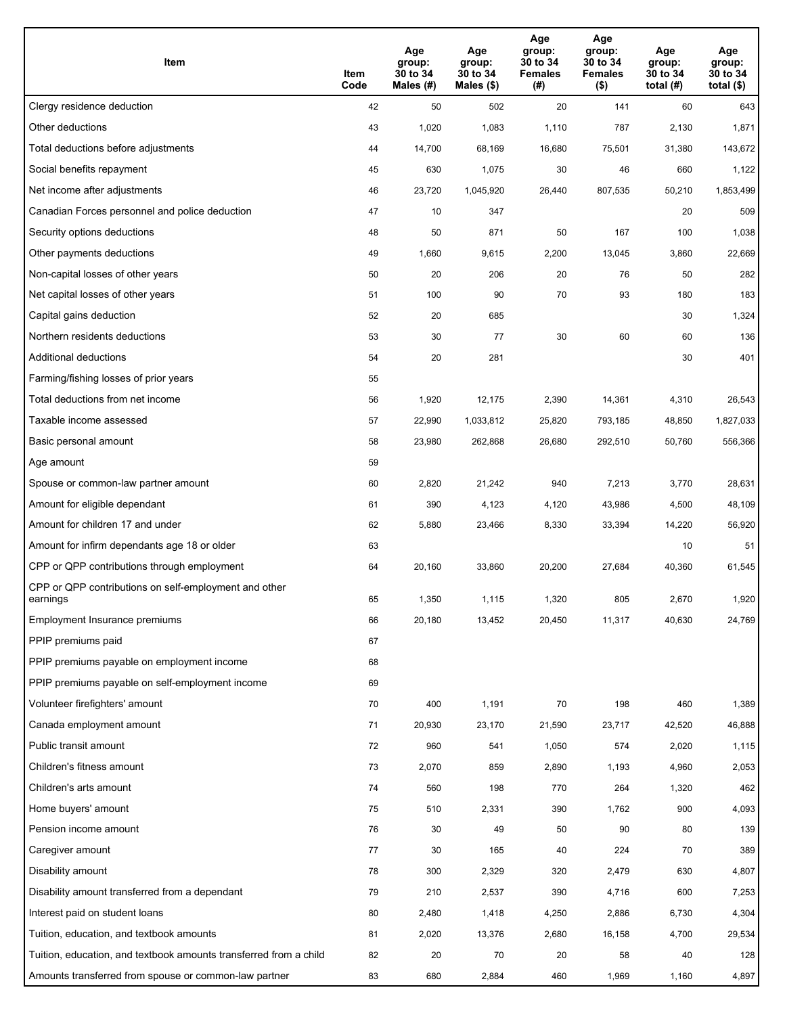| Item                                                              | Item<br>Code | Age<br>group:<br>30 to 34<br>Males (#) | Age<br>group:<br>30 to 34<br>Males (\$) | Age<br>group:<br>30 to 34<br><b>Females</b><br>(# ) | Age<br>group:<br>30 to 34<br><b>Females</b><br>$($ \$) | Age<br>group:<br>30 to 34<br>total $(H)$ | Age<br>group:<br>30 to 34<br>total $($)$ |
|-------------------------------------------------------------------|--------------|----------------------------------------|-----------------------------------------|-----------------------------------------------------|--------------------------------------------------------|------------------------------------------|------------------------------------------|
| Clergy residence deduction                                        | 42           | 50                                     | 502                                     | 20                                                  | 141                                                    | 60                                       | 643                                      |
| Other deductions                                                  | 43           | 1,020                                  | 1,083                                   | 1,110                                               | 787                                                    | 2,130                                    | 1,871                                    |
| Total deductions before adjustments                               | 44           | 14,700                                 | 68,169                                  | 16,680                                              | 75,501                                                 | 31,380                                   | 143,672                                  |
| Social benefits repayment                                         | 45           | 630                                    | 1,075                                   | 30                                                  | 46                                                     | 660                                      | 1,122                                    |
| Net income after adjustments                                      | 46           | 23,720                                 | 1,045,920                               | 26,440                                              | 807,535                                                | 50,210                                   | 1,853,499                                |
| Canadian Forces personnel and police deduction                    | 47           | 10                                     | 347                                     |                                                     |                                                        | 20                                       | 509                                      |
| Security options deductions                                       | 48           | 50                                     | 871                                     | 50                                                  | 167                                                    | 100                                      | 1,038                                    |
| Other payments deductions                                         | 49           | 1,660                                  | 9,615                                   | 2,200                                               | 13,045                                                 | 3,860                                    | 22,669                                   |
| Non-capital losses of other years                                 | 50           | 20                                     | 206                                     | 20                                                  | 76                                                     | 50                                       | 282                                      |
| Net capital losses of other years                                 | 51           | 100                                    | 90                                      | 70                                                  | 93                                                     | 180                                      | 183                                      |
| Capital gains deduction                                           | 52           | 20                                     | 685                                     |                                                     |                                                        | 30                                       | 1,324                                    |
| Northern residents deductions                                     | 53           | 30                                     | 77                                      | 30                                                  | 60                                                     | 60                                       | 136                                      |
| Additional deductions                                             | 54           | 20                                     | 281                                     |                                                     |                                                        | 30                                       | 401                                      |
| Farming/fishing losses of prior years                             | 55           |                                        |                                         |                                                     |                                                        |                                          |                                          |
| Total deductions from net income                                  | 56           | 1,920                                  | 12,175                                  | 2,390                                               | 14,361                                                 | 4,310                                    | 26,543                                   |
| Taxable income assessed                                           | 57           | 22,990                                 | 1,033,812                               | 25,820                                              | 793,185                                                | 48,850                                   | 1,827,033                                |
| Basic personal amount                                             | 58           | 23,980                                 | 262,868                                 | 26,680                                              | 292,510                                                | 50,760                                   | 556,366                                  |
| Age amount                                                        | 59           |                                        |                                         |                                                     |                                                        |                                          |                                          |
| Spouse or common-law partner amount                               | 60           | 2,820                                  | 21,242                                  | 940                                                 | 7,213                                                  | 3,770                                    | 28,631                                   |
| Amount for eligible dependant                                     | 61           | 390                                    | 4,123                                   | 4,120                                               | 43,986                                                 | 4,500                                    | 48,109                                   |
| Amount for children 17 and under                                  | 62           | 5,880                                  | 23,466                                  | 8,330                                               | 33,394                                                 | 14,220                                   | 56,920                                   |
| Amount for infirm dependants age 18 or older                      | 63           |                                        |                                         |                                                     |                                                        | 10                                       | 51                                       |
| CPP or QPP contributions through employment                       | 64           | 20,160                                 | 33,860                                  | 20,200                                              | 27,684                                                 | 40,360                                   | 61,545                                   |
| CPP or QPP contributions on self-employment and other<br>earnings | 65           | 1,350                                  | 1,115                                   | 1,320                                               | 805                                                    | 2,670                                    | 1,920                                    |
| Employment Insurance premiums                                     | 66           | 20,180                                 | 13,452                                  | 20,450                                              | 11,317                                                 | 40,630                                   | 24,769                                   |
| PPIP premiums paid                                                | 67           |                                        |                                         |                                                     |                                                        |                                          |                                          |
| PPIP premiums payable on employment income                        | 68           |                                        |                                         |                                                     |                                                        |                                          |                                          |
| PPIP premiums payable on self-employment income                   | 69           |                                        |                                         |                                                     |                                                        |                                          |                                          |
| Volunteer firefighters' amount                                    | 70           | 400                                    | 1,191                                   | 70                                                  | 198                                                    | 460                                      | 1,389                                    |
| Canada employment amount                                          | 71           | 20,930                                 | 23,170                                  | 21,590                                              | 23,717                                                 | 42,520                                   | 46,888                                   |
| Public transit amount                                             | 72           | 960                                    | 541                                     | 1,050                                               | 574                                                    | 2,020                                    | 1,115                                    |
| Children's fitness amount                                         | 73           | 2,070                                  | 859                                     | 2,890                                               | 1,193                                                  | 4,960                                    | 2,053                                    |
| Children's arts amount                                            | 74           | 560                                    | 198                                     | 770                                                 | 264                                                    | 1,320                                    | 462                                      |
| Home buyers' amount                                               | 75           | 510                                    | 2,331                                   | 390                                                 | 1,762                                                  | 900                                      | 4,093                                    |
| Pension income amount                                             | 76           | 30                                     | 49                                      | 50                                                  | 90                                                     | 80                                       | 139                                      |
| Caregiver amount                                                  | 77           | 30                                     | 165                                     | 40                                                  | 224                                                    | 70                                       | 389                                      |
| Disability amount                                                 | 78           | 300                                    | 2,329                                   | 320                                                 | 2,479                                                  | 630                                      | 4,807                                    |
| Disability amount transferred from a dependant                    | 79           | 210                                    | 2,537                                   | 390                                                 | 4,716                                                  | 600                                      | 7,253                                    |
| Interest paid on student loans                                    | 80           | 2,480                                  | 1,418                                   | 4,250                                               | 2,886                                                  | 6,730                                    | 4,304                                    |
| Tuition, education, and textbook amounts                          | 81           | 2,020                                  | 13,376                                  | 2,680                                               | 16,158                                                 | 4,700                                    | 29,534                                   |
| Tuition, education, and textbook amounts transferred from a child | 82           | 20                                     | 70                                      | 20                                                  | 58                                                     | 40                                       | 128                                      |
| Amounts transferred from spouse or common-law partner             | 83           | 680                                    | 2,884                                   | 460                                                 | 1,969                                                  | 1,160                                    | 4,897                                    |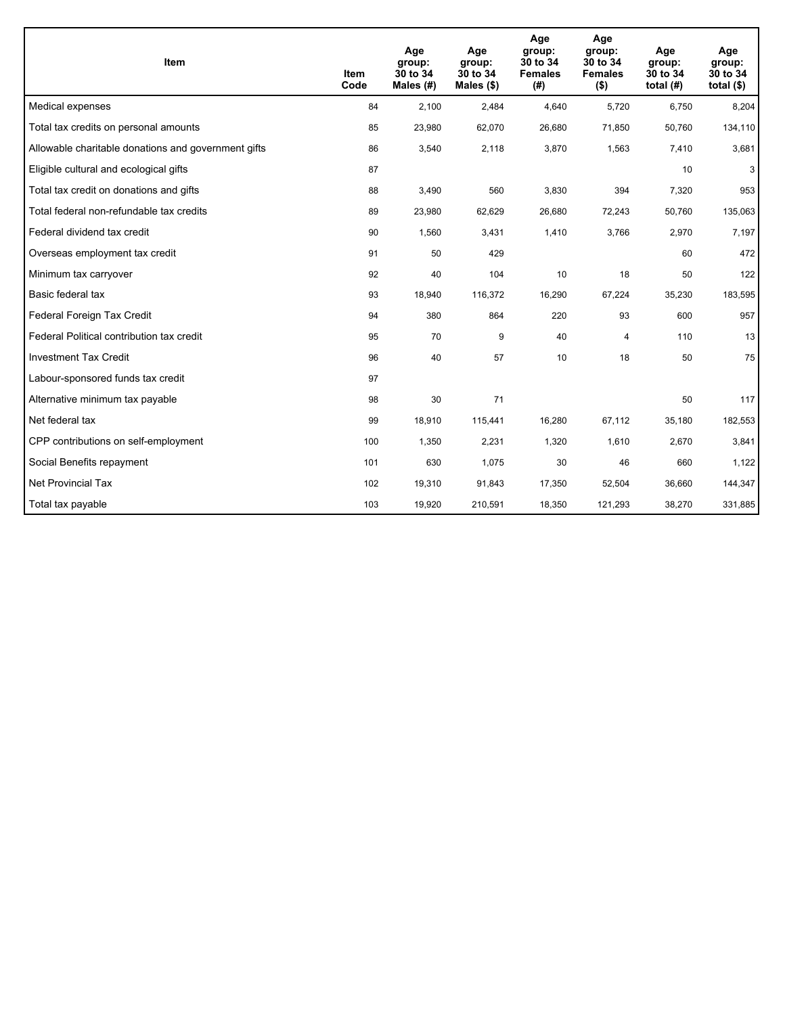| <b>Item</b>                                         | Item<br>Code | Age<br>group:<br>30 to 34<br>Males $(H)$ | Age<br>group:<br>30 to 34<br>Males $(\$)$ | Age<br>group:<br>30 to 34<br><b>Females</b><br>(# ) | Age<br>group:<br>30 to 34<br><b>Females</b><br>$($ \$) | Age<br>group:<br>30 to 34<br>total $(H)$ | Age<br>group:<br>30 to 34<br>total $($)$ |
|-----------------------------------------------------|--------------|------------------------------------------|-------------------------------------------|-----------------------------------------------------|--------------------------------------------------------|------------------------------------------|------------------------------------------|
| Medical expenses                                    | 84           | 2,100                                    | 2,484                                     | 4,640                                               | 5,720                                                  | 6,750                                    | 8,204                                    |
| Total tax credits on personal amounts               | 85           | 23,980                                   | 62,070                                    | 26,680                                              | 71,850                                                 | 50,760                                   | 134,110                                  |
| Allowable charitable donations and government gifts | 86           | 3,540                                    | 2,118                                     | 3,870                                               | 1,563                                                  | 7,410                                    | 3,681                                    |
| Eligible cultural and ecological gifts              | 87           |                                          |                                           |                                                     |                                                        | 10                                       | 3 <sup>1</sup>                           |
| Total tax credit on donations and gifts             | 88           | 3,490                                    | 560                                       | 3,830                                               | 394                                                    | 7,320                                    | 953                                      |
| Total federal non-refundable tax credits            | 89           | 23,980                                   | 62,629                                    | 26,680                                              | 72,243                                                 | 50,760                                   | 135,063                                  |
| Federal dividend tax credit                         | 90           | 1,560                                    | 3,431                                     | 1,410                                               | 3,766                                                  | 2,970                                    | 7,197                                    |
| Overseas employment tax credit                      | 91           | 50                                       | 429                                       |                                                     |                                                        | 60                                       | 472                                      |
| Minimum tax carryover                               | 92           | 40                                       | 104                                       | 10                                                  | 18                                                     | 50                                       | 122                                      |
| Basic federal tax                                   | 93           | 18,940                                   | 116,372                                   | 16,290                                              | 67,224                                                 | 35,230                                   | 183,595                                  |
| Federal Foreign Tax Credit                          | 94           | 380                                      | 864                                       | 220                                                 | 93                                                     | 600                                      | 957                                      |
| Federal Political contribution tax credit           | 95           | 70                                       | 9                                         | 40                                                  | $\overline{4}$                                         | 110                                      | 13                                       |
| <b>Investment Tax Credit</b>                        | 96           | 40                                       | 57                                        | 10                                                  | 18                                                     | 50                                       | 75                                       |
| Labour-sponsored funds tax credit                   | 97           |                                          |                                           |                                                     |                                                        |                                          |                                          |
| Alternative minimum tax payable                     | 98           | 30                                       | 71                                        |                                                     |                                                        | 50                                       | 117                                      |
| Net federal tax                                     | 99           | 18,910                                   | 115,441                                   | 16,280                                              | 67,112                                                 | 35,180                                   | 182,553                                  |
| CPP contributions on self-employment                | 100          | 1,350                                    | 2,231                                     | 1,320                                               | 1,610                                                  | 2,670                                    | 3,841                                    |
| Social Benefits repayment                           | 101          | 630                                      | 1,075                                     | 30                                                  | 46                                                     | 660                                      | 1,122                                    |
| <b>Net Provincial Tax</b>                           | 102          | 19,310                                   | 91,843                                    | 17,350                                              | 52,504                                                 | 36,660                                   | 144,347                                  |
| Total tax payable                                   | 103          | 19,920                                   | 210,591                                   | 18,350                                              | 121,293                                                | 38,270                                   | 331,885                                  |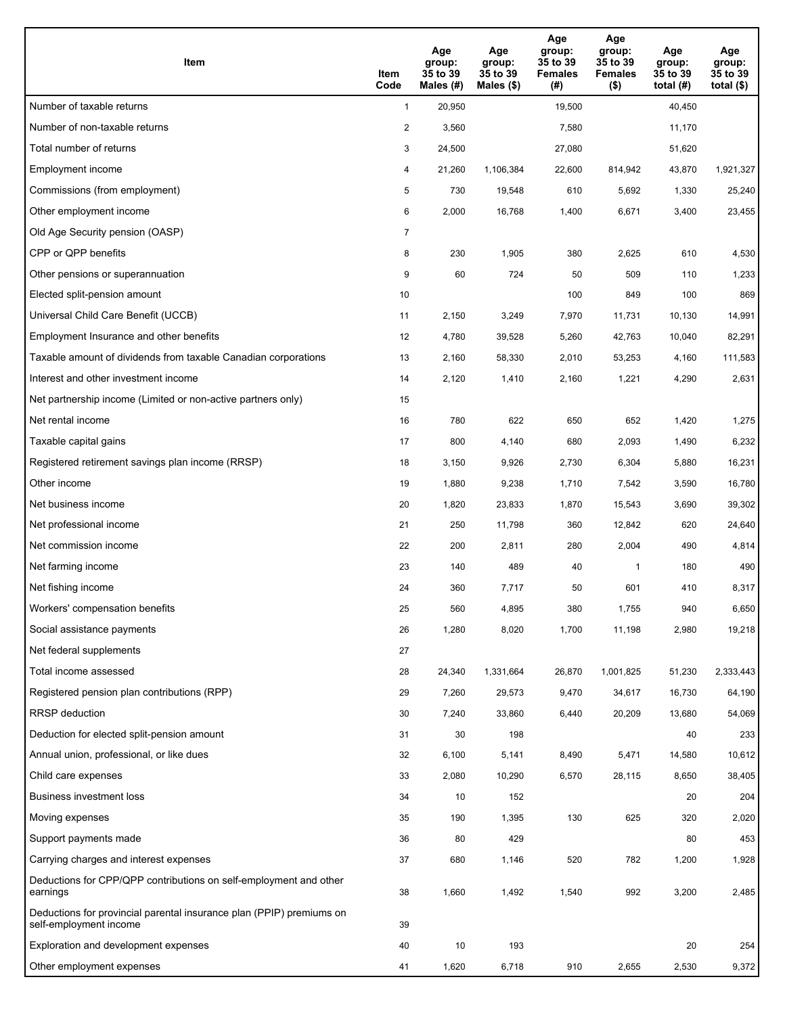| Item                                                                                           | Item<br>Code   | Age<br>group:<br>35 to 39<br>Males (#) | Age<br>group:<br>35 to 39<br>Males $(\$)$ | Age<br>group:<br>35 to 39<br><b>Females</b><br>(#) | Age<br>group:<br>35 to 39<br><b>Females</b><br>$($ \$) | Age<br>group:<br>35 to 39<br>total $(H)$ | Age<br>group:<br>35 to 39<br>total $($ |
|------------------------------------------------------------------------------------------------|----------------|----------------------------------------|-------------------------------------------|----------------------------------------------------|--------------------------------------------------------|------------------------------------------|----------------------------------------|
| Number of taxable returns                                                                      | $\mathbf{1}$   | 20,950                                 |                                           | 19,500                                             |                                                        | 40,450                                   |                                        |
| Number of non-taxable returns                                                                  | $\overline{a}$ | 3,560                                  |                                           | 7,580                                              |                                                        | 11,170                                   |                                        |
| Total number of returns                                                                        | 3              | 24,500                                 |                                           | 27,080                                             |                                                        | 51,620                                   |                                        |
| Employment income                                                                              | 4              | 21,260                                 | 1,106,384                                 | 22,600                                             | 814,942                                                | 43,870                                   | 1,921,327                              |
| Commissions (from employment)                                                                  | 5              | 730                                    | 19,548                                    | 610                                                | 5,692                                                  | 1,330                                    | 25,240                                 |
| Other employment income                                                                        | 6              | 2,000                                  | 16,768                                    | 1,400                                              | 6,671                                                  | 3,400                                    | 23,455                                 |
| Old Age Security pension (OASP)                                                                | 7              |                                        |                                           |                                                    |                                                        |                                          |                                        |
| CPP or QPP benefits                                                                            | 8              | 230                                    | 1,905                                     | 380                                                | 2,625                                                  | 610                                      | 4,530                                  |
| Other pensions or superannuation                                                               | 9              | 60                                     | 724                                       | 50                                                 | 509                                                    | 110                                      | 1,233                                  |
| Elected split-pension amount                                                                   | 10             |                                        |                                           | 100                                                | 849                                                    | 100                                      | 869                                    |
| Universal Child Care Benefit (UCCB)                                                            | 11             | 2,150                                  | 3,249                                     | 7,970                                              | 11,731                                                 | 10,130                                   | 14,991                                 |
| Employment Insurance and other benefits                                                        | 12             | 4,780                                  | 39,528                                    | 5,260                                              | 42,763                                                 | 10,040                                   | 82,291                                 |
| Taxable amount of dividends from taxable Canadian corporations                                 | 13             | 2,160                                  | 58,330                                    | 2,010                                              | 53,253                                                 | 4,160                                    | 111,583                                |
| Interest and other investment income                                                           | 14             | 2,120                                  | 1,410                                     | 2,160                                              | 1,221                                                  | 4,290                                    | 2,631                                  |
| Net partnership income (Limited or non-active partners only)                                   | 15             |                                        |                                           |                                                    |                                                        |                                          |                                        |
| Net rental income                                                                              | 16             | 780                                    | 622                                       | 650                                                | 652                                                    | 1,420                                    | 1,275                                  |
| Taxable capital gains                                                                          | 17             | 800                                    | 4,140                                     | 680                                                | 2,093                                                  | 1,490                                    | 6,232                                  |
| Registered retirement savings plan income (RRSP)                                               | 18             | 3,150                                  | 9,926                                     | 2,730                                              | 6,304                                                  | 5,880                                    | 16,231                                 |
| Other income                                                                                   | 19             | 1,880                                  | 9,238                                     | 1,710                                              | 7,542                                                  | 3,590                                    | 16,780                                 |
| Net business income                                                                            | 20             | 1,820                                  | 23,833                                    | 1,870                                              | 15,543                                                 | 3,690                                    | 39,302                                 |
| Net professional income                                                                        | 21             | 250                                    | 11,798                                    | 360                                                | 12,842                                                 | 620                                      | 24,640                                 |
| Net commission income                                                                          | 22             | 200                                    | 2,811                                     | 280                                                | 2,004                                                  | 490                                      | 4,814                                  |
| Net farming income                                                                             | 23             | 140                                    | 489                                       | 40                                                 | $\mathbf{1}$                                           | 180                                      | 490                                    |
| Net fishing income                                                                             | 24             | 360                                    | 7,717                                     | 50                                                 | 601                                                    | 410                                      | 8,317                                  |
| Workers' compensation benefits                                                                 | 25             | 560                                    | 4,895                                     | 380                                                | 1,755                                                  | 940                                      | 6,650                                  |
| Social assistance payments                                                                     | 26             | 1,280                                  | 8,020                                     | 1,700                                              | 11,198                                                 | 2,980                                    | 19,218                                 |
| Net federal supplements                                                                        | 27             |                                        |                                           |                                                    |                                                        |                                          |                                        |
| Total income assessed                                                                          | 28             | 24,340                                 | 1,331,664                                 | 26,870                                             | 1,001,825                                              | 51,230                                   | 2,333,443                              |
| Registered pension plan contributions (RPP)                                                    | 29             | 7,260                                  | 29,573                                    | 9,470                                              | 34,617                                                 | 16,730                                   | 64,190                                 |
| RRSP deduction                                                                                 | 30             | 7,240                                  | 33,860                                    | 6,440                                              | 20,209                                                 | 13,680                                   | 54,069                                 |
| Deduction for elected split-pension amount                                                     | 31             | 30                                     | 198                                       |                                                    |                                                        | 40                                       | 233                                    |
| Annual union, professional, or like dues                                                       | 32             | 6,100                                  | 5,141                                     | 8,490                                              | 5,471                                                  | 14,580                                   | 10,612                                 |
| Child care expenses                                                                            | 33             | 2,080                                  | 10,290                                    | 6,570                                              | 28,115                                                 | 8,650                                    | 38,405                                 |
| Business investment loss                                                                       | 34             | 10                                     | 152                                       |                                                    |                                                        | 20                                       | 204                                    |
| Moving expenses                                                                                | 35             | 190                                    | 1,395                                     | 130                                                | 625                                                    | 320                                      | 2,020                                  |
| Support payments made                                                                          | 36             | 80                                     | 429                                       |                                                    |                                                        | 80                                       | 453                                    |
| Carrying charges and interest expenses                                                         | 37             | 680                                    | 1,146                                     | 520                                                | 782                                                    | 1,200                                    | 1,928                                  |
| Deductions for CPP/QPP contributions on self-employment and other<br>earnings                  | 38             | 1,660                                  | 1,492                                     | 1,540                                              | 992                                                    | 3,200                                    | 2,485                                  |
| Deductions for provincial parental insurance plan (PPIP) premiums on<br>self-employment income | 39             |                                        |                                           |                                                    |                                                        |                                          |                                        |
| Exploration and development expenses                                                           | 40             | 10                                     | 193                                       |                                                    |                                                        | 20                                       | 254                                    |
| Other employment expenses                                                                      | 41             | 1,620                                  | 6,718                                     | 910                                                | 2,655                                                  | 2,530                                    | 9,372                                  |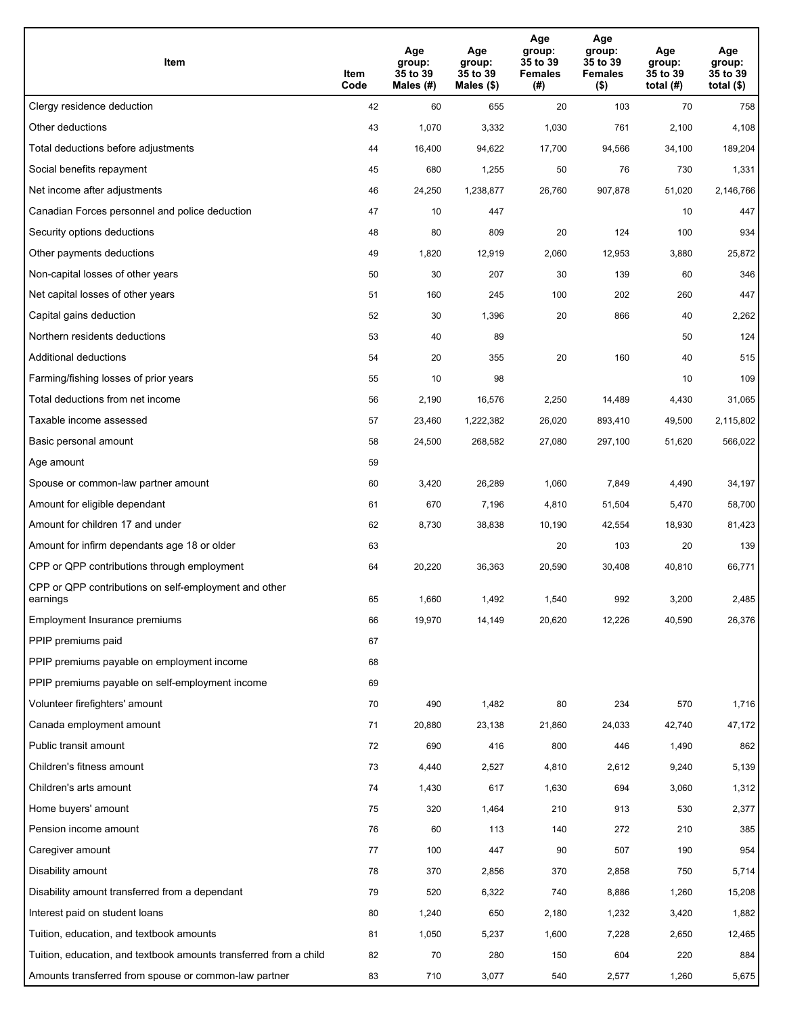| Item                                                              | Item<br>Code | Age<br>group:<br>35 to 39<br>Males (#) | Age<br>group:<br>35 to 39<br>Males (\$) | Age<br>group:<br>35 to 39<br><b>Females</b><br>(# ) | Age<br>group:<br>35 to 39<br>Females<br>$($ \$) | Age<br>group:<br>35 to 39<br>total $(H)$ | Age<br>group:<br>35 to 39<br>total $($ |
|-------------------------------------------------------------------|--------------|----------------------------------------|-----------------------------------------|-----------------------------------------------------|-------------------------------------------------|------------------------------------------|----------------------------------------|
| Clergy residence deduction                                        | 42           | 60                                     | 655                                     | 20                                                  | 103                                             | 70                                       | 758                                    |
| Other deductions                                                  | 43           | 1,070                                  | 3,332                                   | 1,030                                               | 761                                             | 2,100                                    | 4,108                                  |
| Total deductions before adjustments                               | 44           | 16,400                                 | 94,622                                  | 17,700                                              | 94,566                                          | 34,100                                   | 189,204                                |
| Social benefits repayment                                         | 45           | 680                                    | 1,255                                   | 50                                                  | 76                                              | 730                                      | 1,331                                  |
| Net income after adjustments                                      | 46           | 24,250                                 | 1,238,877                               | 26,760                                              | 907,878                                         | 51,020                                   | 2,146,766                              |
| Canadian Forces personnel and police deduction                    | 47           | 10                                     | 447                                     |                                                     |                                                 | 10                                       | 447                                    |
| Security options deductions                                       | 48           | 80                                     | 809                                     | 20                                                  | 124                                             | 100                                      | 934                                    |
| Other payments deductions                                         | 49           | 1,820                                  | 12,919                                  | 2,060                                               | 12,953                                          | 3,880                                    | 25,872                                 |
| Non-capital losses of other years                                 | 50           | 30                                     | 207                                     | 30                                                  | 139                                             | 60                                       | 346                                    |
| Net capital losses of other years                                 | 51           | 160                                    | 245                                     | 100                                                 | 202                                             | 260                                      | 447                                    |
| Capital gains deduction                                           | 52           | 30                                     | 1,396                                   | 20                                                  | 866                                             | 40                                       | 2,262                                  |
| Northern residents deductions                                     | 53           | 40                                     | 89                                      |                                                     |                                                 | 50                                       | 124                                    |
| Additional deductions                                             | 54           | 20                                     | 355                                     | 20                                                  | 160                                             | 40                                       | 515                                    |
| Farming/fishing losses of prior years                             | 55           | 10                                     | 98                                      |                                                     |                                                 | 10                                       | 109                                    |
| Total deductions from net income                                  | 56           | 2,190                                  | 16,576                                  | 2,250                                               | 14,489                                          | 4,430                                    | 31,065                                 |
| Taxable income assessed                                           | 57           | 23,460                                 | 1,222,382                               | 26,020                                              | 893,410                                         | 49,500                                   | 2,115,802                              |
| Basic personal amount                                             | 58           | 24,500                                 | 268,582                                 | 27,080                                              | 297,100                                         | 51,620                                   | 566,022                                |
| Age amount                                                        | 59           |                                        |                                         |                                                     |                                                 |                                          |                                        |
| Spouse or common-law partner amount                               | 60           | 3,420                                  | 26,289                                  | 1,060                                               | 7,849                                           | 4,490                                    | 34,197                                 |
| Amount for eligible dependant                                     | 61           | 670                                    | 7,196                                   | 4,810                                               | 51,504                                          | 5,470                                    | 58,700                                 |
| Amount for children 17 and under                                  | 62           | 8,730                                  | 38,838                                  | 10,190                                              | 42,554                                          | 18,930                                   | 81,423                                 |
| Amount for infirm dependants age 18 or older                      | 63           |                                        |                                         | 20                                                  | 103                                             | 20                                       | 139                                    |
| CPP or QPP contributions through employment                       | 64           | 20,220                                 | 36,363                                  | 20,590                                              | 30,408                                          | 40,810                                   | 66,771                                 |
| CPP or QPP contributions on self-employment and other<br>earnings | 65           | 1,660                                  | 1,492                                   | 1,540                                               | 992                                             | 3,200                                    | 2,485                                  |
| Employment Insurance premiums                                     | 66           | 19,970                                 | 14,149                                  | 20,620                                              | 12,226                                          | 40,590                                   | 26,376                                 |
| PPIP premiums paid                                                | 67           |                                        |                                         |                                                     |                                                 |                                          |                                        |
| PPIP premiums payable on employment income                        | 68           |                                        |                                         |                                                     |                                                 |                                          |                                        |
| PPIP premiums payable on self-employment income                   | 69           |                                        |                                         |                                                     |                                                 |                                          |                                        |
| Volunteer firefighters' amount                                    | 70           | 490                                    | 1,482                                   | 80                                                  | 234                                             | 570                                      | 1,716                                  |
| Canada employment amount                                          | 71           | 20,880                                 | 23,138                                  | 21,860                                              | 24,033                                          | 42,740                                   | 47,172                                 |
| Public transit amount                                             | 72           | 690                                    | 416                                     | 800                                                 | 446                                             | 1,490                                    | 862                                    |
| Children's fitness amount                                         | 73           | 4,440                                  | 2,527                                   | 4,810                                               | 2,612                                           | 9,240                                    | 5,139                                  |
| Children's arts amount                                            | 74           | 1,430                                  | 617                                     | 1,630                                               | 694                                             | 3,060                                    | 1,312                                  |
| Home buyers' amount                                               | 75           | 320                                    | 1,464                                   | 210                                                 | 913                                             | 530                                      | 2,377                                  |
| Pension income amount                                             | 76           | 60                                     | 113                                     | 140                                                 | 272                                             | 210                                      | 385                                    |
| Caregiver amount                                                  | 77           | 100                                    | 447                                     | 90                                                  | 507                                             | 190                                      | 954                                    |
| Disability amount                                                 | 78           | 370                                    | 2,856                                   | 370                                                 | 2,858                                           | 750                                      | 5,714                                  |
| Disability amount transferred from a dependant                    | 79           | 520                                    | 6,322                                   | 740                                                 | 8,886                                           | 1,260                                    | 15,208                                 |
| Interest paid on student loans                                    | 80           | 1,240                                  | 650                                     | 2,180                                               | 1,232                                           | 3,420                                    | 1,882                                  |
| Tuition, education, and textbook amounts                          | 81           | 1,050                                  | 5,237                                   | 1,600                                               | 7,228                                           | 2,650                                    | 12,465                                 |
| Tuition, education, and textbook amounts transferred from a child | 82           | 70                                     | 280                                     | 150                                                 | 604                                             | 220                                      | 884                                    |
| Amounts transferred from spouse or common-law partner             | 83           | 710                                    | 3,077                                   | 540                                                 | 2,577                                           | 1,260                                    | 5,675                                  |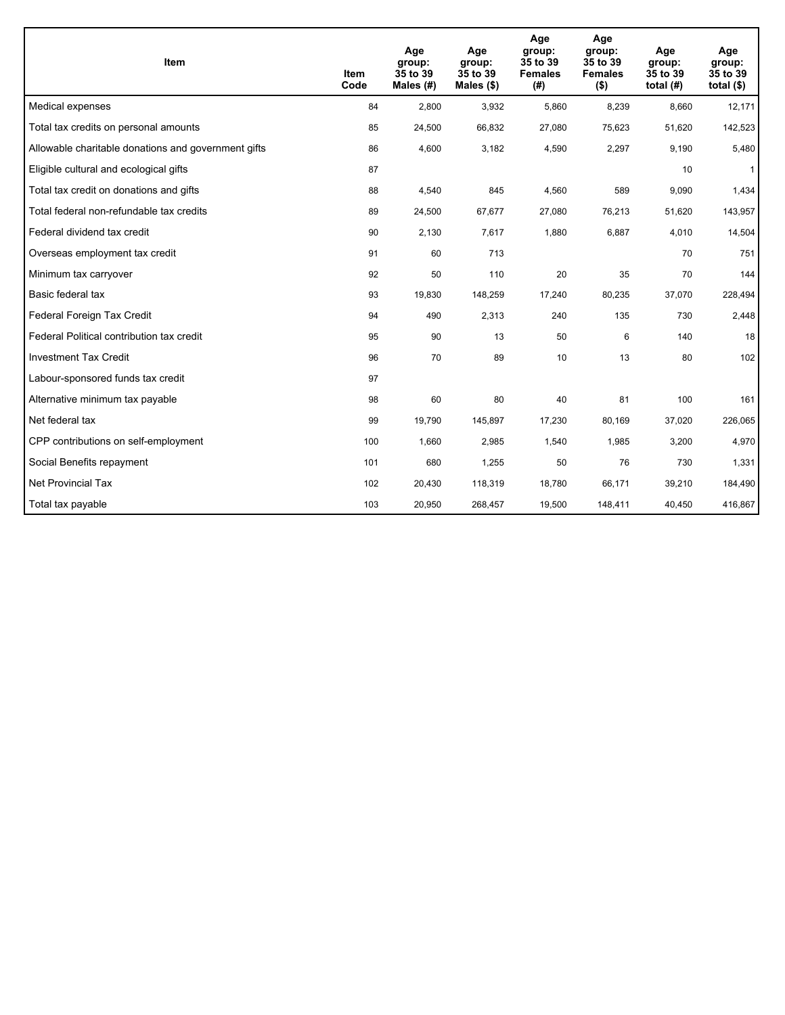| <b>Item</b>                                         | Item<br>Code | Age<br>group:<br>35 to 39<br>Males $(H)$ | Age<br>group:<br>35 to 39<br>Males $(\$)$ | Age<br>group:<br>35 to 39<br><b>Females</b><br>(#) | Age<br>group:<br>35 to 39<br><b>Females</b><br>$($ \$) | Age<br>group:<br>35 to 39<br>total $(H)$ | Age<br>group:<br>35 to 39<br>total $($)$ |
|-----------------------------------------------------|--------------|------------------------------------------|-------------------------------------------|----------------------------------------------------|--------------------------------------------------------|------------------------------------------|------------------------------------------|
| Medical expenses                                    | 84           | 2,800                                    | 3,932                                     | 5,860                                              | 8,239                                                  | 8,660                                    | 12,171                                   |
| Total tax credits on personal amounts               | 85           | 24,500                                   | 66,832                                    | 27,080                                             | 75,623                                                 | 51,620                                   | 142,523                                  |
| Allowable charitable donations and government gifts | 86           | 4,600                                    | 3,182                                     | 4,590                                              | 2,297                                                  | 9,190                                    | 5,480                                    |
| Eligible cultural and ecological gifts              | 87           |                                          |                                           |                                                    |                                                        | 10                                       | $\mathbf{1}$                             |
| Total tax credit on donations and gifts             | 88           | 4,540                                    | 845                                       | 4,560                                              | 589                                                    | 9,090                                    | 1,434                                    |
| Total federal non-refundable tax credits            | 89           | 24,500                                   | 67,677                                    | 27,080                                             | 76,213                                                 | 51,620                                   | 143,957                                  |
| Federal dividend tax credit                         | 90           | 2,130                                    | 7,617                                     | 1,880                                              | 6,887                                                  | 4,010                                    | 14,504                                   |
| Overseas employment tax credit                      | 91           | 60                                       | 713                                       |                                                    |                                                        | 70                                       | 751                                      |
| Minimum tax carryover                               | 92           | 50                                       | 110                                       | 20                                                 | 35                                                     | 70                                       | 144                                      |
| Basic federal tax                                   | 93           | 19,830                                   | 148,259                                   | 17,240                                             | 80,235                                                 | 37,070                                   | 228,494                                  |
| Federal Foreign Tax Credit                          | 94           | 490                                      | 2,313                                     | 240                                                | 135                                                    | 730                                      | 2,448                                    |
| Federal Political contribution tax credit           | 95           | 90                                       | 13                                        | 50                                                 | 6                                                      | 140                                      | 18                                       |
| <b>Investment Tax Credit</b>                        | 96           | 70                                       | 89                                        | 10                                                 | 13                                                     | 80                                       | 102                                      |
| Labour-sponsored funds tax credit                   | 97           |                                          |                                           |                                                    |                                                        |                                          |                                          |
| Alternative minimum tax payable                     | 98           | 60                                       | 80                                        | 40                                                 | 81                                                     | 100                                      | 161                                      |
| Net federal tax                                     | 99           | 19,790                                   | 145,897                                   | 17,230                                             | 80,169                                                 | 37,020                                   | 226,065                                  |
| CPP contributions on self-employment                | 100          | 1,660                                    | 2,985                                     | 1,540                                              | 1,985                                                  | 3,200                                    | 4,970                                    |
| Social Benefits repayment                           | 101          | 680                                      | 1,255                                     | 50                                                 | 76                                                     | 730                                      | 1,331                                    |
| <b>Net Provincial Tax</b>                           | 102          | 20,430                                   | 118,319                                   | 18,780                                             | 66,171                                                 | 39,210                                   | 184,490                                  |
| Total tax payable                                   | 103          | 20,950                                   | 268,457                                   | 19,500                                             | 148,411                                                | 40,450                                   | 416,867                                  |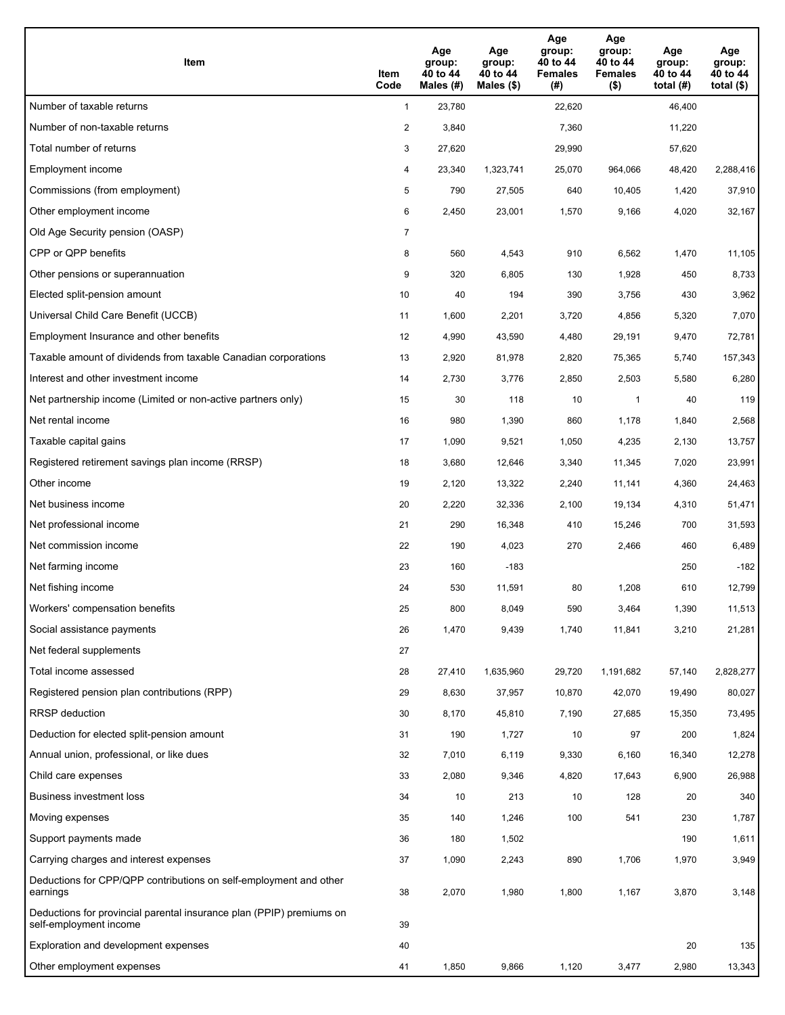| Item                                                                                           | Item<br>Code   | Age<br>group:<br>40 to 44<br>Males (#) | Age<br>group:<br>40 to 44<br>Males $(\$)$ | Age<br>group:<br>40 to 44<br><b>Females</b><br>(#) | Age<br>group:<br>40 to 44<br><b>Females</b><br>$($ \$) | Age<br>group:<br>40 to 44<br>total $(H)$ | Age<br>group:<br>40 to 44<br>total $($ |
|------------------------------------------------------------------------------------------------|----------------|----------------------------------------|-------------------------------------------|----------------------------------------------------|--------------------------------------------------------|------------------------------------------|----------------------------------------|
| Number of taxable returns                                                                      | $\mathbf{1}$   | 23,780                                 |                                           | 22,620                                             |                                                        | 46,400                                   |                                        |
| Number of non-taxable returns                                                                  | $\overline{a}$ | 3,840                                  |                                           | 7,360                                              |                                                        | 11,220                                   |                                        |
| Total number of returns                                                                        | 3              | 27,620                                 |                                           | 29,990                                             |                                                        | 57,620                                   |                                        |
| Employment income                                                                              | 4              | 23,340                                 | 1,323,741                                 | 25,070                                             | 964,066                                                | 48,420                                   | 2,288,416                              |
| Commissions (from employment)                                                                  | 5              | 790                                    | 27,505                                    | 640                                                | 10,405                                                 | 1,420                                    | 37,910                                 |
| Other employment income                                                                        | 6              | 2,450                                  | 23,001                                    | 1,570                                              | 9,166                                                  | 4,020                                    | 32,167                                 |
| Old Age Security pension (OASP)                                                                | 7              |                                        |                                           |                                                    |                                                        |                                          |                                        |
| CPP or QPP benefits                                                                            | 8              | 560                                    | 4,543                                     | 910                                                | 6,562                                                  | 1,470                                    | 11,105                                 |
| Other pensions or superannuation                                                               | 9              | 320                                    | 6,805                                     | 130                                                | 1,928                                                  | 450                                      | 8,733                                  |
| Elected split-pension amount                                                                   | 10             | 40                                     | 194                                       | 390                                                | 3,756                                                  | 430                                      | 3,962                                  |
| Universal Child Care Benefit (UCCB)                                                            | 11             | 1,600                                  | 2,201                                     | 3,720                                              | 4,856                                                  | 5,320                                    | 7,070                                  |
| Employment Insurance and other benefits                                                        | 12             | 4,990                                  | 43,590                                    | 4,480                                              | 29,191                                                 | 9,470                                    | 72,781                                 |
| Taxable amount of dividends from taxable Canadian corporations                                 | 13             | 2,920                                  | 81,978                                    | 2,820                                              | 75,365                                                 | 5,740                                    | 157,343                                |
| Interest and other investment income                                                           | 14             | 2,730                                  | 3,776                                     | 2,850                                              | 2,503                                                  | 5,580                                    | 6,280                                  |
| Net partnership income (Limited or non-active partners only)                                   | 15             | 30                                     | 118                                       | 10                                                 | $\mathbf{1}$                                           | 40                                       | 119                                    |
| Net rental income                                                                              | 16             | 980                                    | 1,390                                     | 860                                                | 1,178                                                  | 1,840                                    | 2,568                                  |
| Taxable capital gains                                                                          | 17             | 1,090                                  | 9,521                                     | 1,050                                              | 4,235                                                  | 2,130                                    | 13,757                                 |
| Registered retirement savings plan income (RRSP)                                               | 18             | 3,680                                  | 12,646                                    | 3,340                                              | 11,345                                                 | 7,020                                    | 23,991                                 |
| Other income                                                                                   | 19             | 2,120                                  | 13,322                                    | 2,240                                              | 11,141                                                 | 4,360                                    | 24,463                                 |
| Net business income                                                                            | 20             | 2,220                                  | 32,336                                    | 2,100                                              | 19,134                                                 | 4,310                                    | 51,471                                 |
| Net professional income                                                                        | 21             | 290                                    | 16,348                                    | 410                                                | 15,246                                                 | 700                                      | 31,593                                 |
| Net commission income                                                                          | 22             | 190                                    | 4,023                                     | 270                                                | 2,466                                                  | 460                                      | 6,489                                  |
| Net farming income                                                                             | 23             | 160                                    | $-183$                                    |                                                    |                                                        | 250                                      | $-182$                                 |
| Net fishing income                                                                             | 24             | 530                                    | 11,591                                    | 80                                                 | 1,208                                                  | 610                                      | 12,799                                 |
| Workers' compensation benefits                                                                 | 25             | 800                                    | 8,049                                     | 590                                                | 3,464                                                  | 1,390                                    | 11,513                                 |
| Social assistance payments                                                                     | 26             | 1,470                                  | 9,439                                     | 1,740                                              | 11,841                                                 | 3,210                                    | 21,281                                 |
| Net federal supplements                                                                        | 27             |                                        |                                           |                                                    |                                                        |                                          |                                        |
| Total income assessed                                                                          | 28             | 27,410                                 | 1,635,960                                 | 29,720                                             | 1,191,682                                              | 57,140                                   | 2,828,277                              |
| Registered pension plan contributions (RPP)                                                    | 29             | 8,630                                  | 37,957                                    | 10,870                                             | 42,070                                                 | 19,490                                   | 80,027                                 |
| RRSP deduction                                                                                 | 30             | 8,170                                  | 45,810                                    | 7,190                                              | 27,685                                                 | 15,350                                   | 73,495                                 |
| Deduction for elected split-pension amount                                                     | 31             | 190                                    | 1,727                                     | 10                                                 | 97                                                     | 200                                      | 1,824                                  |
| Annual union, professional, or like dues                                                       | 32             | 7,010                                  | 6,119                                     | 9,330                                              | 6,160                                                  | 16,340                                   | 12,278                                 |
| Child care expenses                                                                            | 33             | 2,080                                  | 9,346                                     | 4,820                                              | 17,643                                                 | 6,900                                    | 26,988                                 |
| Business investment loss                                                                       | 34             | 10                                     | 213                                       | 10                                                 | 128                                                    | 20                                       | 340                                    |
| Moving expenses                                                                                | 35             | 140                                    | 1,246                                     | 100                                                | 541                                                    | 230                                      | 1,787                                  |
| Support payments made                                                                          | 36             | 180                                    | 1,502                                     |                                                    |                                                        | 190                                      | 1,611                                  |
| Carrying charges and interest expenses                                                         | 37             | 1,090                                  | 2,243                                     | 890                                                | 1,706                                                  | 1,970                                    | 3,949                                  |
| Deductions for CPP/QPP contributions on self-employment and other<br>earnings                  | 38             | 2,070                                  | 1,980                                     | 1,800                                              | 1,167                                                  | 3,870                                    | 3,148                                  |
| Deductions for provincial parental insurance plan (PPIP) premiums on<br>self-employment income | 39             |                                        |                                           |                                                    |                                                        |                                          |                                        |
| Exploration and development expenses                                                           | 40             |                                        |                                           |                                                    |                                                        | 20                                       | 135                                    |
| Other employment expenses                                                                      | 41             | 1,850                                  | 9,866                                     | 1,120                                              | 3,477                                                  | 2,980                                    | 13,343                                 |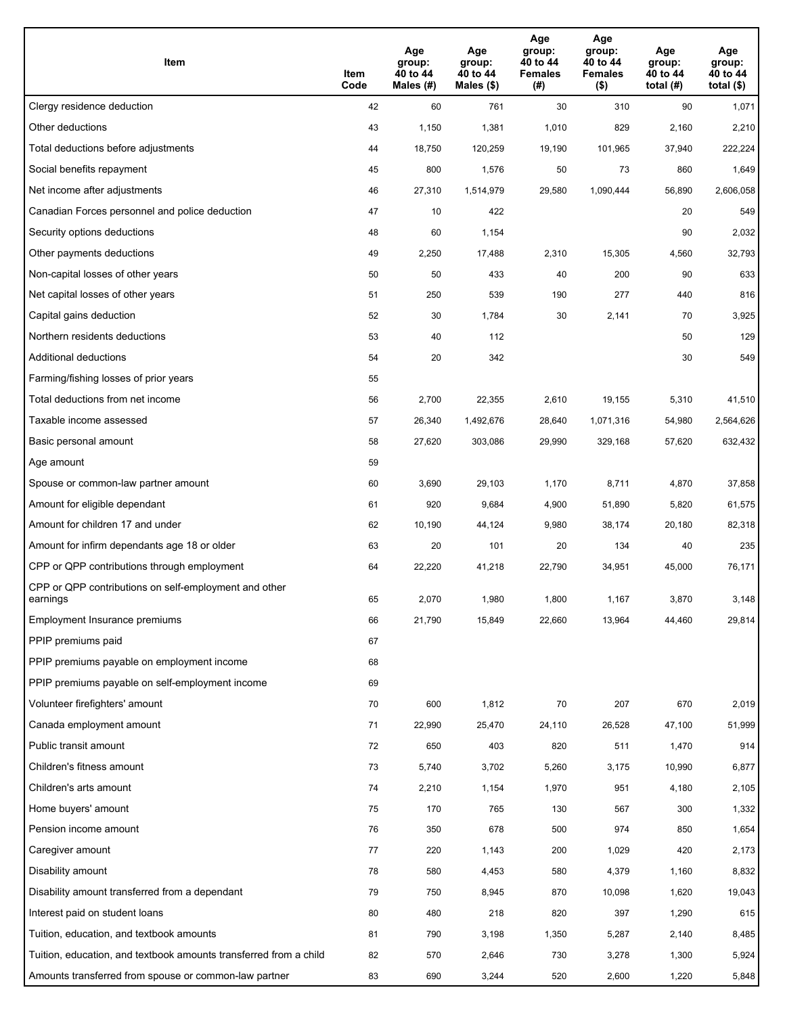| Item                                                              | Item<br>Code | Age<br>group:<br>40 to 44<br>Males (#) | Age<br>group:<br>40 to 44<br>Males (\$) | Age<br>group:<br>40 to 44<br><b>Females</b><br>(# ) | Age<br>group:<br>40 to 44<br><b>Females</b><br>$($ \$) | Age<br>group:<br>40 to 44<br>total $(H)$ | Age<br>group:<br>40 to 44<br>total $($)$ |
|-------------------------------------------------------------------|--------------|----------------------------------------|-----------------------------------------|-----------------------------------------------------|--------------------------------------------------------|------------------------------------------|------------------------------------------|
| Clergy residence deduction                                        | 42           | 60                                     | 761                                     | 30                                                  | 310                                                    | 90                                       | 1,071                                    |
| Other deductions                                                  | 43           | 1,150                                  | 1,381                                   | 1,010                                               | 829                                                    | 2,160                                    | 2,210                                    |
| Total deductions before adjustments                               | 44           | 18,750                                 | 120,259                                 | 19,190                                              | 101,965                                                | 37,940                                   | 222,224                                  |
| Social benefits repayment                                         | 45           | 800                                    | 1,576                                   | 50                                                  | 73                                                     | 860                                      | 1,649                                    |
| Net income after adjustments                                      | 46           | 27,310                                 | 1,514,979                               | 29,580                                              | 1,090,444                                              | 56,890                                   | 2,606,058                                |
| Canadian Forces personnel and police deduction                    | 47           | 10                                     | 422                                     |                                                     |                                                        | 20                                       | 549                                      |
| Security options deductions                                       | 48           | 60                                     | 1,154                                   |                                                     |                                                        | 90                                       | 2,032                                    |
| Other payments deductions                                         | 49           | 2,250                                  | 17,488                                  | 2,310                                               | 15,305                                                 | 4,560                                    | 32,793                                   |
| Non-capital losses of other years                                 | 50           | 50                                     | 433                                     | 40                                                  | 200                                                    | 90                                       | 633                                      |
| Net capital losses of other years                                 | 51           | 250                                    | 539                                     | 190                                                 | 277                                                    | 440                                      | 816                                      |
| Capital gains deduction                                           | 52           | 30                                     | 1,784                                   | 30                                                  | 2,141                                                  | 70                                       | 3,925                                    |
| Northern residents deductions                                     | 53           | 40                                     | 112                                     |                                                     |                                                        | 50                                       | 129                                      |
| Additional deductions                                             | 54           | 20                                     | 342                                     |                                                     |                                                        | 30                                       | 549                                      |
| Farming/fishing losses of prior years                             | 55           |                                        |                                         |                                                     |                                                        |                                          |                                          |
| Total deductions from net income                                  | 56           | 2,700                                  | 22,355                                  | 2,610                                               | 19,155                                                 | 5,310                                    | 41,510                                   |
| Taxable income assessed                                           | 57           | 26,340                                 | 1,492,676                               | 28,640                                              | 1,071,316                                              | 54,980                                   | 2,564,626                                |
| Basic personal amount                                             | 58           | 27,620                                 | 303,086                                 | 29,990                                              | 329,168                                                | 57,620                                   | 632,432                                  |
| Age amount                                                        | 59           |                                        |                                         |                                                     |                                                        |                                          |                                          |
| Spouse or common-law partner amount                               | 60           | 3,690                                  | 29,103                                  | 1,170                                               | 8,711                                                  | 4,870                                    | 37,858                                   |
| Amount for eligible dependant                                     | 61           | 920                                    | 9,684                                   | 4,900                                               | 51,890                                                 | 5,820                                    | 61,575                                   |
| Amount for children 17 and under                                  | 62           | 10,190                                 | 44,124                                  | 9,980                                               | 38,174                                                 | 20,180                                   | 82,318                                   |
| Amount for infirm dependants age 18 or older                      | 63           | 20                                     | 101                                     | 20                                                  | 134                                                    | 40                                       | 235                                      |
| CPP or QPP contributions through employment                       | 64           | 22,220                                 | 41,218                                  | 22,790                                              | 34,951                                                 | 45,000                                   | 76,171                                   |
| CPP or QPP contributions on self-employment and other<br>earnings | 65           | 2,070                                  | 1,980                                   | 1,800                                               | 1,167                                                  | 3,870                                    | 3,148                                    |
| Employment Insurance premiums                                     | 66           | 21,790                                 | 15,849                                  | 22,660                                              | 13,964                                                 | 44,460                                   | 29,814                                   |
| PPIP premiums paid                                                | 67           |                                        |                                         |                                                     |                                                        |                                          |                                          |
| PPIP premiums payable on employment income                        | 68           |                                        |                                         |                                                     |                                                        |                                          |                                          |
| PPIP premiums payable on self-employment income                   | 69           |                                        |                                         |                                                     |                                                        |                                          |                                          |
| Volunteer firefighters' amount                                    | 70           | 600                                    | 1,812                                   | 70                                                  | 207                                                    | 670                                      | 2,019                                    |
| Canada employment amount                                          | 71           | 22,990                                 | 25,470                                  | 24,110                                              | 26,528                                                 | 47,100                                   | 51,999                                   |
| Public transit amount                                             | 72           | 650                                    | 403                                     | 820                                                 | 511                                                    | 1,470                                    | 914                                      |
| Children's fitness amount                                         | 73           | 5,740                                  | 3,702                                   | 5,260                                               | 3,175                                                  | 10,990                                   | 6,877                                    |
| Children's arts amount                                            | 74           | 2,210                                  | 1,154                                   | 1,970                                               | 951                                                    | 4,180                                    | 2,105                                    |
| Home buyers' amount                                               | 75           | 170                                    | 765                                     | 130                                                 | 567                                                    | 300                                      | 1,332                                    |
| Pension income amount                                             | 76           | 350                                    | 678                                     | 500                                                 | 974                                                    | 850                                      | 1,654                                    |
| Caregiver amount                                                  | $77\,$       | 220                                    | 1,143                                   | 200                                                 | 1,029                                                  | 420                                      | 2,173                                    |
| Disability amount                                                 | 78           | 580                                    | 4,453                                   | 580                                                 | 4,379                                                  | 1,160                                    | 8,832                                    |
| Disability amount transferred from a dependant                    | 79           | 750                                    | 8,945                                   | 870                                                 | 10,098                                                 | 1,620                                    | 19,043                                   |
| Interest paid on student loans                                    | 80           | 480                                    | 218                                     | 820                                                 | 397                                                    | 1,290                                    | 615                                      |
| Tuition, education, and textbook amounts                          | 81           | 790                                    | 3,198                                   | 1,350                                               | 5,287                                                  | 2,140                                    | 8,485                                    |
| Tuition, education, and textbook amounts transferred from a child | 82           | 570                                    | 2,646                                   | 730                                                 | 3,278                                                  | 1,300                                    | 5,924                                    |
| Amounts transferred from spouse or common-law partner             | 83           | 690                                    | 3,244                                   | 520                                                 | 2,600                                                  | 1,220                                    | 5,848                                    |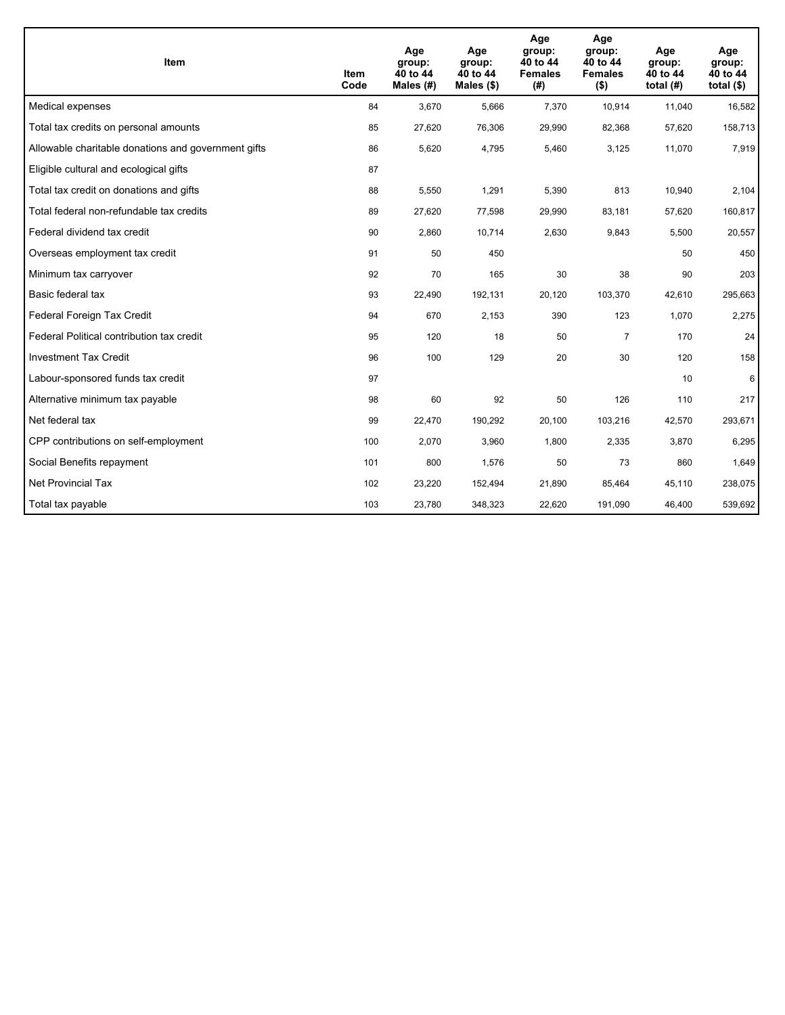| <b>Item</b>                                         | Item<br>Code | Age<br>group:<br>40 to 44<br>Males $(H)$ | Age<br>group:<br>40 to 44<br>Males $(\$)$ | Age<br>group:<br>40 to 44<br><b>Females</b><br>(# ) | Age<br>group:<br>40 to 44<br><b>Females</b><br>$($ \$) | Age<br>group:<br>40 to 44<br>total $(H)$ | Age<br>group:<br>40 to 44<br>total $($)$ |
|-----------------------------------------------------|--------------|------------------------------------------|-------------------------------------------|-----------------------------------------------------|--------------------------------------------------------|------------------------------------------|------------------------------------------|
| Medical expenses                                    | 84           | 3,670                                    | 5,666                                     | 7,370                                               | 10,914                                                 | 11,040                                   | 16,582                                   |
| Total tax credits on personal amounts               | 85           | 27,620                                   | 76,306                                    | 29,990                                              | 82,368                                                 | 57,620                                   | 158,713                                  |
| Allowable charitable donations and government gifts | 86           | 5,620                                    | 4,795                                     | 5,460                                               | 3,125                                                  | 11,070                                   | 7,919                                    |
| Eligible cultural and ecological gifts              | 87           |                                          |                                           |                                                     |                                                        |                                          |                                          |
| Total tax credit on donations and gifts             | 88           | 5,550                                    | 1,291                                     | 5,390                                               | 813                                                    | 10,940                                   | 2,104                                    |
| Total federal non-refundable tax credits            | 89           | 27,620                                   | 77,598                                    | 29,990                                              | 83,181                                                 | 57,620                                   | 160,817                                  |
| Federal dividend tax credit                         | 90           | 2,860                                    | 10,714                                    | 2,630                                               | 9,843                                                  | 5,500                                    | 20,557                                   |
| Overseas employment tax credit                      | 91           | 50                                       | 450                                       |                                                     |                                                        | 50                                       | 450                                      |
| Minimum tax carryover                               | 92           | 70                                       | 165                                       | 30                                                  | 38                                                     | 90                                       | 203                                      |
| Basic federal tax                                   | 93           | 22,490                                   | 192,131                                   | 20.120                                              | 103,370                                                | 42,610                                   | 295,663                                  |
| Federal Foreign Tax Credit                          | 94           | 670                                      | 2,153                                     | 390                                                 | 123                                                    | 1,070                                    | 2,275                                    |
| Federal Political contribution tax credit           | 95           | 120                                      | 18                                        | 50                                                  | $\overline{7}$                                         | 170                                      | 24                                       |
| <b>Investment Tax Credit</b>                        | 96           | 100                                      | 129                                       | 20                                                  | 30                                                     | 120                                      | 158                                      |
| Labour-sponsored funds tax credit                   | 97           |                                          |                                           |                                                     |                                                        | 10                                       | 6                                        |
| Alternative minimum tax payable                     | 98           | 60                                       | 92                                        | 50                                                  | 126                                                    | 110                                      | 217                                      |
| Net federal tax                                     | 99           | 22,470                                   | 190,292                                   | 20,100                                              | 103,216                                                | 42,570                                   | 293,671                                  |
| CPP contributions on self-employment                | 100          | 2,070                                    | 3,960                                     | 1,800                                               | 2,335                                                  | 3,870                                    | 6,295                                    |
| Social Benefits repayment                           | 101          | 800                                      | 1,576                                     | 50                                                  | 73                                                     | 860                                      | 1,649                                    |
| Net Provincial Tax                                  | 102          | 23,220                                   | 152,494                                   | 21,890                                              | 85,464                                                 | 45,110                                   | 238,075                                  |
| Total tax payable                                   | 103          | 23,780                                   | 348,323                                   | 22,620                                              | 191,090                                                | 46,400                                   | 539,692                                  |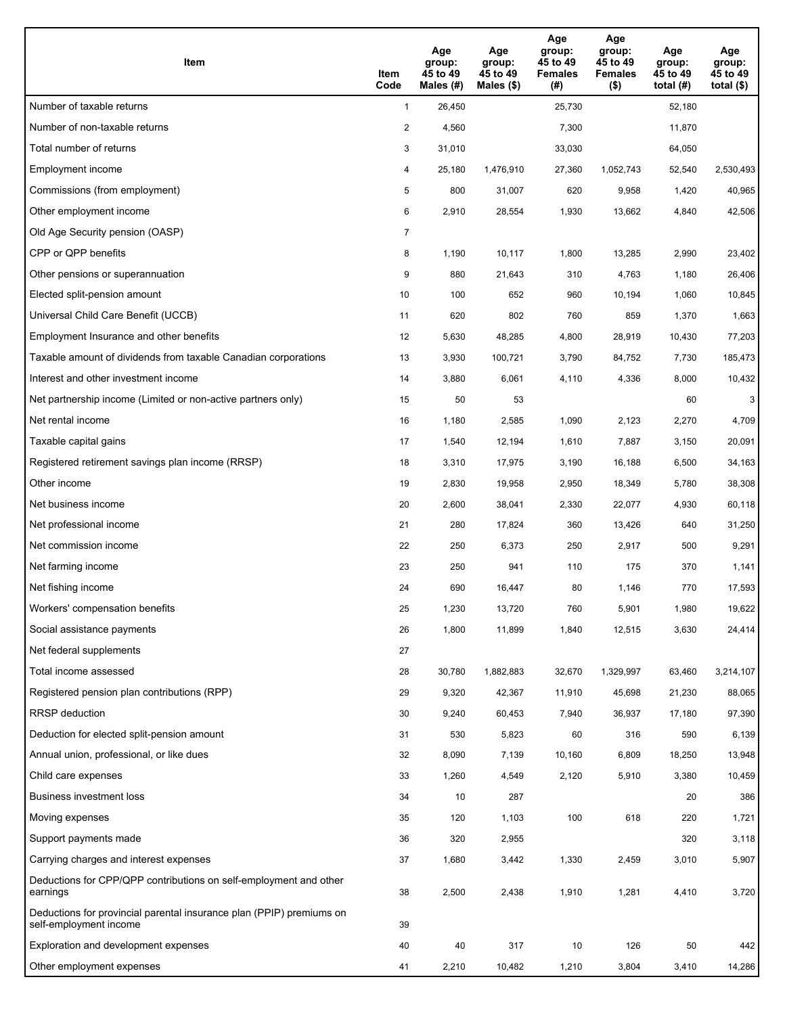| Item                                                                                           | Item<br>Code   | Age<br>group:<br>45 to 49<br>Males (#) | Age<br>group:<br>45 to 49<br>Males $(\$)$ | Age<br>group:<br>45 to 49<br><b>Females</b><br>(#) | Age<br>group:<br>45 to 49<br><b>Females</b><br>$($ \$) | Age<br>group:<br>45 to 49<br>total $(#)$ | Age<br>group:<br>45 to 49<br>total $($ |
|------------------------------------------------------------------------------------------------|----------------|----------------------------------------|-------------------------------------------|----------------------------------------------------|--------------------------------------------------------|------------------------------------------|----------------------------------------|
| Number of taxable returns                                                                      | $\mathbf{1}$   | 26,450                                 |                                           | 25,730                                             |                                                        | 52,180                                   |                                        |
| Number of non-taxable returns                                                                  | $\overline{a}$ | 4,560                                  |                                           | 7,300                                              |                                                        | 11,870                                   |                                        |
| Total number of returns                                                                        | 3              | 31,010                                 |                                           | 33,030                                             |                                                        | 64,050                                   |                                        |
| Employment income                                                                              | 4              | 25.180                                 | 1,476,910                                 | 27,360                                             | 1,052,743                                              | 52,540                                   | 2,530,493                              |
| Commissions (from employment)                                                                  | 5              | 800                                    | 31,007                                    | 620                                                | 9,958                                                  | 1,420                                    | 40,965                                 |
| Other employment income                                                                        | 6              | 2,910                                  | 28,554                                    | 1,930                                              | 13,662                                                 | 4,840                                    | 42,506                                 |
| Old Age Security pension (OASP)                                                                | $\overline{7}$ |                                        |                                           |                                                    |                                                        |                                          |                                        |
| CPP or QPP benefits                                                                            | 8              | 1,190                                  | 10,117                                    | 1,800                                              | 13,285                                                 | 2,990                                    | 23,402                                 |
| Other pensions or superannuation                                                               | 9              | 880                                    | 21,643                                    | 310                                                | 4,763                                                  | 1,180                                    | 26,406                                 |
| Elected split-pension amount                                                                   | 10             | 100                                    | 652                                       | 960                                                | 10,194                                                 | 1,060                                    | 10,845                                 |
| Universal Child Care Benefit (UCCB)                                                            | 11             | 620                                    | 802                                       | 760                                                | 859                                                    | 1,370                                    | 1,663                                  |
| Employment Insurance and other benefits                                                        | 12             | 5,630                                  | 48,285                                    | 4,800                                              | 28,919                                                 | 10,430                                   | 77,203                                 |
| Taxable amount of dividends from taxable Canadian corporations                                 | 13             | 3,930                                  | 100,721                                   | 3,790                                              | 84,752                                                 | 7,730                                    | 185,473                                |
| Interest and other investment income                                                           | 14             | 3,880                                  | 6,061                                     | 4,110                                              | 4,336                                                  | 8,000                                    | 10,432                                 |
| Net partnership income (Limited or non-active partners only)                                   | 15             | 50                                     | 53                                        |                                                    |                                                        | 60                                       | 3                                      |
| Net rental income                                                                              | 16             | 1,180                                  | 2,585                                     | 1,090                                              | 2,123                                                  | 2,270                                    | 4,709                                  |
| Taxable capital gains                                                                          | 17             | 1,540                                  | 12,194                                    | 1,610                                              | 7,887                                                  | 3,150                                    | 20,091                                 |
| Registered retirement savings plan income (RRSP)                                               | 18             | 3,310                                  | 17,975                                    | 3,190                                              | 16,188                                                 | 6,500                                    | 34,163                                 |
| Other income                                                                                   | 19             | 2,830                                  | 19,958                                    | 2,950                                              | 18,349                                                 | 5,780                                    | 38,308                                 |
| Net business income                                                                            | 20             | 2,600                                  | 38,041                                    | 2,330                                              | 22,077                                                 | 4,930                                    | 60,118                                 |
| Net professional income                                                                        | 21             | 280                                    | 17,824                                    | 360                                                | 13,426                                                 | 640                                      | 31,250                                 |
| Net commission income                                                                          | 22             | 250                                    | 6,373                                     | 250                                                | 2,917                                                  | 500                                      | 9,291                                  |
| Net farming income                                                                             | 23             | 250                                    | 941                                       | 110                                                | 175                                                    | 370                                      | 1,141                                  |
| Net fishing income                                                                             | 24             | 690                                    | 16,447                                    | 80                                                 | 1,146                                                  | 770                                      | 17,593                                 |
| Workers' compensation benefits                                                                 | 25             | 1,230                                  | 13,720                                    | 760                                                | 5,901                                                  | 1,980                                    | 19,622                                 |
| Social assistance payments                                                                     | 26             | 1,800                                  | 11,899                                    | 1,840                                              | 12,515                                                 | 3,630                                    | 24,414                                 |
| Net federal supplements                                                                        | 27             |                                        |                                           |                                                    |                                                        |                                          |                                        |
| Total income assessed                                                                          | 28             | 30,780                                 | 1,882,883                                 | 32,670                                             | 1,329,997                                              | 63,460                                   | 3,214,107                              |
| Registered pension plan contributions (RPP)                                                    | 29             | 9,320                                  | 42,367                                    | 11,910                                             | 45,698                                                 | 21,230                                   | 88,065                                 |
| RRSP deduction                                                                                 | 30             | 9,240                                  | 60,453                                    | 7,940                                              | 36,937                                                 | 17,180                                   | 97,390                                 |
| Deduction for elected split-pension amount                                                     | 31             | 530                                    | 5,823                                     | 60                                                 | 316                                                    | 590                                      | 6,139                                  |
| Annual union, professional, or like dues                                                       | 32             | 8,090                                  | 7,139                                     | 10,160                                             | 6,809                                                  | 18,250                                   | 13,948                                 |
| Child care expenses                                                                            | 33             | 1,260                                  | 4,549                                     | 2,120                                              | 5,910                                                  | 3,380                                    | 10,459                                 |
| Business investment loss                                                                       | 34             | 10                                     | 287                                       |                                                    |                                                        | 20                                       | 386                                    |
| Moving expenses                                                                                | 35             | 120                                    | 1,103                                     | 100                                                | 618                                                    | 220                                      | 1,721                                  |
| Support payments made                                                                          | 36             | 320                                    | 2,955                                     |                                                    |                                                        | 320                                      | 3,118                                  |
| Carrying charges and interest expenses                                                         | 37             | 1,680                                  | 3,442                                     | 1,330                                              | 2,459                                                  | 3,010                                    | 5,907                                  |
| Deductions for CPP/QPP contributions on self-employment and other<br>earnings                  | 38             | 2,500                                  | 2,438                                     | 1,910                                              | 1,281                                                  | 4,410                                    | 3,720                                  |
| Deductions for provincial parental insurance plan (PPIP) premiums on<br>self-employment income | 39             |                                        |                                           |                                                    |                                                        |                                          |                                        |
| Exploration and development expenses                                                           | 40             | 40                                     | 317                                       | $10$                                               | 126                                                    | 50                                       | 442                                    |
| Other employment expenses                                                                      | 41             | 2,210                                  | 10,482                                    | 1,210                                              | 3,804                                                  | 3,410                                    | 14,286                                 |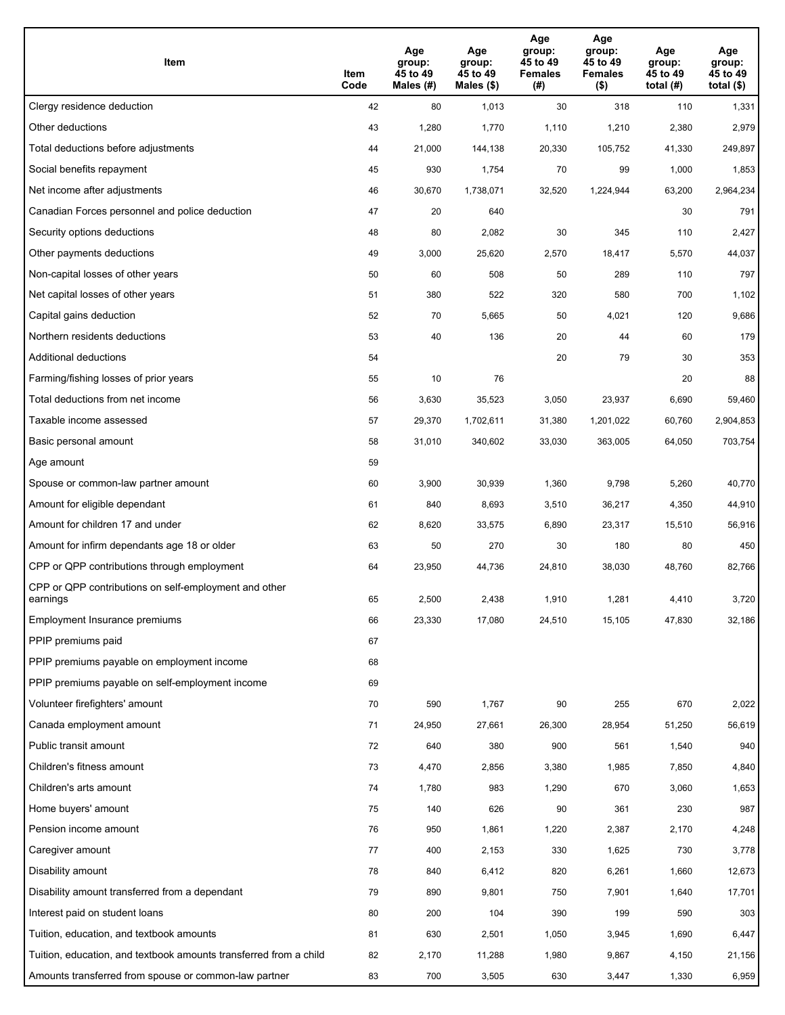| Item                                                              | Item<br>Code | Age<br>group:<br>45 to 49<br>Males (#) | Age<br>group:<br>45 to 49<br>Males (\$) | Age<br>group:<br>45 to 49<br><b>Females</b><br>(# ) | Age<br>group:<br>45 to 49<br><b>Females</b><br>$($ \$) | Age<br>group:<br>45 to 49<br>total $(H)$ | Age<br>group:<br>45 to 49<br>total $($)$ |
|-------------------------------------------------------------------|--------------|----------------------------------------|-----------------------------------------|-----------------------------------------------------|--------------------------------------------------------|------------------------------------------|------------------------------------------|
| Clergy residence deduction                                        | 42           | 80                                     | 1,013                                   | 30                                                  | 318                                                    | 110                                      | 1,331                                    |
| Other deductions                                                  | 43           | 1,280                                  | 1,770                                   | 1,110                                               | 1,210                                                  | 2,380                                    | 2,979                                    |
| Total deductions before adjustments                               | 44           | 21,000                                 | 144,138                                 | 20,330                                              | 105,752                                                | 41,330                                   | 249,897                                  |
| Social benefits repayment                                         | 45           | 930                                    | 1,754                                   | 70                                                  | 99                                                     | 1,000                                    | 1,853                                    |
| Net income after adjustments                                      | 46           | 30,670                                 | 1,738,071                               | 32,520                                              | 1,224,944                                              | 63,200                                   | 2,964,234                                |
| Canadian Forces personnel and police deduction                    | 47           | 20                                     | 640                                     |                                                     |                                                        | 30                                       | 791                                      |
| Security options deductions                                       | 48           | 80                                     | 2,082                                   | 30                                                  | 345                                                    | 110                                      | 2,427                                    |
| Other payments deductions                                         | 49           | 3,000                                  | 25,620                                  | 2,570                                               | 18,417                                                 | 5,570                                    | 44,037                                   |
| Non-capital losses of other years                                 | 50           | 60                                     | 508                                     | 50                                                  | 289                                                    | 110                                      | 797                                      |
| Net capital losses of other years                                 | 51           | 380                                    | 522                                     | 320                                                 | 580                                                    | 700                                      | 1,102                                    |
| Capital gains deduction                                           | 52           | 70                                     | 5,665                                   | 50                                                  | 4,021                                                  | 120                                      | 9,686                                    |
| Northern residents deductions                                     | 53           | 40                                     | 136                                     | 20                                                  | 44                                                     | 60                                       | 179                                      |
| Additional deductions                                             | 54           |                                        |                                         | 20                                                  | 79                                                     | 30                                       | 353                                      |
| Farming/fishing losses of prior years                             | 55           | 10                                     | 76                                      |                                                     |                                                        | 20                                       | 88                                       |
| Total deductions from net income                                  | 56           | 3,630                                  | 35,523                                  | 3,050                                               | 23,937                                                 | 6,690                                    | 59,460                                   |
| Taxable income assessed                                           | 57           | 29,370                                 | 1,702,611                               | 31,380                                              | 1,201,022                                              | 60,760                                   | 2,904,853                                |
| Basic personal amount                                             | 58           | 31,010                                 | 340,602                                 | 33,030                                              | 363,005                                                | 64,050                                   | 703,754                                  |
| Age amount                                                        | 59           |                                        |                                         |                                                     |                                                        |                                          |                                          |
| Spouse or common-law partner amount                               | 60           | 3,900                                  | 30,939                                  | 1,360                                               | 9,798                                                  | 5,260                                    | 40,770                                   |
| Amount for eligible dependant                                     | 61           | 840                                    | 8,693                                   | 3,510                                               | 36,217                                                 | 4,350                                    | 44,910                                   |
| Amount for children 17 and under                                  | 62           | 8,620                                  | 33,575                                  | 6,890                                               | 23,317                                                 | 15,510                                   | 56,916                                   |
| Amount for infirm dependants age 18 or older                      | 63           | 50                                     | 270                                     | 30                                                  | 180                                                    | 80                                       | 450                                      |
| CPP or QPP contributions through employment                       | 64           | 23,950                                 | 44,736                                  | 24,810                                              | 38,030                                                 | 48,760                                   | 82,766                                   |
| CPP or QPP contributions on self-employment and other<br>earnings | 65           | 2,500                                  | 2,438                                   | 1.910                                               | 1,281                                                  | 4,410                                    | 3,720                                    |
| Employment Insurance premiums                                     | 66           | 23,330                                 | 17,080                                  | 24,510                                              | 15,105                                                 | 47,830                                   | 32,186                                   |
| PPIP premiums paid                                                | 67           |                                        |                                         |                                                     |                                                        |                                          |                                          |
| PPIP premiums payable on employment income                        | 68           |                                        |                                         |                                                     |                                                        |                                          |                                          |
| PPIP premiums payable on self-employment income                   | 69           |                                        |                                         |                                                     |                                                        |                                          |                                          |
| Volunteer firefighters' amount                                    | 70           | 590                                    | 1,767                                   | 90                                                  | 255                                                    | 670                                      | 2,022                                    |
| Canada employment amount                                          | 71           | 24,950                                 | 27,661                                  | 26,300                                              | 28,954                                                 | 51,250                                   | 56,619                                   |
| Public transit amount                                             | 72           | 640                                    | 380                                     | 900                                                 | 561                                                    | 1,540                                    | 940                                      |
| Children's fitness amount                                         | 73           | 4,470                                  | 2,856                                   | 3,380                                               | 1,985                                                  | 7,850                                    | 4,840                                    |
| Children's arts amount                                            | 74           | 1,780                                  | 983                                     | 1,290                                               | 670                                                    | 3,060                                    | 1,653                                    |
| Home buyers' amount                                               | 75           | 140                                    | 626                                     | 90                                                  | 361                                                    | 230                                      | 987                                      |
| Pension income amount                                             | 76           | 950                                    | 1,861                                   | 1,220                                               | 2,387                                                  | 2,170                                    | 4,248                                    |
| Caregiver amount                                                  | 77           | 400                                    | 2,153                                   | 330                                                 | 1,625                                                  | 730                                      | 3,778                                    |
| Disability amount                                                 | 78           | 840                                    | 6,412                                   | 820                                                 | 6,261                                                  | 1,660                                    | 12,673                                   |
| Disability amount transferred from a dependant                    | 79           | 890                                    | 9,801                                   | 750                                                 | 7,901                                                  | 1,640                                    | 17,701                                   |
| Interest paid on student loans                                    | 80           | 200                                    | 104                                     | 390                                                 | 199                                                    | 590                                      | 303                                      |
| Tuition, education, and textbook amounts                          | 81           | 630                                    | 2,501                                   | 1,050                                               | 3,945                                                  | 1,690                                    | 6,447                                    |
| Tuition, education, and textbook amounts transferred from a child | 82           | 2,170                                  | 11,288                                  | 1,980                                               | 9,867                                                  | 4,150                                    | 21,156                                   |
| Amounts transferred from spouse or common-law partner             | 83           | 700                                    | 3,505                                   | 630                                                 | 3,447                                                  | 1,330                                    | 6,959                                    |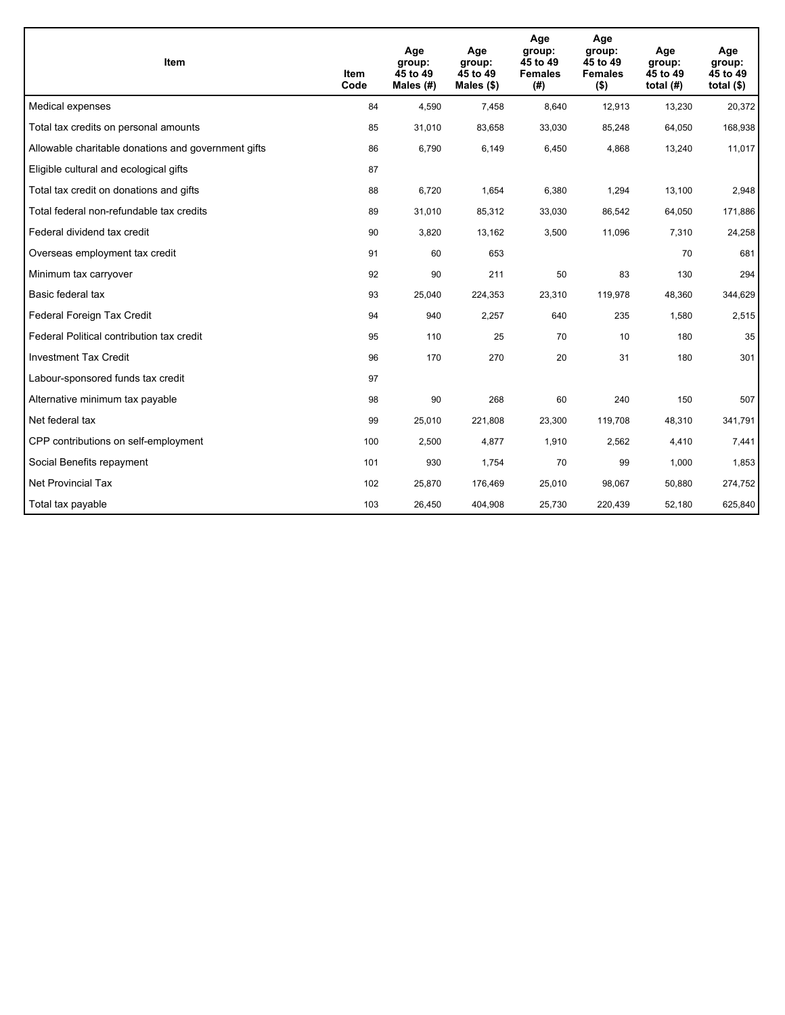| <b>Item</b>                                         | Item<br>Code | Age<br>group:<br>45 to 49<br>Males (#) | Age<br>group:<br>45 to 49<br>Males $(\$)$ | Age<br>group:<br>45 to 49<br><b>Females</b><br>(#) | Age<br>group:<br>45 to 49<br><b>Females</b><br>$($ \$) | Age<br>group:<br>45 to 49<br>total $(H)$ | Age<br>group:<br>45 to 49<br>total $($)$ |
|-----------------------------------------------------|--------------|----------------------------------------|-------------------------------------------|----------------------------------------------------|--------------------------------------------------------|------------------------------------------|------------------------------------------|
| Medical expenses                                    | 84           | 4,590                                  | 7,458                                     | 8,640                                              | 12,913                                                 | 13,230                                   | 20,372                                   |
| Total tax credits on personal amounts               | 85           | 31,010                                 | 83,658                                    | 33,030                                             | 85,248                                                 | 64,050                                   | 168,938                                  |
| Allowable charitable donations and government gifts | 86           | 6,790                                  | 6,149                                     | 6,450                                              | 4,868                                                  | 13,240                                   | 11,017                                   |
| Eligible cultural and ecological gifts              | 87           |                                        |                                           |                                                    |                                                        |                                          |                                          |
| Total tax credit on donations and gifts             | 88           | 6,720                                  | 1,654                                     | 6,380                                              | 1,294                                                  | 13,100                                   | 2,948                                    |
| Total federal non-refundable tax credits            | 89           | 31,010                                 | 85,312                                    | 33,030                                             | 86,542                                                 | 64,050                                   | 171,886                                  |
| Federal dividend tax credit                         | 90           | 3,820                                  | 13,162                                    | 3,500                                              | 11,096                                                 | 7,310                                    | 24,258                                   |
| Overseas employment tax credit                      | 91           | 60                                     | 653                                       |                                                    |                                                        | 70                                       | 681                                      |
| Minimum tax carryover                               | 92           | 90                                     | 211                                       | 50                                                 | 83                                                     | 130                                      | 294                                      |
| Basic federal tax                                   | 93           | 25,040                                 | 224,353                                   | 23,310                                             | 119,978                                                | 48,360                                   | 344,629                                  |
| Federal Foreign Tax Credit                          | 94           | 940                                    | 2,257                                     | 640                                                | 235                                                    | 1,580                                    | 2,515                                    |
| Federal Political contribution tax credit           | 95           | 110                                    | 25                                        | 70                                                 | 10                                                     | 180                                      | 35                                       |
| <b>Investment Tax Credit</b>                        | 96           | 170                                    | 270                                       | 20                                                 | 31                                                     | 180                                      | 301                                      |
| Labour-sponsored funds tax credit                   | 97           |                                        |                                           |                                                    |                                                        |                                          |                                          |
| Alternative minimum tax payable                     | 98           | 90                                     | 268                                       | 60                                                 | 240                                                    | 150                                      | 507                                      |
| Net federal tax                                     | 99           | 25,010                                 | 221,808                                   | 23,300                                             | 119,708                                                | 48,310                                   | 341,791                                  |
| CPP contributions on self-employment                | 100          | 2,500                                  | 4,877                                     | 1,910                                              | 2,562                                                  | 4,410                                    | 7,441                                    |
| Social Benefits repayment                           | 101          | 930                                    | 1,754                                     | 70                                                 | 99                                                     | 1,000                                    | 1,853                                    |
| Net Provincial Tax                                  | 102          | 25,870                                 | 176,469                                   | 25,010                                             | 98,067                                                 | 50,880                                   | 274,752                                  |
| Total tax payable                                   | 103          | 26,450                                 | 404,908                                   | 25,730                                             | 220,439                                                | 52,180                                   | 625,840                                  |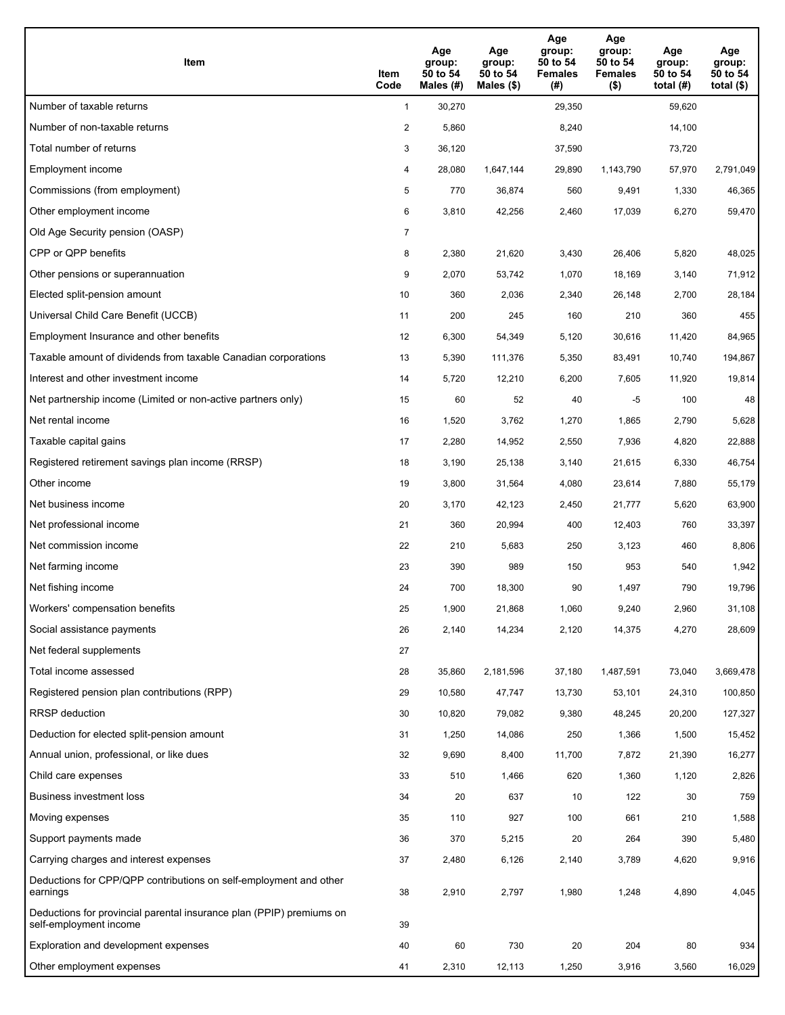| Item                                                                                           | Item<br>Code   | Age<br>group:<br>50 to 54<br>Males (#) | Age<br>group:<br>50 to 54<br>Males (\$) | Age<br>group:<br>50 to 54<br><b>Females</b><br>(#) | Age<br>group:<br>50 to 54<br><b>Females</b><br>$($ \$) | Age<br>group:<br>50 to 54<br>total $(H)$ | Age<br>group:<br>50 to 54<br>total $($ |
|------------------------------------------------------------------------------------------------|----------------|----------------------------------------|-----------------------------------------|----------------------------------------------------|--------------------------------------------------------|------------------------------------------|----------------------------------------|
| Number of taxable returns                                                                      | $\mathbf{1}$   | 30,270                                 |                                         | 29,350                                             |                                                        | 59,620                                   |                                        |
| Number of non-taxable returns                                                                  | $\overline{a}$ | 5,860                                  |                                         | 8,240                                              |                                                        | 14,100                                   |                                        |
| Total number of returns                                                                        | 3              | 36,120                                 |                                         | 37,590                                             |                                                        | 73,720                                   |                                        |
| Employment income                                                                              | 4              | 28,080                                 | 1,647,144                               | 29,890                                             | 1,143,790                                              | 57,970                                   | 2,791,049                              |
| Commissions (from employment)                                                                  | 5              | 770                                    | 36,874                                  | 560                                                | 9,491                                                  | 1,330                                    | 46,365                                 |
| Other employment income                                                                        | 6              | 3,810                                  | 42,256                                  | 2,460                                              | 17,039                                                 | 6,270                                    | 59,470                                 |
| Old Age Security pension (OASP)                                                                | $\overline{7}$ |                                        |                                         |                                                    |                                                        |                                          |                                        |
| CPP or QPP benefits                                                                            | 8              | 2,380                                  | 21,620                                  | 3,430                                              | 26,406                                                 | 5,820                                    | 48,025                                 |
| Other pensions or superannuation                                                               | 9              | 2,070                                  | 53,742                                  | 1,070                                              | 18,169                                                 | 3,140                                    | 71,912                                 |
| Elected split-pension amount                                                                   | 10             | 360                                    | 2,036                                   | 2,340                                              | 26,148                                                 | 2,700                                    | 28,184                                 |
| Universal Child Care Benefit (UCCB)                                                            | 11             | 200                                    | 245                                     | 160                                                | 210                                                    | 360                                      | 455                                    |
| Employment Insurance and other benefits                                                        | 12             | 6,300                                  | 54,349                                  | 5,120                                              | 30,616                                                 | 11,420                                   | 84,965                                 |
| Taxable amount of dividends from taxable Canadian corporations                                 | 13             | 5,390                                  | 111,376                                 | 5,350                                              | 83,491                                                 | 10,740                                   | 194,867                                |
| Interest and other investment income                                                           | 14             | 5,720                                  | 12,210                                  | 6,200                                              | 7,605                                                  | 11,920                                   | 19,814                                 |
| Net partnership income (Limited or non-active partners only)                                   | 15             | 60                                     | 52                                      | 40                                                 | $-5$                                                   | 100                                      | 48                                     |
| Net rental income                                                                              | 16             | 1,520                                  | 3,762                                   | 1,270                                              | 1,865                                                  | 2,790                                    | 5,628                                  |
| Taxable capital gains                                                                          | 17             | 2,280                                  | 14,952                                  | 2,550                                              | 7,936                                                  | 4,820                                    | 22,888                                 |
| Registered retirement savings plan income (RRSP)                                               | 18             | 3,190                                  | 25,138                                  | 3,140                                              | 21,615                                                 | 6,330                                    | 46,754                                 |
| Other income                                                                                   | 19             | 3,800                                  | 31,564                                  | 4,080                                              | 23,614                                                 | 7,880                                    | 55,179                                 |
| Net business income                                                                            | 20             | 3,170                                  | 42,123                                  | 2,450                                              | 21,777                                                 | 5,620                                    | 63,900                                 |
| Net professional income                                                                        | 21             | 360                                    | 20,994                                  | 400                                                | 12,403                                                 | 760                                      | 33,397                                 |
| Net commission income                                                                          | 22             | 210                                    | 5,683                                   | 250                                                | 3,123                                                  | 460                                      | 8,806                                  |
| Net farming income                                                                             | 23             | 390                                    | 989                                     | 150                                                | 953                                                    | 540                                      | 1,942                                  |
| Net fishing income                                                                             | 24             | 700                                    | 18,300                                  | 90                                                 | 1,497                                                  | 790                                      | 19,796                                 |
| Workers' compensation benefits                                                                 | 25             | 1,900                                  | 21,868                                  | 1,060                                              | 9,240                                                  | 2,960                                    | 31,108                                 |
| Social assistance payments                                                                     | 26             | 2,140                                  | 14,234                                  | 2,120                                              | 14,375                                                 | 4,270                                    | 28,609                                 |
| Net federal supplements                                                                        | 27             |                                        |                                         |                                                    |                                                        |                                          |                                        |
| Total income assessed                                                                          | 28             | 35,860                                 | 2,181,596                               | 37,180                                             | 1,487,591                                              | 73,040                                   | 3,669,478                              |
| Registered pension plan contributions (RPP)                                                    | 29             | 10,580                                 | 47,747                                  | 13,730                                             | 53,101                                                 | 24,310                                   | 100,850                                |
| RRSP deduction                                                                                 | 30             | 10,820                                 | 79,082                                  | 9,380                                              | 48,245                                                 | 20,200                                   | 127,327                                |
| Deduction for elected split-pension amount                                                     | 31             | 1,250                                  | 14,086                                  | 250                                                | 1,366                                                  | 1,500                                    | 15,452                                 |
| Annual union, professional, or like dues                                                       | 32             | 9,690                                  | 8,400                                   | 11,700                                             | 7,872                                                  | 21,390                                   | 16,277                                 |
| Child care expenses                                                                            | 33             | 510                                    | 1,466                                   | 620                                                | 1,360                                                  | 1,120                                    | 2,826                                  |
| Business investment loss                                                                       | 34             | 20                                     | 637                                     | 10                                                 | 122                                                    | 30                                       | 759                                    |
| Moving expenses                                                                                | 35             | 110                                    | 927                                     | 100                                                | 661                                                    | 210                                      | 1,588                                  |
| Support payments made                                                                          | 36             | 370                                    | 5,215                                   | 20                                                 | 264                                                    | 390                                      | 5,480                                  |
| Carrying charges and interest expenses                                                         | 37             | 2,480                                  | 6,126                                   | 2,140                                              | 3,789                                                  | 4,620                                    | 9,916                                  |
| Deductions for CPP/QPP contributions on self-employment and other<br>earnings                  | 38             | 2,910                                  | 2,797                                   | 1,980                                              | 1,248                                                  | 4,890                                    | 4,045                                  |
| Deductions for provincial parental insurance plan (PPIP) premiums on<br>self-employment income | 39             |                                        |                                         |                                                    |                                                        |                                          |                                        |
| Exploration and development expenses                                                           | 40             | 60                                     | 730                                     | 20                                                 | 204                                                    | 80                                       | 934                                    |
| Other employment expenses                                                                      | 41             | 2,310                                  | 12,113                                  | 1,250                                              | 3,916                                                  | 3,560                                    | 16,029                                 |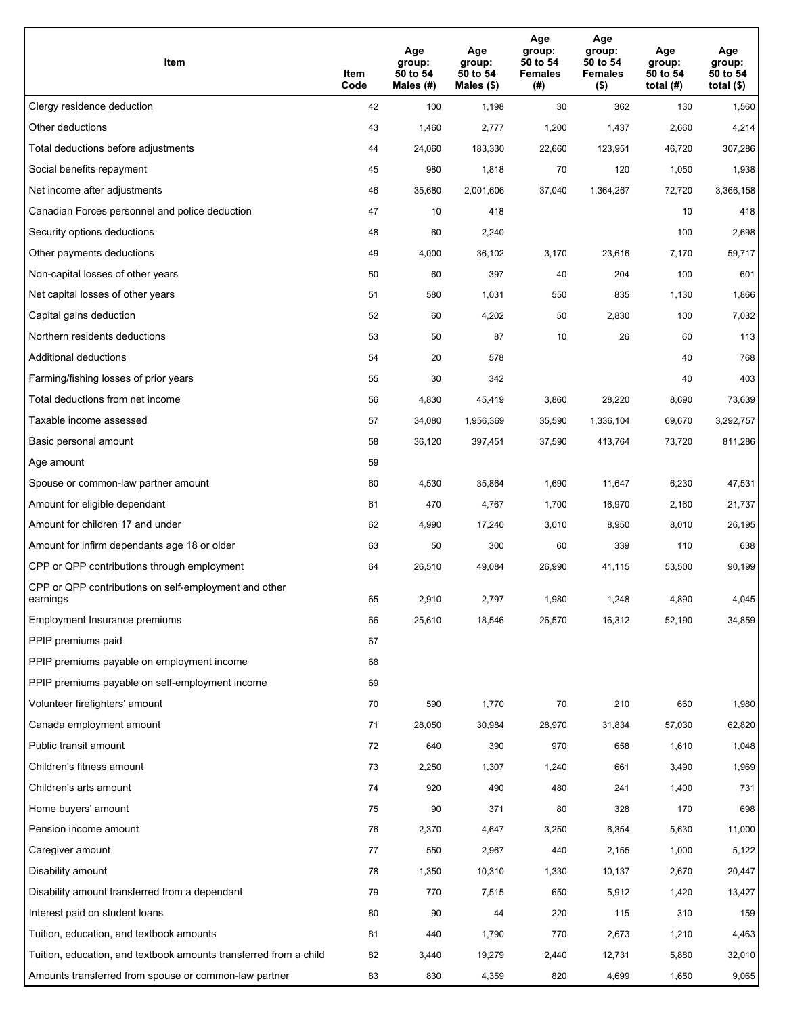| Item                                                              | Item<br>Code | Age<br>group:<br>50 to 54<br>Males (#) | Age<br>group:<br>50 to 54<br>Males (\$) | Age<br>group:<br>50 to 54<br><b>Females</b><br>(# ) | Age<br>group:<br>50 to 54<br><b>Females</b><br>$($ \$) | Age<br>group:<br>50 to 54<br>total $(#)$ | Age<br>group:<br>50 to 54<br>total $($)$ |
|-------------------------------------------------------------------|--------------|----------------------------------------|-----------------------------------------|-----------------------------------------------------|--------------------------------------------------------|------------------------------------------|------------------------------------------|
| Clergy residence deduction                                        | 42           | 100                                    | 1,198                                   | 30                                                  | 362                                                    | 130                                      | 1,560                                    |
| Other deductions                                                  | 43           | 1,460                                  | 2,777                                   | 1,200                                               | 1,437                                                  | 2,660                                    | 4,214                                    |
| Total deductions before adjustments                               | 44           | 24,060                                 | 183,330                                 | 22,660                                              | 123,951                                                | 46,720                                   | 307,286                                  |
| Social benefits repayment                                         | 45           | 980                                    | 1,818                                   | 70                                                  | 120                                                    | 1,050                                    | 1,938                                    |
| Net income after adjustments                                      | 46           | 35,680                                 | 2,001,606                               | 37,040                                              | 1,364,267                                              | 72,720                                   | 3,366,158                                |
| Canadian Forces personnel and police deduction                    | 47           | 10                                     | 418                                     |                                                     |                                                        | 10                                       | 418                                      |
| Security options deductions                                       | 48           | 60                                     | 2,240                                   |                                                     |                                                        | 100                                      | 2,698                                    |
| Other payments deductions                                         | 49           | 4,000                                  | 36,102                                  | 3,170                                               | 23,616                                                 | 7,170                                    | 59,717                                   |
| Non-capital losses of other years                                 | 50           | 60                                     | 397                                     | 40                                                  | 204                                                    | 100                                      | 601                                      |
| Net capital losses of other years                                 | 51           | 580                                    | 1,031                                   | 550                                                 | 835                                                    | 1,130                                    | 1,866                                    |
| Capital gains deduction                                           | 52           | 60                                     | 4,202                                   | 50                                                  | 2,830                                                  | 100                                      | 7,032                                    |
| Northern residents deductions                                     | 53           | 50                                     | 87                                      | 10                                                  | 26                                                     | 60                                       | 113                                      |
| Additional deductions                                             | 54           | 20                                     | 578                                     |                                                     |                                                        | 40                                       | 768                                      |
| Farming/fishing losses of prior years                             | 55           | 30                                     | 342                                     |                                                     |                                                        | 40                                       | 403                                      |
| Total deductions from net income                                  | 56           | 4,830                                  | 45,419                                  | 3,860                                               | 28,220                                                 | 8,690                                    | 73,639                                   |
| Taxable income assessed                                           | 57           | 34,080                                 | 1,956,369                               | 35,590                                              | 1,336,104                                              | 69,670                                   | 3,292,757                                |
| Basic personal amount                                             | 58           | 36,120                                 | 397,451                                 | 37,590                                              | 413,764                                                | 73,720                                   | 811,286                                  |
| Age amount                                                        | 59           |                                        |                                         |                                                     |                                                        |                                          |                                          |
| Spouse or common-law partner amount                               | 60           | 4,530                                  | 35,864                                  | 1,690                                               | 11,647                                                 | 6,230                                    | 47,531                                   |
| Amount for eligible dependant                                     | 61           | 470                                    | 4,767                                   | 1,700                                               | 16,970                                                 | 2,160                                    | 21,737                                   |
| Amount for children 17 and under                                  | 62           | 4,990                                  | 17,240                                  | 3,010                                               | 8,950                                                  | 8,010                                    | 26,195                                   |
| Amount for infirm dependants age 18 or older                      | 63           | 50                                     | 300                                     | 60                                                  | 339                                                    | 110                                      | 638                                      |
| CPP or QPP contributions through employment                       | 64           | 26,510                                 | 49,084                                  | 26,990                                              | 41,115                                                 | 53,500                                   | 90,199                                   |
| CPP or QPP contributions on self-employment and other<br>earnings | 65           | 2,910                                  | 2,797                                   | 1,980                                               | 1,248                                                  | 4,890                                    | 4,045                                    |
| Employment Insurance premiums                                     | 66           | 25,610                                 | 18,546                                  | 26,570                                              | 16,312                                                 | 52,190                                   | 34,859                                   |
| PPIP premiums paid                                                | 67           |                                        |                                         |                                                     |                                                        |                                          |                                          |
| PPIP premiums payable on employment income                        | 68           |                                        |                                         |                                                     |                                                        |                                          |                                          |
| PPIP premiums payable on self-employment income                   | 69           |                                        |                                         |                                                     |                                                        |                                          |                                          |
| Volunteer firefighters' amount                                    | 70           | 590                                    | 1,770                                   | 70                                                  | 210                                                    | 660                                      | 1,980                                    |
| Canada employment amount                                          | 71           | 28,050                                 | 30,984                                  | 28,970                                              | 31,834                                                 | 57,030                                   | 62,820                                   |
| Public transit amount                                             | 72           | 640                                    | 390                                     | 970                                                 | 658                                                    | 1,610                                    | 1,048                                    |
| Children's fitness amount                                         | 73           | 2,250                                  | 1,307                                   | 1,240                                               | 661                                                    | 3,490                                    | 1,969                                    |
| Children's arts amount                                            | 74           | 920                                    | 490                                     | 480                                                 | 241                                                    | 1,400                                    | 731                                      |
| Home buyers' amount                                               | 75           | 90                                     | 371                                     | 80                                                  | 328                                                    | 170                                      | 698                                      |
| Pension income amount                                             | 76           | 2,370                                  | 4,647                                   | 3,250                                               | 6,354                                                  | 5,630                                    | 11,000                                   |
| Caregiver amount                                                  | $77\,$       | 550                                    | 2,967                                   | 440                                                 | 2,155                                                  | 1,000                                    | 5,122                                    |
| Disability amount                                                 | 78           | 1,350                                  | 10,310                                  | 1,330                                               | 10,137                                                 | 2,670                                    | 20,447                                   |
| Disability amount transferred from a dependant                    | 79           | 770                                    | 7,515                                   | 650                                                 | 5,912                                                  | 1,420                                    | 13,427                                   |
| Interest paid on student loans                                    | 80           | 90                                     | 44                                      | 220                                                 | 115                                                    | 310                                      | 159                                      |
| Tuition, education, and textbook amounts                          | 81           | 440                                    | 1,790                                   | 770                                                 | 2,673                                                  | 1,210                                    | 4,463                                    |
| Tuition, education, and textbook amounts transferred from a child | 82           | 3,440                                  | 19,279                                  | 2,440                                               | 12,731                                                 | 5,880                                    | 32,010                                   |
| Amounts transferred from spouse or common-law partner             | 83           | 830                                    | 4,359                                   | 820                                                 | 4,699                                                  | 1,650                                    | 9,065                                    |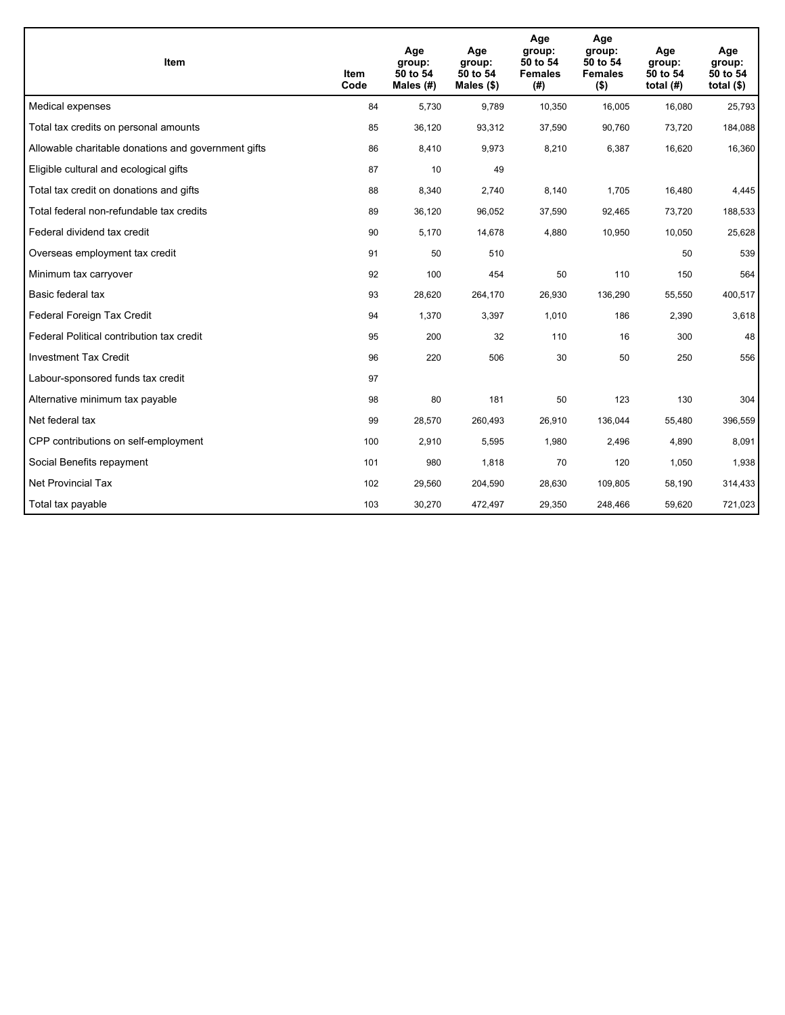| <b>Item</b>                                         | Item<br>Code | Age<br>group:<br>50 to 54<br>Males $(H)$ | Age<br>group:<br>50 to 54<br>Males $(\$)$ | Age<br>group:<br>50 to 54<br><b>Females</b><br>(#) | Age<br>group:<br>50 to 54<br><b>Females</b><br>$($ \$) | Age<br>group:<br>50 to 54<br>total $(H)$ | Age<br>group:<br>50 to 54<br>total $($)$ |
|-----------------------------------------------------|--------------|------------------------------------------|-------------------------------------------|----------------------------------------------------|--------------------------------------------------------|------------------------------------------|------------------------------------------|
| Medical expenses                                    | 84           | 5,730                                    | 9,789                                     | 10,350                                             | 16,005                                                 | 16,080                                   | 25,793                                   |
| Total tax credits on personal amounts               | 85           | 36,120                                   | 93,312                                    | 37,590                                             | 90,760                                                 | 73,720                                   | 184,088                                  |
| Allowable charitable donations and government gifts | 86           | 8,410                                    | 9,973                                     | 8,210                                              | 6,387                                                  | 16,620                                   | 16,360                                   |
| Eligible cultural and ecological gifts              | 87           | 10                                       | 49                                        |                                                    |                                                        |                                          |                                          |
| Total tax credit on donations and gifts             | 88           | 8,340                                    | 2,740                                     | 8,140                                              | 1,705                                                  | 16,480                                   | 4,445                                    |
| Total federal non-refundable tax credits            | 89           | 36,120                                   | 96,052                                    | 37,590                                             | 92,465                                                 | 73,720                                   | 188,533                                  |
| Federal dividend tax credit                         | 90           | 5,170                                    | 14,678                                    | 4,880                                              | 10,950                                                 | 10,050                                   | 25,628                                   |
| Overseas employment tax credit                      | 91           | 50                                       | 510                                       |                                                    |                                                        | 50                                       | 539                                      |
| Minimum tax carryover                               | 92           | 100                                      | 454                                       | 50                                                 | 110                                                    | 150                                      | 564                                      |
| Basic federal tax                                   | 93           | 28,620                                   | 264,170                                   | 26,930                                             | 136,290                                                | 55,550                                   | 400,517                                  |
| Federal Foreign Tax Credit                          | 94           | 1,370                                    | 3,397                                     | 1,010                                              | 186                                                    | 2,390                                    | 3,618                                    |
| Federal Political contribution tax credit           | 95           | 200                                      | 32                                        | 110                                                | 16                                                     | 300                                      | 48                                       |
| <b>Investment Tax Credit</b>                        | 96           | 220                                      | 506                                       | 30                                                 | 50                                                     | 250                                      | 556                                      |
| Labour-sponsored funds tax credit                   | 97           |                                          |                                           |                                                    |                                                        |                                          |                                          |
| Alternative minimum tax payable                     | 98           | 80                                       | 181                                       | 50                                                 | 123                                                    | 130                                      | 304                                      |
| Net federal tax                                     | 99           | 28,570                                   | 260,493                                   | 26,910                                             | 136,044                                                | 55,480                                   | 396,559                                  |
| CPP contributions on self-employment                | 100          | 2,910                                    | 5,595                                     | 1,980                                              | 2,496                                                  | 4,890                                    | 8,091                                    |
| Social Benefits repayment                           | 101          | 980                                      | 1,818                                     | 70                                                 | 120                                                    | 1,050                                    | 1,938                                    |
| Net Provincial Tax                                  | 102          | 29,560                                   | 204,590                                   | 28,630                                             | 109.805                                                | 58,190                                   | 314,433                                  |
| Total tax payable                                   | 103          | 30,270                                   | 472,497                                   | 29,350                                             | 248,466                                                | 59,620                                   | 721,023                                  |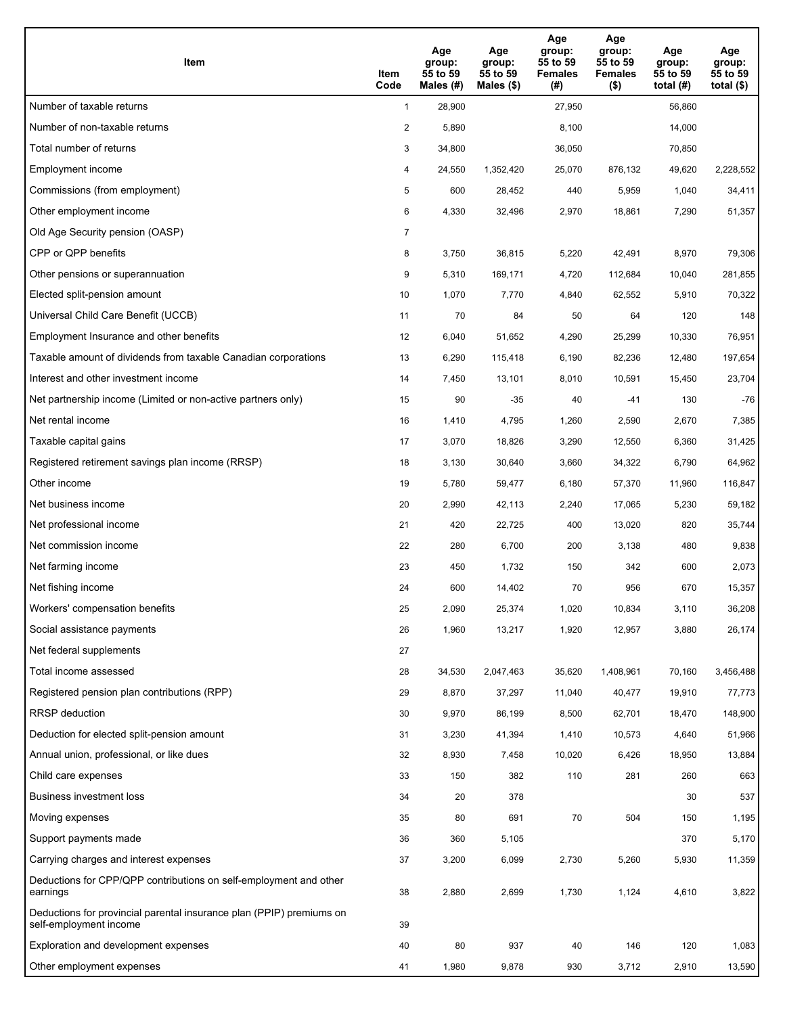| Item                                                                                           | Item<br>Code   | Age<br>group:<br>55 to 59<br>Males (#) | Age<br>group:<br>55 to 59<br>Males $(\$)$ | Age<br>group:<br>55 to 59<br><b>Females</b><br>(#) | Age<br>group:<br>55 to 59<br><b>Females</b><br>$($ \$) | Age<br>group:<br>55 to 59<br>total $(#)$ | Age<br>group:<br>55 to 59<br>total $($ |
|------------------------------------------------------------------------------------------------|----------------|----------------------------------------|-------------------------------------------|----------------------------------------------------|--------------------------------------------------------|------------------------------------------|----------------------------------------|
| Number of taxable returns                                                                      | $\mathbf{1}$   | 28,900                                 |                                           | 27,950                                             |                                                        | 56,860                                   |                                        |
| Number of non-taxable returns                                                                  | $\overline{a}$ | 5,890                                  |                                           | 8,100                                              |                                                        | 14,000                                   |                                        |
| Total number of returns                                                                        | 3              | 34,800                                 |                                           | 36,050                                             |                                                        | 70,850                                   |                                        |
| Employment income                                                                              | 4              | 24,550                                 | 1,352,420                                 | 25,070                                             | 876.132                                                | 49,620                                   | 2,228,552                              |
| Commissions (from employment)                                                                  | 5              | 600                                    | 28,452                                    | 440                                                | 5,959                                                  | 1,040                                    | 34,411                                 |
| Other employment income                                                                        | 6              | 4,330                                  | 32,496                                    | 2,970                                              | 18,861                                                 | 7,290                                    | 51,357                                 |
| Old Age Security pension (OASP)                                                                | 7              |                                        |                                           |                                                    |                                                        |                                          |                                        |
| CPP or QPP benefits                                                                            | 8              | 3,750                                  | 36,815                                    | 5,220                                              | 42,491                                                 | 8,970                                    | 79,306                                 |
| Other pensions or superannuation                                                               | 9              | 5,310                                  | 169,171                                   | 4,720                                              | 112,684                                                | 10,040                                   | 281,855                                |
| Elected split-pension amount                                                                   | 10             | 1,070                                  | 7,770                                     | 4,840                                              | 62,552                                                 | 5,910                                    | 70,322                                 |
| Universal Child Care Benefit (UCCB)                                                            | 11             | 70                                     | 84                                        | 50                                                 | 64                                                     | 120                                      | 148                                    |
| Employment Insurance and other benefits                                                        | 12             | 6,040                                  | 51,652                                    | 4,290                                              | 25,299                                                 | 10,330                                   | 76,951                                 |
| Taxable amount of dividends from taxable Canadian corporations                                 | 13             | 6,290                                  | 115,418                                   | 6,190                                              | 82,236                                                 | 12,480                                   | 197,654                                |
| Interest and other investment income                                                           | 14             | 7,450                                  | 13,101                                    | 8,010                                              | 10,591                                                 | 15,450                                   | 23,704                                 |
| Net partnership income (Limited or non-active partners only)                                   | 15             | 90                                     | $-35$                                     | 40                                                 | $-41$                                                  | 130                                      | $-76$                                  |
| Net rental income                                                                              | 16             | 1,410                                  | 4,795                                     | 1,260                                              | 2,590                                                  | 2,670                                    | 7,385                                  |
| Taxable capital gains                                                                          | 17             | 3,070                                  | 18,826                                    | 3,290                                              | 12,550                                                 | 6,360                                    | 31,425                                 |
| Registered retirement savings plan income (RRSP)                                               | 18             | 3,130                                  | 30,640                                    | 3,660                                              | 34,322                                                 | 6,790                                    | 64,962                                 |
| Other income                                                                                   | 19             | 5,780                                  | 59,477                                    | 6,180                                              | 57,370                                                 | 11,960                                   | 116,847                                |
| Net business income                                                                            | 20             | 2,990                                  | 42,113                                    | 2,240                                              | 17,065                                                 | 5,230                                    | 59,182                                 |
| Net professional income                                                                        | 21             | 420                                    | 22,725                                    | 400                                                | 13,020                                                 | 820                                      | 35,744                                 |
| Net commission income                                                                          | 22             | 280                                    | 6,700                                     | 200                                                | 3,138                                                  | 480                                      | 9,838                                  |
| Net farming income                                                                             | 23             | 450                                    | 1,732                                     | 150                                                | 342                                                    | 600                                      | 2,073                                  |
| Net fishing income                                                                             | 24             | 600                                    | 14,402                                    | 70                                                 | 956                                                    | 670                                      | 15,357                                 |
| Workers' compensation benefits                                                                 | 25             | 2,090                                  | 25,374                                    | 1,020                                              | 10,834                                                 | 3,110                                    | 36,208                                 |
| Social assistance payments                                                                     | 26             | 1,960                                  | 13,217                                    | 1,920                                              | 12,957                                                 | 3,880                                    | 26,174                                 |
| Net federal supplements                                                                        | 27             |                                        |                                           |                                                    |                                                        |                                          |                                        |
| Total income assessed                                                                          | 28             | 34,530                                 | 2,047,463                                 | 35,620                                             | 1,408,961                                              | 70,160                                   | 3,456,488                              |
| Registered pension plan contributions (RPP)                                                    | 29             | 8,870                                  | 37,297                                    | 11,040                                             | 40,477                                                 | 19,910                                   | 77,773                                 |
| RRSP deduction                                                                                 | 30             | 9,970                                  | 86,199                                    | 8,500                                              | 62,701                                                 | 18,470                                   | 148,900                                |
| Deduction for elected split-pension amount                                                     | 31             | 3,230                                  | 41,394                                    | 1,410                                              | 10,573                                                 | 4,640                                    | 51,966                                 |
| Annual union, professional, or like dues                                                       | 32             | 8,930                                  | 7,458                                     | 10,020                                             | 6,426                                                  | 18,950                                   | 13,884                                 |
| Child care expenses                                                                            | 33             | 150                                    | 382                                       | 110                                                | 281                                                    | 260                                      | 663                                    |
| Business investment loss                                                                       | 34             | 20                                     | 378                                       |                                                    |                                                        | 30                                       | 537                                    |
| Moving expenses                                                                                | 35             | 80                                     | 691                                       | 70                                                 | 504                                                    | 150                                      | 1,195                                  |
| Support payments made                                                                          | 36             | 360                                    | 5,105                                     |                                                    |                                                        | 370                                      | 5,170                                  |
| Carrying charges and interest expenses                                                         | 37             | 3,200                                  | 6,099                                     | 2,730                                              | 5,260                                                  | 5,930                                    | 11,359                                 |
| Deductions for CPP/QPP contributions on self-employment and other<br>earnings                  | 38             | 2,880                                  | 2,699                                     | 1,730                                              | 1,124                                                  | 4,610                                    | 3,822                                  |
| Deductions for provincial parental insurance plan (PPIP) premiums on<br>self-employment income | 39             |                                        |                                           |                                                    |                                                        |                                          |                                        |
| Exploration and development expenses                                                           | 40             | 80                                     | 937                                       | 40                                                 | 146                                                    | 120                                      | 1,083                                  |
| Other employment expenses                                                                      | 41             | 1,980                                  | 9,878                                     | 930                                                | 3,712                                                  | 2,910                                    | 13,590                                 |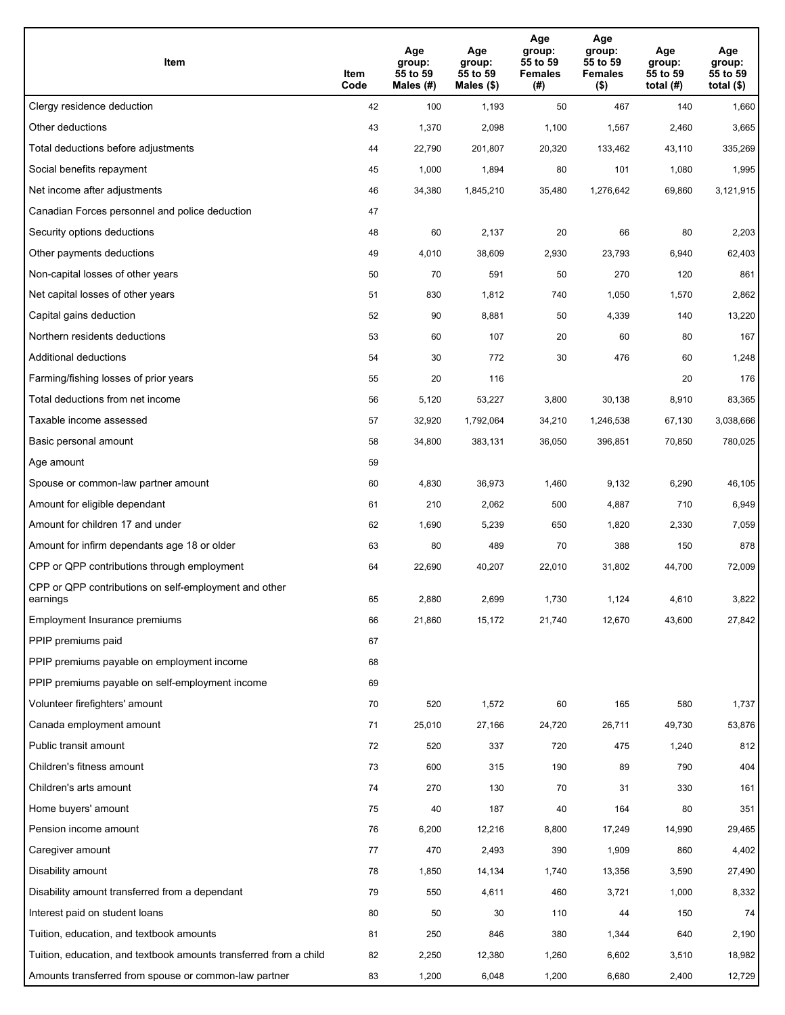| Item                                                              | Item<br>Code | Age<br>group:<br>55 to 59<br>Males (#) | Age<br>group:<br>55 to 59<br>Males (\$) | Age<br>group:<br>55 to 59<br><b>Females</b><br>(# ) | Age<br>group:<br>55 to 59<br><b>Females</b><br>$($ \$) | Age<br>group:<br>55 to 59<br>total $(#)$ | Age<br>group:<br>55 to 59<br>total $($)$ |
|-------------------------------------------------------------------|--------------|----------------------------------------|-----------------------------------------|-----------------------------------------------------|--------------------------------------------------------|------------------------------------------|------------------------------------------|
| Clergy residence deduction                                        | 42           | 100                                    | 1,193                                   | 50                                                  | 467                                                    | 140                                      | 1,660                                    |
| Other deductions                                                  | 43           | 1,370                                  | 2,098                                   | 1,100                                               | 1,567                                                  | 2,460                                    | 3,665                                    |
| Total deductions before adjustments                               | 44           | 22,790                                 | 201,807                                 | 20,320                                              | 133,462                                                | 43,110                                   | 335,269                                  |
| Social benefits repayment                                         | 45           | 1,000                                  | 1,894                                   | 80                                                  | 101                                                    | 1,080                                    | 1,995                                    |
| Net income after adjustments                                      | 46           | 34,380                                 | 1,845,210                               | 35,480                                              | 1,276,642                                              | 69,860                                   | 3,121,915                                |
| Canadian Forces personnel and police deduction                    | 47           |                                        |                                         |                                                     |                                                        |                                          |                                          |
| Security options deductions                                       | 48           | 60                                     | 2,137                                   | 20                                                  | 66                                                     | 80                                       | 2,203                                    |
| Other payments deductions                                         | 49           | 4,010                                  | 38,609                                  | 2,930                                               | 23,793                                                 | 6,940                                    | 62,403                                   |
| Non-capital losses of other years                                 | 50           | 70                                     | 591                                     | 50                                                  | 270                                                    | 120                                      | 861                                      |
| Net capital losses of other years                                 | 51           | 830                                    | 1,812                                   | 740                                                 | 1,050                                                  | 1,570                                    | 2,862                                    |
| Capital gains deduction                                           | 52           | 90                                     | 8,881                                   | 50                                                  | 4,339                                                  | 140                                      | 13,220                                   |
| Northern residents deductions                                     | 53           | 60                                     | 107                                     | 20                                                  | 60                                                     | 80                                       | 167                                      |
| Additional deductions                                             | 54           | 30                                     | 772                                     | 30                                                  | 476                                                    | 60                                       | 1,248                                    |
| Farming/fishing losses of prior years                             | 55           | 20                                     | 116                                     |                                                     |                                                        | 20                                       | 176                                      |
| Total deductions from net income                                  | 56           | 5,120                                  | 53,227                                  | 3,800                                               | 30,138                                                 | 8,910                                    | 83,365                                   |
| Taxable income assessed                                           | 57           | 32,920                                 | 1,792,064                               | 34,210                                              | 1,246,538                                              | 67,130                                   | 3,038,666                                |
| Basic personal amount                                             | 58           | 34,800                                 | 383,131                                 | 36,050                                              | 396,851                                                | 70,850                                   | 780,025                                  |
| Age amount                                                        | 59           |                                        |                                         |                                                     |                                                        |                                          |                                          |
| Spouse or common-law partner amount                               | 60           | 4,830                                  | 36,973                                  | 1,460                                               | 9,132                                                  | 6,290                                    | 46,105                                   |
| Amount for eligible dependant                                     | 61           | 210                                    | 2,062                                   | 500                                                 | 4,887                                                  | 710                                      | 6,949                                    |
| Amount for children 17 and under                                  | 62           | 1,690                                  | 5,239                                   | 650                                                 | 1,820                                                  | 2,330                                    | 7,059                                    |
| Amount for infirm dependants age 18 or older                      | 63           | 80                                     | 489                                     | 70                                                  | 388                                                    | 150                                      | 878                                      |
| CPP or QPP contributions through employment                       | 64           | 22,690                                 | 40,207                                  | 22,010                                              | 31,802                                                 | 44,700                                   | 72,009                                   |
| CPP or QPP contributions on self-employment and other<br>earnings | 65           | 2,880                                  | 2,699                                   | 1.730                                               | 1,124                                                  | 4,610                                    | 3,822                                    |
| Employment Insurance premiums                                     | 66           | 21,860                                 | 15,172                                  | 21,740                                              | 12,670                                                 | 43,600                                   | 27,842                                   |
| PPIP premiums paid                                                | 67           |                                        |                                         |                                                     |                                                        |                                          |                                          |
| PPIP premiums payable on employment income                        | 68           |                                        |                                         |                                                     |                                                        |                                          |                                          |
| PPIP premiums payable on self-employment income                   | 69           |                                        |                                         |                                                     |                                                        |                                          |                                          |
| Volunteer firefighters' amount                                    | 70           | 520                                    | 1,572                                   | 60                                                  | 165                                                    | 580                                      | 1,737                                    |
| Canada employment amount                                          | 71           | 25,010                                 | 27,166                                  | 24,720                                              | 26,711                                                 | 49,730                                   | 53,876                                   |
| Public transit amount                                             | 72           | 520                                    | 337                                     | 720                                                 | 475                                                    | 1,240                                    | 812                                      |
| Children's fitness amount                                         | 73           | 600                                    | 315                                     | 190                                                 | 89                                                     | 790                                      | 404                                      |
| Children's arts amount                                            | 74           | 270                                    | 130                                     | 70                                                  | 31                                                     | 330                                      | 161                                      |
| Home buyers' amount                                               | 75           | 40                                     | 187                                     | 40                                                  | 164                                                    | 80                                       | 351                                      |
| Pension income amount                                             | 76           | 6,200                                  | 12,216                                  | 8,800                                               | 17,249                                                 | 14,990                                   | 29,465                                   |
| Caregiver amount                                                  | $77\,$       | 470                                    | 2,493                                   | 390                                                 | 1,909                                                  | 860                                      | 4,402                                    |
| Disability amount                                                 | 78           | 1,850                                  | 14,134                                  | 1,740                                               | 13,356                                                 | 3,590                                    | 27,490                                   |
| Disability amount transferred from a dependant                    | 79           | 550                                    | 4,611                                   | 460                                                 | 3,721                                                  | 1,000                                    | 8,332                                    |
| Interest paid on student loans                                    | 80           | 50                                     | 30                                      | 110                                                 | 44                                                     | 150                                      | 74                                       |
| Tuition, education, and textbook amounts                          | 81           | 250                                    | 846                                     | 380                                                 | 1,344                                                  | 640                                      | 2,190                                    |
| Tuition, education, and textbook amounts transferred from a child | 82           | 2,250                                  | 12,380                                  | 1,260                                               | 6,602                                                  | 3,510                                    | 18,982                                   |
| Amounts transferred from spouse or common-law partner             | 83           | 1,200                                  | 6,048                                   | 1,200                                               | 6,680                                                  | 2,400                                    | 12,729                                   |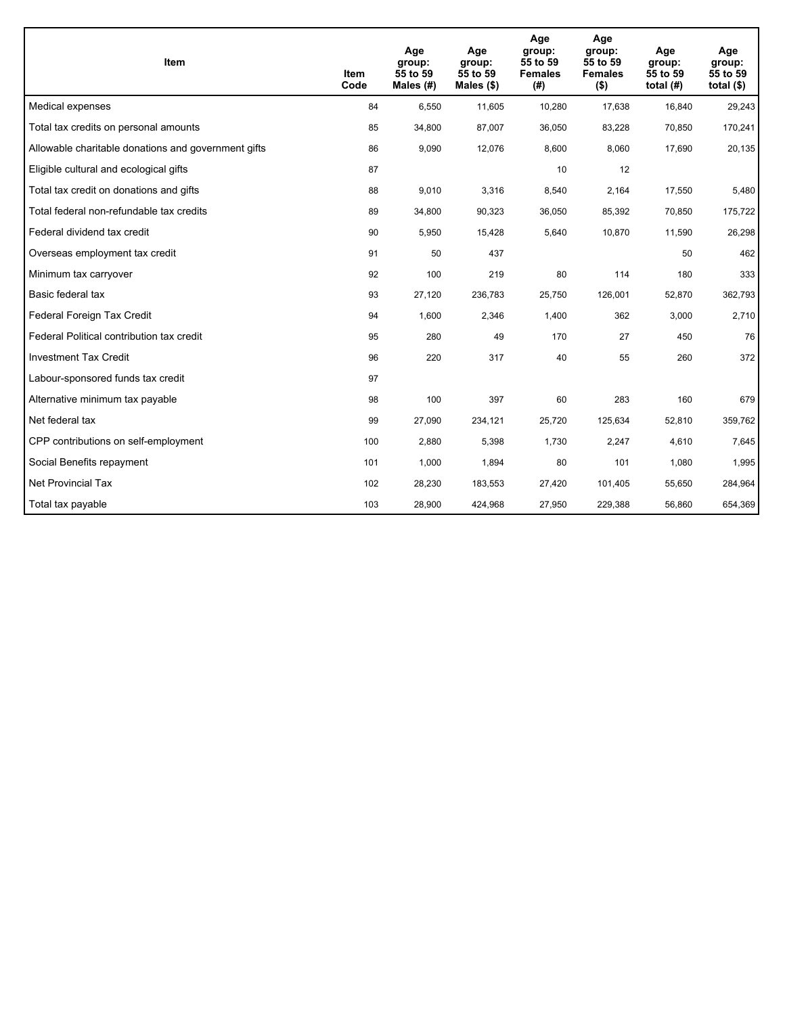| <b>Item</b>                                         | Item<br>Code | Age<br>group:<br>55 to 59<br>Males (#) | Age<br>group:<br>55 to 59<br>Males $(\$)$ | Age<br>group:<br>55 to 59<br><b>Females</b><br>(#) | Age<br>group:<br>55 to 59<br><b>Females</b><br>$($ \$) | Age<br>group:<br>55 to 59<br>total $(H)$ | Age<br>group:<br>55 to 59<br>total $($)$ |
|-----------------------------------------------------|--------------|----------------------------------------|-------------------------------------------|----------------------------------------------------|--------------------------------------------------------|------------------------------------------|------------------------------------------|
| Medical expenses                                    | 84           | 6,550                                  | 11,605                                    | 10,280                                             | 17,638                                                 | 16,840                                   | 29,243                                   |
| Total tax credits on personal amounts               | 85           | 34,800                                 | 87,007                                    | 36,050                                             | 83,228                                                 | 70,850                                   | 170,241                                  |
| Allowable charitable donations and government gifts | 86           | 9,090                                  | 12,076                                    | 8,600                                              | 8,060                                                  | 17,690                                   | 20,135                                   |
| Eligible cultural and ecological gifts              | 87           |                                        |                                           | 10                                                 | 12                                                     |                                          |                                          |
| Total tax credit on donations and gifts             | 88           | 9,010                                  | 3,316                                     | 8,540                                              | 2,164                                                  | 17,550                                   | 5,480                                    |
| Total federal non-refundable tax credits            | 89           | 34,800                                 | 90,323                                    | 36,050                                             | 85,392                                                 | 70,850                                   | 175,722                                  |
| Federal dividend tax credit                         | 90           | 5,950                                  | 15,428                                    | 5,640                                              | 10,870                                                 | 11,590                                   | 26,298                                   |
| Overseas employment tax credit                      | 91           | 50                                     | 437                                       |                                                    |                                                        | 50                                       | 462                                      |
| Minimum tax carryover                               | 92           | 100                                    | 219                                       | 80                                                 | 114                                                    | 180                                      | 333                                      |
| Basic federal tax                                   | 93           | 27,120                                 | 236,783                                   | 25,750                                             | 126,001                                                | 52,870                                   | 362,793                                  |
| Federal Foreign Tax Credit                          | 94           | 1,600                                  | 2,346                                     | 1,400                                              | 362                                                    | 3,000                                    | 2,710                                    |
| Federal Political contribution tax credit           | 95           | 280                                    | 49                                        | 170                                                | 27                                                     | 450                                      | 76                                       |
| <b>Investment Tax Credit</b>                        | 96           | 220                                    | 317                                       | 40                                                 | 55                                                     | 260                                      | 372                                      |
| Labour-sponsored funds tax credit                   | 97           |                                        |                                           |                                                    |                                                        |                                          |                                          |
| Alternative minimum tax payable                     | 98           | 100                                    | 397                                       | 60                                                 | 283                                                    | 160                                      | 679                                      |
| Net federal tax                                     | 99           | 27,090                                 | 234,121                                   | 25,720                                             | 125,634                                                | 52,810                                   | 359,762                                  |
| CPP contributions on self-employment                | 100          | 2,880                                  | 5,398                                     | 1,730                                              | 2,247                                                  | 4,610                                    | 7,645                                    |
| Social Benefits repayment                           | 101          | 1,000                                  | 1,894                                     | 80                                                 | 101                                                    | 1,080                                    | 1,995                                    |
| Net Provincial Tax                                  | 102          | 28,230                                 | 183,553                                   | 27,420                                             | 101.405                                                | 55,650                                   | 284,964                                  |
| Total tax payable                                   | 103          | 28,900                                 | 424,968                                   | 27,950                                             | 229,388                                                | 56,860                                   | 654,369                                  |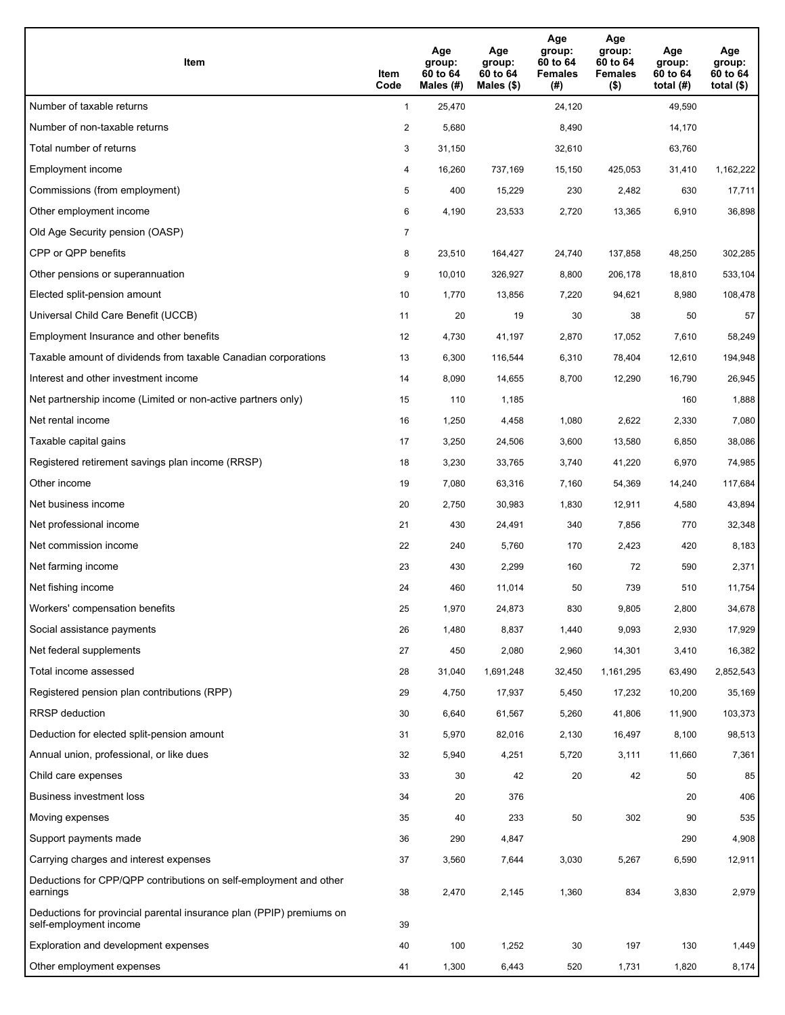| Item                                                                                           | Item<br>Code   | Age<br>group:<br>60 to 64<br>Males (#) | Age<br>group:<br>60 to 64<br>Males $(\$)$ | Age<br>group:<br>60 to 64<br><b>Females</b><br>(#) | Age<br>group:<br>60 to 64<br><b>Females</b><br>$($ \$) | Age<br>group:<br>60 to 64<br>total $(H)$ | Age<br>group:<br>60 to 64<br>total $($)$ |
|------------------------------------------------------------------------------------------------|----------------|----------------------------------------|-------------------------------------------|----------------------------------------------------|--------------------------------------------------------|------------------------------------------|------------------------------------------|
| Number of taxable returns                                                                      | $\mathbf{1}$   | 25,470                                 |                                           | 24,120                                             |                                                        | 49,590                                   |                                          |
| Number of non-taxable returns                                                                  | $\overline{2}$ | 5,680                                  |                                           | 8,490                                              |                                                        | 14,170                                   |                                          |
| Total number of returns                                                                        | 3              | 31,150                                 |                                           | 32,610                                             |                                                        | 63,760                                   |                                          |
| Employment income                                                                              | 4              | 16,260                                 | 737,169                                   | 15,150                                             | 425,053                                                | 31,410                                   | 1,162,222                                |
| Commissions (from employment)                                                                  | 5              | 400                                    | 15,229                                    | 230                                                | 2,482                                                  | 630                                      | 17,711                                   |
| Other employment income                                                                        | 6              | 4,190                                  | 23,533                                    | 2,720                                              | 13,365                                                 | 6,910                                    | 36,898                                   |
| Old Age Security pension (OASP)                                                                | 7              |                                        |                                           |                                                    |                                                        |                                          |                                          |
| CPP or QPP benefits                                                                            | 8              | 23,510                                 | 164,427                                   | 24,740                                             | 137,858                                                | 48,250                                   | 302,285                                  |
| Other pensions or superannuation                                                               | 9              | 10,010                                 | 326,927                                   | 8,800                                              | 206,178                                                | 18,810                                   | 533,104                                  |
| Elected split-pension amount                                                                   | 10             | 1,770                                  | 13,856                                    | 7,220                                              | 94,621                                                 | 8,980                                    | 108,478                                  |
| Universal Child Care Benefit (UCCB)                                                            | 11             | 20                                     | 19                                        | 30                                                 | 38                                                     | 50                                       | 57                                       |
| Employment Insurance and other benefits                                                        | 12             | 4,730                                  | 41,197                                    | 2,870                                              | 17,052                                                 | 7,610                                    | 58,249                                   |
| Taxable amount of dividends from taxable Canadian corporations                                 | 13             | 6,300                                  | 116,544                                   | 6,310                                              | 78,404                                                 | 12,610                                   | 194,948                                  |
| Interest and other investment income                                                           | 14             | 8,090                                  | 14,655                                    | 8,700                                              | 12,290                                                 | 16,790                                   | 26,945                                   |
| Net partnership income (Limited or non-active partners only)                                   | 15             | 110                                    | 1,185                                     |                                                    |                                                        | 160                                      | 1,888                                    |
| Net rental income                                                                              | 16             | 1,250                                  | 4,458                                     | 1,080                                              | 2,622                                                  | 2,330                                    | 7,080                                    |
| Taxable capital gains                                                                          | 17             | 3,250                                  | 24,506                                    | 3,600                                              | 13,580                                                 | 6,850                                    | 38,086                                   |
| Registered retirement savings plan income (RRSP)                                               | 18             | 3,230                                  | 33,765                                    | 3,740                                              | 41,220                                                 | 6,970                                    | 74,985                                   |
| Other income                                                                                   | 19             | 7,080                                  | 63,316                                    | 7,160                                              | 54,369                                                 | 14,240                                   | 117,684                                  |
| Net business income                                                                            | 20             | 2,750                                  | 30,983                                    | 1,830                                              | 12,911                                                 | 4,580                                    | 43,894                                   |
| Net professional income                                                                        | 21             | 430                                    | 24,491                                    | 340                                                | 7,856                                                  | 770                                      | 32,348                                   |
| Net commission income                                                                          | 22             | 240                                    | 5,760                                     | 170                                                | 2,423                                                  | 420                                      | 8,183                                    |
| Net farming income                                                                             | 23             | 430                                    | 2,299                                     | 160                                                | 72                                                     | 590                                      | 2,371                                    |
| Net fishing income                                                                             | 24             | 460                                    | 11,014                                    | 50                                                 | 739                                                    | 510                                      | 11,754                                   |
| Workers' compensation benefits                                                                 | 25             | 1,970                                  | 24,873                                    | 830                                                | 9,805                                                  | 2,800                                    | 34,678                                   |
| Social assistance payments                                                                     | 26             | 1,480                                  | 8,837                                     | 1,440                                              | 9,093                                                  | 2,930                                    | 17,929                                   |
| Net federal supplements                                                                        | 27             | 450                                    | 2,080                                     | 2,960                                              | 14,301                                                 | 3,410                                    | 16,382                                   |
| Total income assessed                                                                          | 28             | 31,040                                 | 1,691,248                                 | 32,450                                             | 1,161,295                                              | 63,490                                   | 2,852,543                                |
| Registered pension plan contributions (RPP)                                                    | 29             | 4,750                                  | 17,937                                    | 5,450                                              | 17,232                                                 | 10,200                                   | 35,169                                   |
| RRSP deduction                                                                                 | 30             | 6,640                                  | 61,567                                    | 5,260                                              | 41,806                                                 | 11,900                                   | 103,373                                  |
| Deduction for elected split-pension amount                                                     | 31             | 5,970                                  | 82,016                                    | 2,130                                              | 16,497                                                 | 8,100                                    | 98,513                                   |
| Annual union, professional, or like dues                                                       | 32             | 5,940                                  | 4,251                                     | 5,720                                              | 3,111                                                  | 11,660                                   | 7,361                                    |
| Child care expenses                                                                            | 33             | 30                                     | 42                                        | 20                                                 | 42                                                     | 50                                       | 85                                       |
| Business investment loss                                                                       | 34             | 20                                     | 376                                       |                                                    |                                                        | 20                                       | 406                                      |
| Moving expenses                                                                                | 35             | 40                                     | 233                                       | 50                                                 | 302                                                    | 90                                       | 535                                      |
| Support payments made                                                                          | 36             | 290                                    | 4,847                                     |                                                    |                                                        | 290                                      | 4,908                                    |
| Carrying charges and interest expenses                                                         | 37             | 3,560                                  | 7,644                                     | 3,030                                              | 5,267                                                  | 6,590                                    | 12,911                                   |
| Deductions for CPP/QPP contributions on self-employment and other<br>earnings                  | 38             | 2,470                                  | 2,145                                     | 1,360                                              | 834                                                    | 3,830                                    | 2,979                                    |
| Deductions for provincial parental insurance plan (PPIP) premiums on<br>self-employment income | 39             |                                        |                                           |                                                    |                                                        |                                          |                                          |
| Exploration and development expenses                                                           | 40             | 100                                    | 1,252                                     | $30\,$                                             | 197                                                    | 130                                      | 1,449                                    |
| Other employment expenses                                                                      | 41             | 1,300                                  | 6,443                                     | 520                                                | 1,731                                                  | 1,820                                    | 8,174                                    |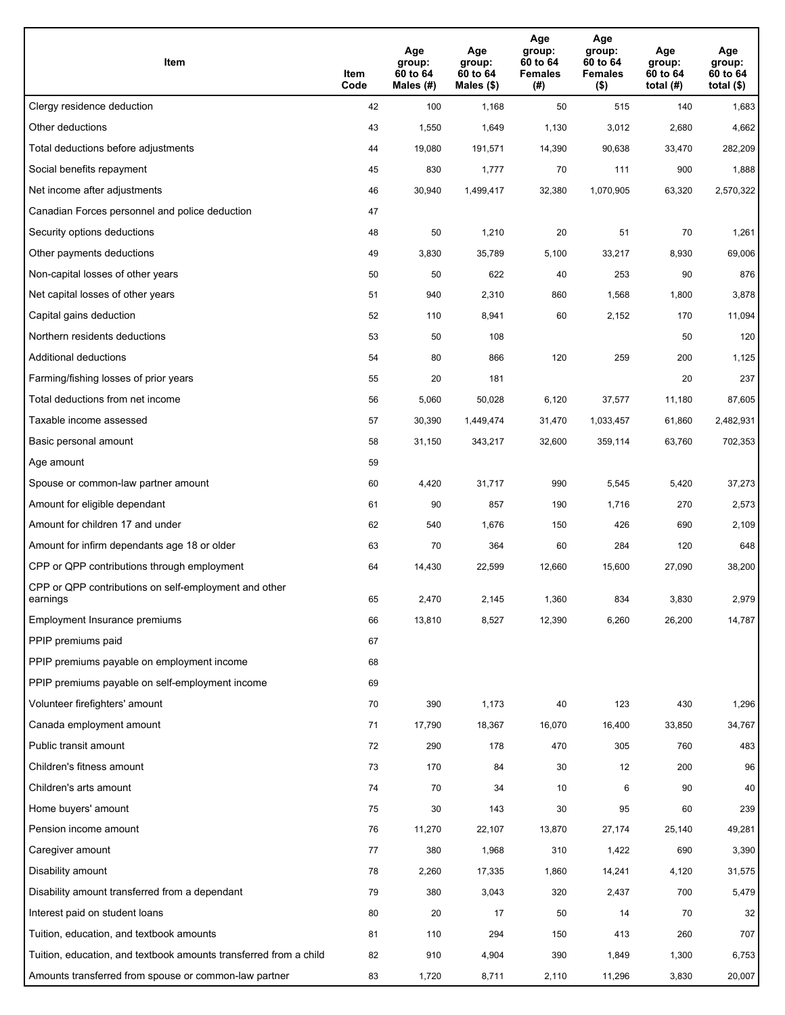| Item                                                              | Item<br>Code | Age<br>group:<br>60 to 64<br>Males (#) | Age<br>group:<br>60 to 64<br>Males (\$) | Age<br>group:<br>60 to 64<br><b>Females</b><br>(# ) | Age<br>group:<br>60 to 64<br><b>Females</b><br>$($ \$) | Age<br>group:<br>60 to 64<br>total $(H)$ | Age<br>group:<br>60 to 64<br>total $($)$ |
|-------------------------------------------------------------------|--------------|----------------------------------------|-----------------------------------------|-----------------------------------------------------|--------------------------------------------------------|------------------------------------------|------------------------------------------|
| Clergy residence deduction                                        | 42           | 100                                    | 1,168                                   | 50                                                  | 515                                                    | 140                                      | 1,683                                    |
| Other deductions                                                  | 43           | 1,550                                  | 1,649                                   | 1,130                                               | 3,012                                                  | 2,680                                    | 4,662                                    |
| Total deductions before adjustments                               | 44           | 19,080                                 | 191,571                                 | 14,390                                              | 90,638                                                 | 33,470                                   | 282,209                                  |
| Social benefits repayment                                         | 45           | 830                                    | 1,777                                   | 70                                                  | 111                                                    | 900                                      | 1,888                                    |
| Net income after adjustments                                      | 46           | 30,940                                 | 1,499,417                               | 32,380                                              | 1,070,905                                              | 63,320                                   | 2,570,322                                |
| Canadian Forces personnel and police deduction                    | 47           |                                        |                                         |                                                     |                                                        |                                          |                                          |
| Security options deductions                                       | 48           | 50                                     | 1,210                                   | 20                                                  | 51                                                     | 70                                       | 1,261                                    |
| Other payments deductions                                         | 49           | 3,830                                  | 35,789                                  | 5,100                                               | 33,217                                                 | 8,930                                    | 69,006                                   |
| Non-capital losses of other years                                 | 50           | 50                                     | 622                                     | 40                                                  | 253                                                    | 90                                       | 876                                      |
| Net capital losses of other years                                 | 51           | 940                                    | 2,310                                   | 860                                                 | 1,568                                                  | 1,800                                    | 3,878                                    |
| Capital gains deduction                                           | 52           | 110                                    | 8,941                                   | 60                                                  | 2,152                                                  | 170                                      | 11,094                                   |
| Northern residents deductions                                     | 53           | 50                                     | 108                                     |                                                     |                                                        | 50                                       | 120                                      |
| Additional deductions                                             | 54           | 80                                     | 866                                     | 120                                                 | 259                                                    | 200                                      | 1,125                                    |
| Farming/fishing losses of prior years                             | 55           | 20                                     | 181                                     |                                                     |                                                        | 20                                       | 237                                      |
| Total deductions from net income                                  | 56           | 5,060                                  | 50,028                                  | 6,120                                               | 37,577                                                 | 11,180                                   | 87,605                                   |
| Taxable income assessed                                           | 57           | 30,390                                 | 1,449,474                               | 31,470                                              | 1,033,457                                              | 61,860                                   | 2,482,931                                |
| Basic personal amount                                             | 58           | 31,150                                 | 343,217                                 | 32,600                                              | 359,114                                                | 63,760                                   | 702,353                                  |
| Age amount                                                        | 59           |                                        |                                         |                                                     |                                                        |                                          |                                          |
| Spouse or common-law partner amount                               | 60           | 4,420                                  | 31,717                                  | 990                                                 | 5,545                                                  | 5,420                                    | 37,273                                   |
| Amount for eligible dependant                                     | 61           | 90                                     | 857                                     | 190                                                 | 1,716                                                  | 270                                      | 2,573                                    |
| Amount for children 17 and under                                  | 62           | 540                                    | 1,676                                   | 150                                                 | 426                                                    | 690                                      | 2,109                                    |
| Amount for infirm dependants age 18 or older                      | 63           | 70                                     | 364                                     | 60                                                  | 284                                                    | 120                                      | 648                                      |
| CPP or QPP contributions through employment                       | 64           | 14,430                                 | 22,599                                  | 12,660                                              | 15,600                                                 | 27,090                                   | 38,200                                   |
| CPP or QPP contributions on self-employment and other<br>earnings | 65           | 2,470                                  | 2,145                                   | 1.360                                               | 834                                                    | 3,830                                    | 2,979                                    |
| Employment Insurance premiums                                     | 66           | 13,810                                 | 8,527                                   | 12,390                                              | 6,260                                                  | 26,200                                   | 14,787                                   |
| PPIP premiums paid                                                | 67           |                                        |                                         |                                                     |                                                        |                                          |                                          |
| PPIP premiums payable on employment income                        | 68           |                                        |                                         |                                                     |                                                        |                                          |                                          |
| PPIP premiums payable on self-employment income                   | 69           |                                        |                                         |                                                     |                                                        |                                          |                                          |
| Volunteer firefighters' amount                                    | 70           | 390                                    | 1,173                                   | 40                                                  | 123                                                    | 430                                      | 1,296                                    |
| Canada employment amount                                          | 71           | 17,790                                 | 18,367                                  | 16,070                                              | 16,400                                                 | 33,850                                   | 34,767                                   |
| Public transit amount                                             | 72           | 290                                    | 178                                     | 470                                                 | 305                                                    | 760                                      | 483                                      |
| Children's fitness amount                                         | 73           | 170                                    | 84                                      | 30                                                  | 12                                                     | 200                                      | 96                                       |
| Children's arts amount                                            | 74           | 70                                     | 34                                      | 10                                                  | 6                                                      | 90                                       | 40                                       |
| Home buyers' amount                                               | 75           | 30                                     | 143                                     | 30                                                  | 95                                                     | 60                                       | 239                                      |
| Pension income amount                                             | 76           | 11,270                                 | 22,107                                  | 13,870                                              | 27,174                                                 | 25,140                                   | 49,281                                   |
| Caregiver amount                                                  | 77           | 380                                    | 1,968                                   | 310                                                 | 1,422                                                  | 690                                      | 3,390                                    |
| Disability amount                                                 | 78           | 2,260                                  | 17,335                                  | 1,860                                               | 14,241                                                 | 4,120                                    | 31,575                                   |
| Disability amount transferred from a dependant                    | 79           | 380                                    | 3,043                                   | 320                                                 | 2,437                                                  | 700                                      | 5,479                                    |
| Interest paid on student loans                                    | 80           | 20                                     | 17                                      | 50                                                  | 14                                                     | 70                                       | 32                                       |
| Tuition, education, and textbook amounts                          | 81           | 110                                    | 294                                     | 150                                                 | 413                                                    | 260                                      | 707                                      |
| Tuition, education, and textbook amounts transferred from a child | 82           | 910                                    | 4,904                                   | 390                                                 | 1,849                                                  | 1,300                                    | 6,753                                    |
| Amounts transferred from spouse or common-law partner             | 83           | 1,720                                  | 8,711                                   | 2,110                                               | 11,296                                                 | 3,830                                    | 20,007                                   |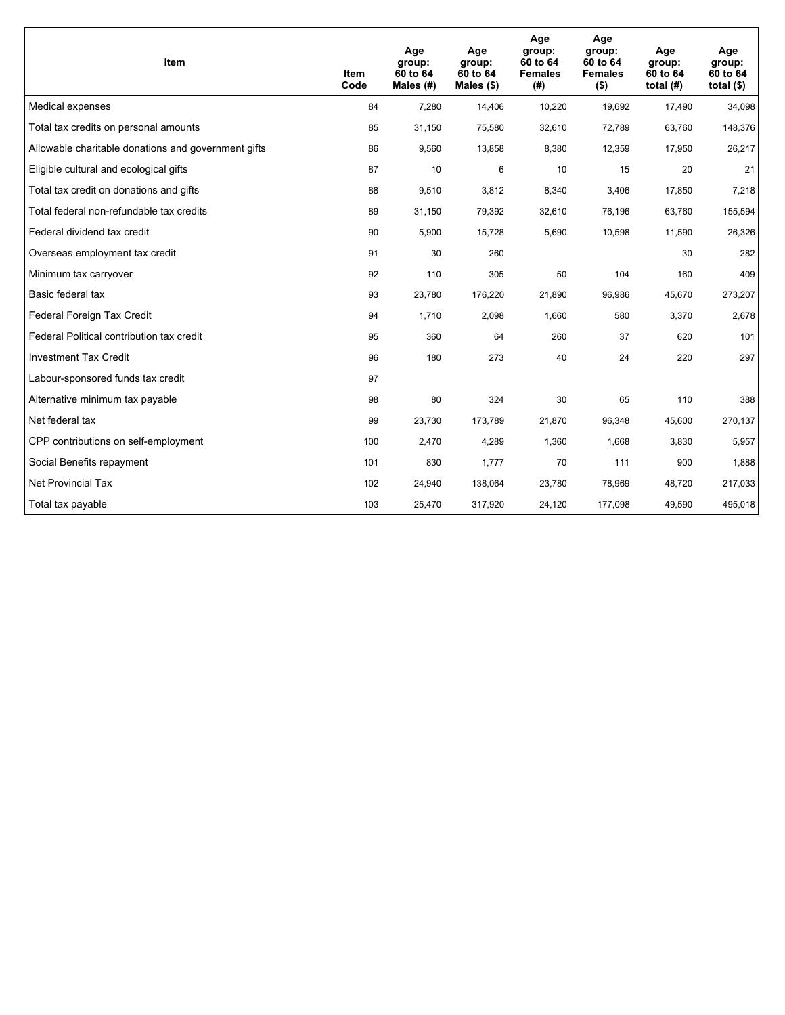| <b>Item</b>                                         | Item<br>Code | Age<br>group:<br>60 to 64<br>Males $(H)$ | Age<br>group:<br>60 to 64<br>Males $(\$)$ | Age<br>group:<br>60 to 64<br><b>Females</b><br>(#) | Age<br>group:<br>60 to 64<br><b>Females</b><br>$($ \$) | Age<br>group:<br>60 to 64<br>total $(H)$ | Age<br>group:<br>60 to 64<br>total $($)$ |
|-----------------------------------------------------|--------------|------------------------------------------|-------------------------------------------|----------------------------------------------------|--------------------------------------------------------|------------------------------------------|------------------------------------------|
| Medical expenses                                    | 84           | 7,280                                    | 14,406                                    | 10,220                                             | 19,692                                                 | 17,490                                   | 34,098                                   |
| Total tax credits on personal amounts               | 85           | 31,150                                   | 75,580                                    | 32,610                                             | 72,789                                                 | 63,760                                   | 148,376                                  |
| Allowable charitable donations and government gifts | 86           | 9,560                                    | 13,858                                    | 8,380                                              | 12,359                                                 | 17,950                                   | 26,217                                   |
| Eligible cultural and ecological gifts              | 87           | 10                                       | 6                                         | 10                                                 | 15                                                     | 20                                       | 21                                       |
| Total tax credit on donations and gifts             | 88           | 9,510                                    | 3,812                                     | 8,340                                              | 3,406                                                  | 17,850                                   | 7,218                                    |
| Total federal non-refundable tax credits            | 89           | 31,150                                   | 79,392                                    | 32,610                                             | 76,196                                                 | 63,760                                   | 155,594                                  |
| Federal dividend tax credit                         | 90           | 5,900                                    | 15,728                                    | 5,690                                              | 10,598                                                 | 11,590                                   | 26,326                                   |
| Overseas employment tax credit                      | 91           | 30                                       | 260                                       |                                                    |                                                        | 30                                       | 282                                      |
| Minimum tax carryover                               | 92           | 110                                      | 305                                       | 50                                                 | 104                                                    | 160                                      | 409                                      |
| Basic federal tax                                   | 93           | 23,780                                   | 176,220                                   | 21,890                                             | 96,986                                                 | 45,670                                   | 273,207                                  |
| Federal Foreign Tax Credit                          | 94           | 1,710                                    | 2,098                                     | 1,660                                              | 580                                                    | 3,370                                    | 2,678                                    |
| Federal Political contribution tax credit           | 95           | 360                                      | 64                                        | 260                                                | 37                                                     | 620                                      | 101                                      |
| <b>Investment Tax Credit</b>                        | 96           | 180                                      | 273                                       | 40                                                 | 24                                                     | 220                                      | 297                                      |
| Labour-sponsored funds tax credit                   | 97           |                                          |                                           |                                                    |                                                        |                                          |                                          |
| Alternative minimum tax payable                     | 98           | 80                                       | 324                                       | 30                                                 | 65                                                     | 110                                      | 388                                      |
| Net federal tax                                     | 99           | 23,730                                   | 173,789                                   | 21,870                                             | 96,348                                                 | 45,600                                   | 270,137                                  |
| CPP contributions on self-employment                | 100          | 2,470                                    | 4,289                                     | 1,360                                              | 1,668                                                  | 3,830                                    | 5,957                                    |
| Social Benefits repayment                           | 101          | 830                                      | 1,777                                     | 70                                                 | 111                                                    | 900                                      | 1,888                                    |
| Net Provincial Tax                                  | 102          | 24,940                                   | 138,064                                   | 23,780                                             | 78,969                                                 | 48,720                                   | 217,033                                  |
| Total tax payable                                   | 103          | 25,470                                   | 317,920                                   | 24,120                                             | 177,098                                                | 49,590                                   | 495,018                                  |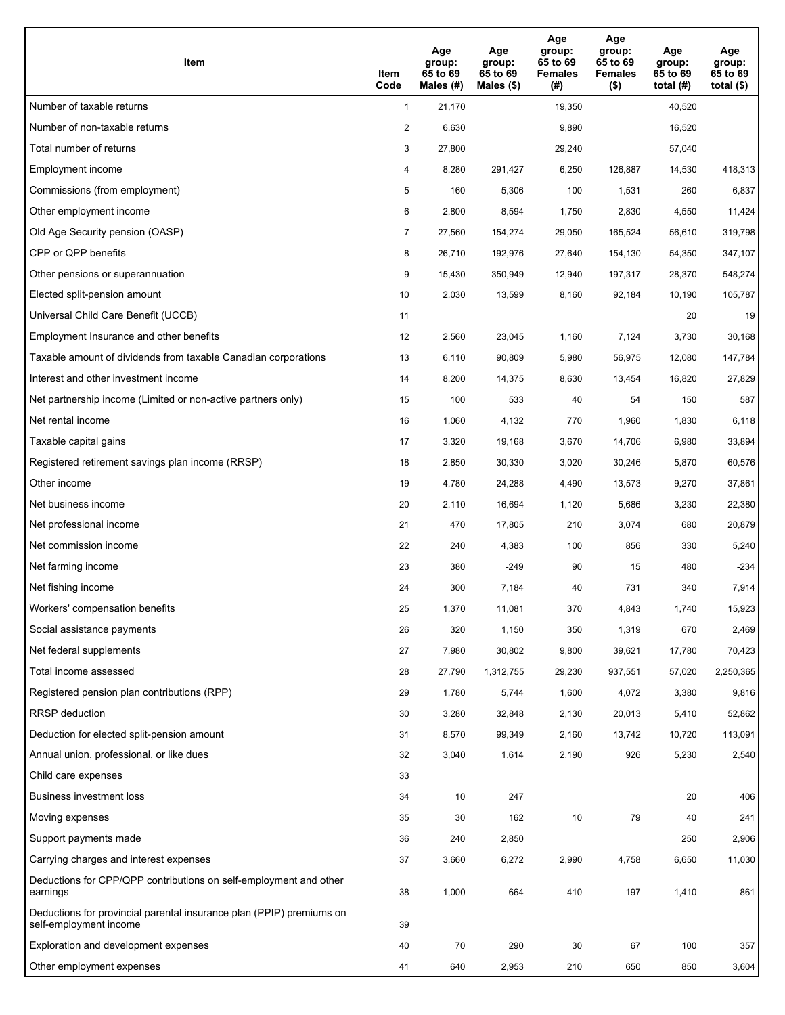| Item                                                                                           | Item<br>Code   | Age<br>group:<br>65 to 69<br>Males (#) | Age<br>group:<br>65 to 69<br>Males $(\$)$ | Age<br>group:<br>65 to 69<br><b>Females</b><br>(#) | Age<br>group:<br>65 to 69<br><b>Females</b><br>$($ \$) | Age<br>group:<br>65 to 69<br>total $(H)$ | Age<br>group:<br>65 to 69<br>total $($)$ |
|------------------------------------------------------------------------------------------------|----------------|----------------------------------------|-------------------------------------------|----------------------------------------------------|--------------------------------------------------------|------------------------------------------|------------------------------------------|
| Number of taxable returns                                                                      | $\mathbf{1}$   | 21,170                                 |                                           | 19,350                                             |                                                        | 40,520                                   |                                          |
| Number of non-taxable returns                                                                  | $\overline{2}$ | 6,630                                  |                                           | 9,890                                              |                                                        | 16,520                                   |                                          |
| Total number of returns                                                                        | 3              | 27,800                                 |                                           | 29,240                                             |                                                        | 57,040                                   |                                          |
| Employment income                                                                              | 4              | 8,280                                  | 291,427                                   | 6,250                                              | 126,887                                                | 14,530                                   | 418,313                                  |
| Commissions (from employment)                                                                  | 5              | 160                                    | 5,306                                     | 100                                                | 1,531                                                  | 260                                      | 6,837                                    |
| Other employment income                                                                        | 6              | 2,800                                  | 8,594                                     | 1,750                                              | 2,830                                                  | 4,550                                    | 11,424                                   |
| Old Age Security pension (OASP)                                                                | 7              | 27,560                                 | 154,274                                   | 29,050                                             | 165,524                                                | 56,610                                   | 319,798                                  |
| CPP or QPP benefits                                                                            | 8              | 26,710                                 | 192,976                                   | 27,640                                             | 154,130                                                | 54,350                                   | 347,107                                  |
| Other pensions or superannuation                                                               | 9              | 15,430                                 | 350,949                                   | 12,940                                             | 197,317                                                | 28,370                                   | 548,274                                  |
| Elected split-pension amount                                                                   | 10             | 2,030                                  | 13,599                                    | 8,160                                              | 92,184                                                 | 10,190                                   | 105,787                                  |
| Universal Child Care Benefit (UCCB)                                                            | 11             |                                        |                                           |                                                    |                                                        | 20                                       | 19                                       |
| Employment Insurance and other benefits                                                        | 12             | 2,560                                  | 23,045                                    | 1,160                                              | 7,124                                                  | 3,730                                    | 30,168                                   |
| Taxable amount of dividends from taxable Canadian corporations                                 | 13             | 6,110                                  | 90,809                                    | 5,980                                              | 56,975                                                 | 12,080                                   | 147,784                                  |
| Interest and other investment income                                                           | 14             | 8,200                                  | 14,375                                    | 8,630                                              | 13,454                                                 | 16,820                                   | 27,829                                   |
| Net partnership income (Limited or non-active partners only)                                   | 15             | 100                                    | 533                                       | 40                                                 | 54                                                     | 150                                      | 587                                      |
| Net rental income                                                                              | 16             | 1,060                                  | 4,132                                     | 770                                                | 1,960                                                  | 1,830                                    | 6,118                                    |
| Taxable capital gains                                                                          | 17             | 3,320                                  | 19,168                                    | 3,670                                              | 14,706                                                 | 6,980                                    | 33,894                                   |
| Registered retirement savings plan income (RRSP)                                               | 18             | 2,850                                  | 30,330                                    | 3,020                                              | 30,246                                                 | 5,870                                    | 60,576                                   |
| Other income                                                                                   | 19             | 4,780                                  | 24,288                                    | 4,490                                              | 13,573                                                 | 9,270                                    | 37,861                                   |
| Net business income                                                                            | 20             | 2,110                                  | 16,694                                    | 1,120                                              | 5,686                                                  | 3,230                                    | 22,380                                   |
| Net professional income                                                                        | 21             | 470                                    | 17,805                                    | 210                                                | 3,074                                                  | 680                                      | 20,879                                   |
| Net commission income                                                                          | 22             | 240                                    | 4,383                                     | 100                                                | 856                                                    | 330                                      | 5,240                                    |
| Net farming income                                                                             | 23             | 380                                    | $-249$                                    | 90                                                 | 15                                                     | 480                                      | $-234$                                   |
| Net fishing income                                                                             | 24             | 300                                    | 7,184                                     | 40                                                 | 731                                                    | 340                                      | 7,914                                    |
| Workers' compensation benefits                                                                 | 25             | 1,370                                  | 11,081                                    | 370                                                | 4,843                                                  | 1,740                                    | 15,923                                   |
| Social assistance payments                                                                     | 26             | 320                                    | 1,150                                     | 350                                                | 1,319                                                  | 670                                      | 2,469                                    |
| Net federal supplements                                                                        | 27             | 7,980                                  | 30,802                                    | 9,800                                              | 39,621                                                 | 17,780                                   | 70,423                                   |
| Total income assessed                                                                          | 28             | 27,790                                 | 1,312,755                                 | 29,230                                             | 937,551                                                | 57,020                                   | 2,250,365                                |
| Registered pension plan contributions (RPP)                                                    | 29             | 1,780                                  | 5,744                                     | 1,600                                              | 4,072                                                  | 3,380                                    | 9,816                                    |
| RRSP deduction                                                                                 | 30             | 3,280                                  | 32,848                                    | 2,130                                              | 20,013                                                 | 5,410                                    | 52,862                                   |
| Deduction for elected split-pension amount                                                     | 31             | 8,570                                  | 99,349                                    | 2,160                                              | 13,742                                                 | 10,720                                   | 113,091                                  |
| Annual union, professional, or like dues                                                       | 32             | 3,040                                  | 1,614                                     | 2,190                                              | 926                                                    | 5,230                                    | 2,540                                    |
| Child care expenses                                                                            | 33             |                                        |                                           |                                                    |                                                        |                                          |                                          |
| Business investment loss                                                                       | 34             | 10                                     | 247                                       |                                                    |                                                        | 20                                       | 406                                      |
| Moving expenses                                                                                | 35             | 30                                     | 162                                       | 10                                                 | 79                                                     | 40                                       | 241                                      |
| Support payments made                                                                          | 36             | 240                                    | 2,850                                     |                                                    |                                                        | 250                                      | 2,906                                    |
| Carrying charges and interest expenses                                                         | 37             | 3,660                                  | 6,272                                     | 2,990                                              | 4,758                                                  | 6,650                                    | 11,030                                   |
| Deductions for CPP/QPP contributions on self-employment and other<br>earnings                  | 38             | 1,000                                  | 664                                       | 410                                                | 197                                                    | 1,410                                    | 861                                      |
| Deductions for provincial parental insurance plan (PPIP) premiums on<br>self-employment income | 39             |                                        |                                           |                                                    |                                                        |                                          |                                          |
| Exploration and development expenses                                                           | 40             | 70                                     | 290                                       | $30\,$                                             | 67                                                     | 100                                      | 357                                      |
| Other employment expenses                                                                      | 41             | 640                                    | 2,953                                     | 210                                                | 650                                                    | 850                                      | 3,604                                    |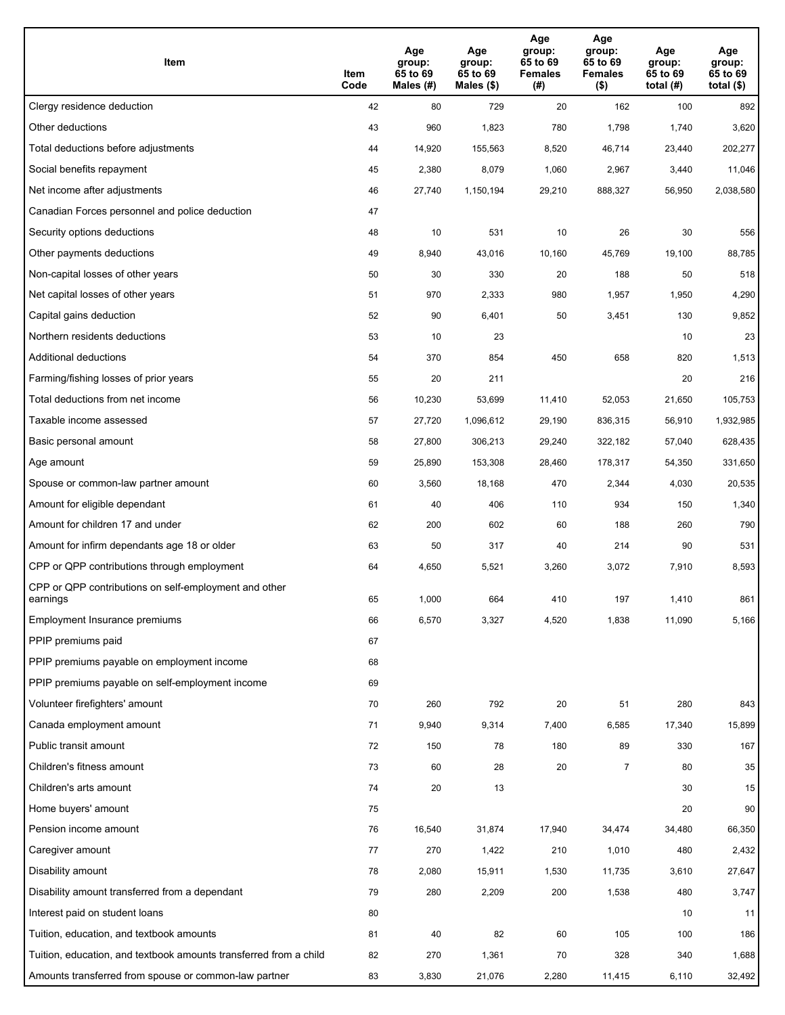| Item                                                              | Item<br>Code | Age<br>group:<br>65 to 69<br>Males (#) | Age<br>group:<br>65 to 69<br>Males (\$) | Age<br>group:<br>65 to 69<br><b>Females</b><br>(#) | Age<br>group:<br>65 to 69<br>Females<br>$($ \$) | Age<br>group:<br>65 to 69<br>total $(H)$ | Age<br>group:<br>65 to 69<br>total $($)$ |
|-------------------------------------------------------------------|--------------|----------------------------------------|-----------------------------------------|----------------------------------------------------|-------------------------------------------------|------------------------------------------|------------------------------------------|
| Clergy residence deduction                                        | 42           | 80                                     | 729                                     | 20                                                 | 162                                             | 100                                      | 892                                      |
| Other deductions                                                  | 43           | 960                                    | 1,823                                   | 780                                                | 1,798                                           | 1,740                                    | 3,620                                    |
| Total deductions before adjustments                               | 44           | 14,920                                 | 155,563                                 | 8,520                                              | 46,714                                          | 23,440                                   | 202,277                                  |
| Social benefits repayment                                         | 45           | 2,380                                  | 8,079                                   | 1,060                                              | 2,967                                           | 3,440                                    | 11,046                                   |
| Net income after adjustments                                      | 46           | 27,740                                 | 1,150,194                               | 29,210                                             | 888,327                                         | 56,950                                   | 2,038,580                                |
| Canadian Forces personnel and police deduction                    | 47           |                                        |                                         |                                                    |                                                 |                                          |                                          |
| Security options deductions                                       | 48           | 10                                     | 531                                     | 10                                                 | 26                                              | 30                                       | 556                                      |
| Other payments deductions                                         | 49           | 8,940                                  | 43,016                                  | 10,160                                             | 45,769                                          | 19,100                                   | 88,785                                   |
| Non-capital losses of other years                                 | 50           | 30                                     | 330                                     | 20                                                 | 188                                             | 50                                       | 518                                      |
| Net capital losses of other years                                 | 51           | 970                                    | 2,333                                   | 980                                                | 1,957                                           | 1,950                                    | 4,290                                    |
| Capital gains deduction                                           | 52           | 90                                     | 6,401                                   | 50                                                 | 3,451                                           | 130                                      | 9,852                                    |
| Northern residents deductions                                     | 53           | 10                                     | 23                                      |                                                    |                                                 | 10                                       | 23                                       |
| Additional deductions                                             | 54           | 370                                    | 854                                     | 450                                                | 658                                             | 820                                      | 1,513                                    |
| Farming/fishing losses of prior years                             | 55           | 20                                     | 211                                     |                                                    |                                                 | 20                                       | 216                                      |
| Total deductions from net income                                  | 56           | 10,230                                 | 53,699                                  | 11,410                                             | 52,053                                          | 21,650                                   | 105,753                                  |
| Taxable income assessed                                           | 57           | 27,720                                 | 1,096,612                               | 29,190                                             | 836,315                                         | 56,910                                   | 1,932,985                                |
| Basic personal amount                                             | 58           | 27,800                                 | 306,213                                 | 29,240                                             | 322,182                                         | 57,040                                   | 628,435                                  |
| Age amount                                                        | 59           | 25,890                                 | 153,308                                 | 28,460                                             | 178,317                                         | 54,350                                   | 331,650                                  |
| Spouse or common-law partner amount                               | 60           | 3,560                                  | 18,168                                  | 470                                                | 2,344                                           | 4,030                                    | 20,535                                   |
| Amount for eligible dependant                                     | 61           | 40                                     | 406                                     | 110                                                | 934                                             | 150                                      | 1,340                                    |
| Amount for children 17 and under                                  | 62           | 200                                    | 602                                     | 60                                                 | 188                                             | 260                                      | 790                                      |
| Amount for infirm dependants age 18 or older                      | 63           | 50                                     | 317                                     | 40                                                 | 214                                             | 90                                       | 531                                      |
| CPP or QPP contributions through employment                       | 64           | 4,650                                  | 5,521                                   | 3,260                                              | 3,072                                           | 7,910                                    | 8,593                                    |
| CPP or QPP contributions on self-employment and other<br>earnings | 65           | 1,000                                  | 664                                     | 410                                                | 197                                             | 1,410                                    | 861                                      |
| Employment Insurance premiums                                     | 66           | 6,570                                  | 3,327                                   | 4,520                                              | 1,838                                           | 11,090                                   | 5,166                                    |
| PPIP premiums paid                                                | 67           |                                        |                                         |                                                    |                                                 |                                          |                                          |
| PPIP premiums payable on employment income                        | 68           |                                        |                                         |                                                    |                                                 |                                          |                                          |
| PPIP premiums payable on self-employment income                   | 69           |                                        |                                         |                                                    |                                                 |                                          |                                          |
| Volunteer firefighters' amount                                    | 70           | 260                                    | 792                                     | 20                                                 | 51                                              | 280                                      | 843                                      |
| Canada employment amount                                          | 71           | 9,940                                  | 9,314                                   | 7,400                                              | 6,585                                           | 17,340                                   | 15,899                                   |
| Public transit amount                                             | 72           | 150                                    | 78                                      | 180                                                | 89                                              | 330                                      | 167                                      |
| Children's fitness amount                                         | 73           | 60                                     | 28                                      | 20                                                 | $\overline{7}$                                  | 80                                       | 35                                       |
| Children's arts amount                                            | 74           | 20                                     | 13                                      |                                                    |                                                 | 30                                       | 15                                       |
| Home buyers' amount                                               | 75           |                                        |                                         |                                                    |                                                 | 20                                       | 90                                       |
| Pension income amount                                             | 76           | 16,540                                 | 31,874                                  | 17,940                                             | 34,474                                          | 34,480                                   | 66,350                                   |
| Caregiver amount                                                  | 77           | 270                                    | 1,422                                   | 210                                                | 1,010                                           | 480                                      | 2,432                                    |
| Disability amount                                                 | 78           | 2,080                                  | 15,911                                  | 1,530                                              | 11,735                                          | 3,610                                    | 27,647                                   |
| Disability amount transferred from a dependant                    | 79           | 280                                    | 2,209                                   | 200                                                | 1,538                                           | 480                                      | 3,747                                    |
| Interest paid on student loans                                    | 80           |                                        |                                         |                                                    |                                                 | 10                                       | 11                                       |
| Tuition, education, and textbook amounts                          | 81           | 40                                     | 82                                      | 60                                                 | 105                                             | 100                                      | 186                                      |
| Tuition, education, and textbook amounts transferred from a child | 82           | 270                                    | 1,361                                   | 70                                                 | 328                                             | 340                                      | 1,688                                    |
| Amounts transferred from spouse or common-law partner             | 83           | 3,830                                  | 21,076                                  | 2,280                                              | 11,415                                          | 6,110                                    | 32,492                                   |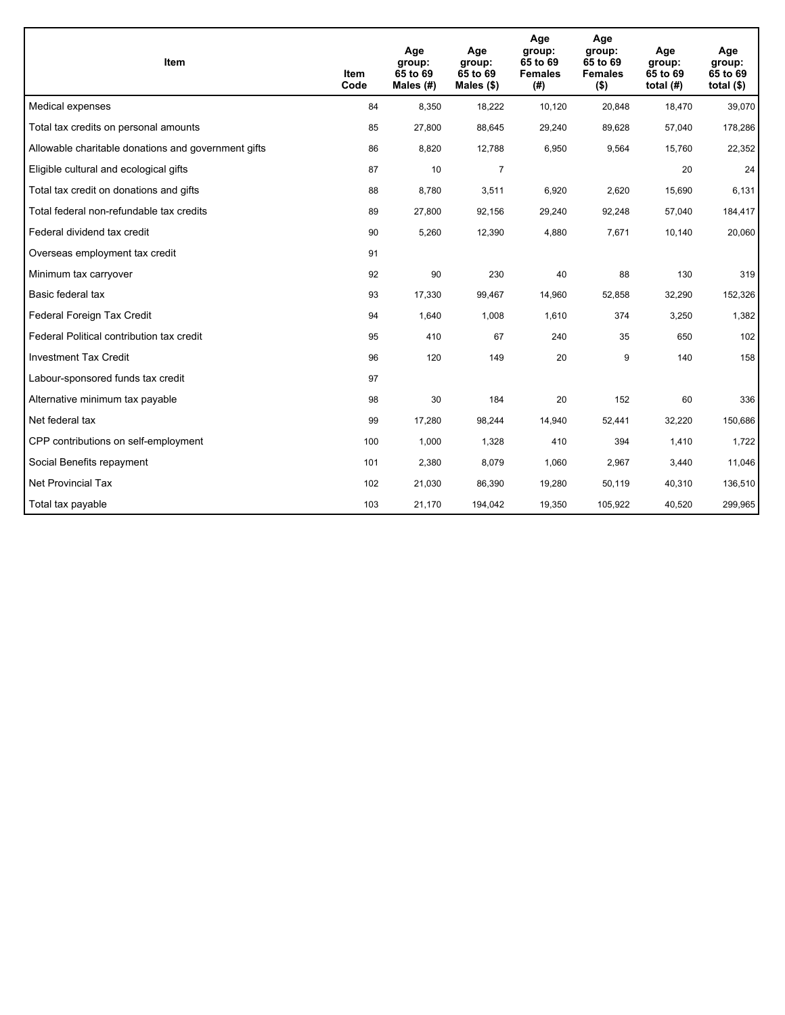| <b>Item</b>                                         | Item<br>Code | Age<br>group:<br>65 to 69<br>Males $(H)$ | Age<br>group:<br>65 to 69<br>Males $(\$)$ | Age<br>group:<br>65 to 69<br><b>Females</b><br>(#) | Age<br>group:<br>65 to 69<br><b>Females</b><br>$($ \$) | Age<br>group:<br>65 to 69<br>total $(H)$ | Age<br>group:<br>65 to 69<br>total $($)$ |
|-----------------------------------------------------|--------------|------------------------------------------|-------------------------------------------|----------------------------------------------------|--------------------------------------------------------|------------------------------------------|------------------------------------------|
| Medical expenses                                    | 84           | 8,350                                    | 18,222                                    | 10,120                                             | 20,848                                                 | 18,470                                   | 39,070                                   |
| Total tax credits on personal amounts               | 85           | 27,800                                   | 88,645                                    | 29,240                                             | 89,628                                                 | 57,040                                   | 178,286                                  |
| Allowable charitable donations and government gifts | 86           | 8,820                                    | 12,788                                    | 6,950                                              | 9,564                                                  | 15,760                                   | 22,352                                   |
| Eligible cultural and ecological gifts              | 87           | 10                                       | $\overline{7}$                            |                                                    |                                                        | 20                                       | 24                                       |
| Total tax credit on donations and gifts             | 88           | 8,780                                    | 3,511                                     | 6,920                                              | 2,620                                                  | 15,690                                   | 6,131                                    |
| Total federal non-refundable tax credits            | 89           | 27,800                                   | 92,156                                    | 29,240                                             | 92,248                                                 | 57,040                                   | 184,417                                  |
| Federal dividend tax credit                         | 90           | 5,260                                    | 12,390                                    | 4,880                                              | 7,671                                                  | 10,140                                   | 20,060                                   |
| Overseas employment tax credit                      | 91           |                                          |                                           |                                                    |                                                        |                                          |                                          |
| Minimum tax carryover                               | 92           | 90                                       | 230                                       | 40                                                 | 88                                                     | 130                                      | 319                                      |
| Basic federal tax                                   | 93           | 17,330                                   | 99,467                                    | 14,960                                             | 52,858                                                 | 32,290                                   | 152,326                                  |
| Federal Foreign Tax Credit                          | 94           | 1,640                                    | 1,008                                     | 1,610                                              | 374                                                    | 3,250                                    | 1,382                                    |
| Federal Political contribution tax credit           | 95           | 410                                      | 67                                        | 240                                                | 35                                                     | 650                                      | 102                                      |
| <b>Investment Tax Credit</b>                        | 96           | 120                                      | 149                                       | 20                                                 | 9                                                      | 140                                      | 158                                      |
| Labour-sponsored funds tax credit                   | 97           |                                          |                                           |                                                    |                                                        |                                          |                                          |
| Alternative minimum tax payable                     | 98           | 30                                       | 184                                       | 20                                                 | 152                                                    | 60                                       | 336                                      |
| Net federal tax                                     | 99           | 17,280                                   | 98,244                                    | 14,940                                             | 52,441                                                 | 32,220                                   | 150,686                                  |
| CPP contributions on self-employment                | 100          | 1,000                                    | 1,328                                     | 410                                                | 394                                                    | 1,410                                    | 1,722                                    |
| Social Benefits repayment                           | 101          | 2,380                                    | 8,079                                     | 1,060                                              | 2,967                                                  | 3,440                                    | 11,046                                   |
| Net Provincial Tax                                  | 102          | 21,030                                   | 86,390                                    | 19,280                                             | 50.119                                                 | 40,310                                   | 136,510                                  |
| Total tax payable                                   | 103          | 21,170                                   | 194,042                                   | 19,350                                             | 105,922                                                | 40,520                                   | 299,965                                  |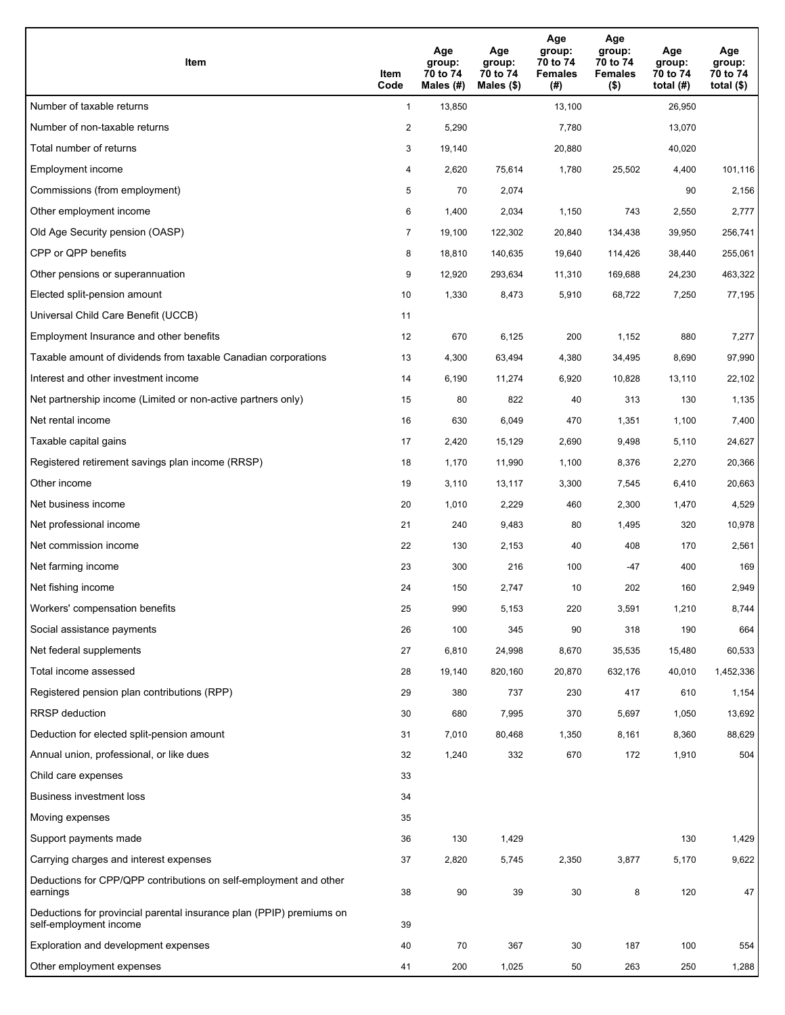| Item                                                                                           | Item<br>Code   | Age<br>group:<br>70 to 74<br>Males (#) | Age<br>group:<br>70 to 74<br>Males (\$) | Age<br>group:<br>70 to 74<br><b>Females</b><br>(# ) | Age<br>group:<br>70 to 74<br><b>Females</b><br>$($ \$) | Age<br>group:<br>70 to 74<br>total $(H)$ | Age<br>group:<br>70 to 74<br>total $($ |
|------------------------------------------------------------------------------------------------|----------------|----------------------------------------|-----------------------------------------|-----------------------------------------------------|--------------------------------------------------------|------------------------------------------|----------------------------------------|
| Number of taxable returns                                                                      | $\mathbf{1}$   | 13,850                                 |                                         | 13,100                                              |                                                        | 26,950                                   |                                        |
| Number of non-taxable returns                                                                  | $\overline{2}$ | 5,290                                  |                                         | 7,780                                               |                                                        | 13,070                                   |                                        |
| Total number of returns                                                                        | 3              | 19,140                                 |                                         | 20,880                                              |                                                        | 40,020                                   |                                        |
| Employment income                                                                              | 4              | 2,620                                  | 75,614                                  | 1,780                                               | 25,502                                                 | 4,400                                    | 101,116                                |
| Commissions (from employment)                                                                  | 5              | 70                                     | 2,074                                   |                                                     |                                                        | 90                                       | 2,156                                  |
| Other employment income                                                                        | 6              | 1,400                                  | 2,034                                   | 1,150                                               | 743                                                    | 2,550                                    | 2,777                                  |
| Old Age Security pension (OASP)                                                                | $\overline{7}$ | 19,100                                 | 122,302                                 | 20,840                                              | 134,438                                                | 39,950                                   | 256,741                                |
| CPP or QPP benefits                                                                            | 8              | 18,810                                 | 140,635                                 | 19,640                                              | 114,426                                                | 38,440                                   | 255,061                                |
| Other pensions or superannuation                                                               | 9              | 12,920                                 | 293,634                                 | 11,310                                              | 169,688                                                | 24,230                                   | 463,322                                |
| Elected split-pension amount                                                                   | 10             | 1,330                                  | 8,473                                   | 5,910                                               | 68,722                                                 | 7,250                                    | 77,195                                 |
| Universal Child Care Benefit (UCCB)                                                            | 11             |                                        |                                         |                                                     |                                                        |                                          |                                        |
| Employment Insurance and other benefits                                                        | 12             | 670                                    | 6,125                                   | 200                                                 | 1,152                                                  | 880                                      | 7,277                                  |
| Taxable amount of dividends from taxable Canadian corporations                                 | 13             | 4,300                                  | 63,494                                  | 4,380                                               | 34,495                                                 | 8,690                                    | 97,990                                 |
| Interest and other investment income                                                           | 14             | 6,190                                  | 11,274                                  | 6,920                                               | 10,828                                                 | 13,110                                   | 22,102                                 |
| Net partnership income (Limited or non-active partners only)                                   | 15             | 80                                     | 822                                     | 40                                                  | 313                                                    | 130                                      | 1,135                                  |
| Net rental income                                                                              | 16             | 630                                    | 6,049                                   | 470                                                 | 1,351                                                  | 1,100                                    | 7,400                                  |
| Taxable capital gains                                                                          | 17             | 2,420                                  | 15,129                                  | 2,690                                               | 9,498                                                  | 5,110                                    | 24,627                                 |
| Registered retirement savings plan income (RRSP)                                               | 18             | 1,170                                  | 11,990                                  | 1,100                                               | 8,376                                                  | 2,270                                    | 20,366                                 |
| Other income                                                                                   | 19             | 3,110                                  | 13,117                                  | 3,300                                               | 7,545                                                  | 6,410                                    | 20,663                                 |
| Net business income                                                                            | 20             | 1,010                                  | 2,229                                   | 460                                                 | 2,300                                                  | 1,470                                    | 4,529                                  |
| Net professional income                                                                        | 21             | 240                                    | 9,483                                   | 80                                                  | 1,495                                                  | 320                                      | 10,978                                 |
| Net commission income                                                                          | 22             | 130                                    | 2,153                                   | 40                                                  | 408                                                    | 170                                      | 2,561                                  |
| Net farming income                                                                             | 23             | 300                                    | 216                                     | 100                                                 | -47                                                    | 400                                      | 169                                    |
| Net fishing income                                                                             | 24             | 150                                    | 2,747                                   | 10                                                  | 202                                                    | 160                                      | 2,949                                  |
| Workers' compensation benefits                                                                 | 25             | 990                                    | 5,153                                   | 220                                                 | 3,591                                                  | 1,210                                    | 8,744                                  |
| Social assistance payments                                                                     | 26             | 100                                    | 345                                     | 90                                                  | 318                                                    | 190                                      | 664                                    |
| Net federal supplements                                                                        | 27             | 6,810                                  | 24,998                                  | 8,670                                               | 35,535                                                 | 15,480                                   | 60,533                                 |
| Total income assessed                                                                          | 28             | 19,140                                 | 820,160                                 | 20,870                                              | 632,176                                                | 40,010                                   | 1,452,336                              |
| Registered pension plan contributions (RPP)                                                    | 29             | 380                                    | 737                                     | 230                                                 | 417                                                    | 610                                      | 1,154                                  |
| <b>RRSP</b> deduction                                                                          | 30             | 680                                    | 7,995                                   | 370                                                 | 5,697                                                  | 1,050                                    | 13,692                                 |
| Deduction for elected split-pension amount                                                     | 31             | 7,010                                  | 80,468                                  | 1,350                                               | 8,161                                                  | 8,360                                    | 88,629                                 |
| Annual union, professional, or like dues                                                       | 32             | 1,240                                  | 332                                     | 670                                                 | 172                                                    | 1,910                                    | 504                                    |
| Child care expenses                                                                            | 33             |                                        |                                         |                                                     |                                                        |                                          |                                        |
| Business investment loss                                                                       | 34             |                                        |                                         |                                                     |                                                        |                                          |                                        |
| Moving expenses                                                                                | 35             |                                        |                                         |                                                     |                                                        |                                          |                                        |
| Support payments made                                                                          | 36             | 130                                    | 1,429                                   |                                                     |                                                        | 130                                      | 1,429                                  |
| Carrying charges and interest expenses                                                         | 37             | 2,820                                  | 5,745                                   | 2,350                                               | 3,877                                                  | 5,170                                    | 9,622                                  |
| Deductions for CPP/QPP contributions on self-employment and other<br>earnings                  | 38             | 90                                     | 39                                      | 30                                                  | 8                                                      | 120                                      | 47                                     |
| Deductions for provincial parental insurance plan (PPIP) premiums on<br>self-employment income | 39             |                                        |                                         |                                                     |                                                        |                                          |                                        |
| Exploration and development expenses                                                           | 40             | 70                                     | 367                                     | 30                                                  | 187                                                    | 100                                      | 554                                    |
| Other employment expenses                                                                      | 41             | 200                                    | 1,025                                   | 50                                                  | 263                                                    | 250                                      | 1,288                                  |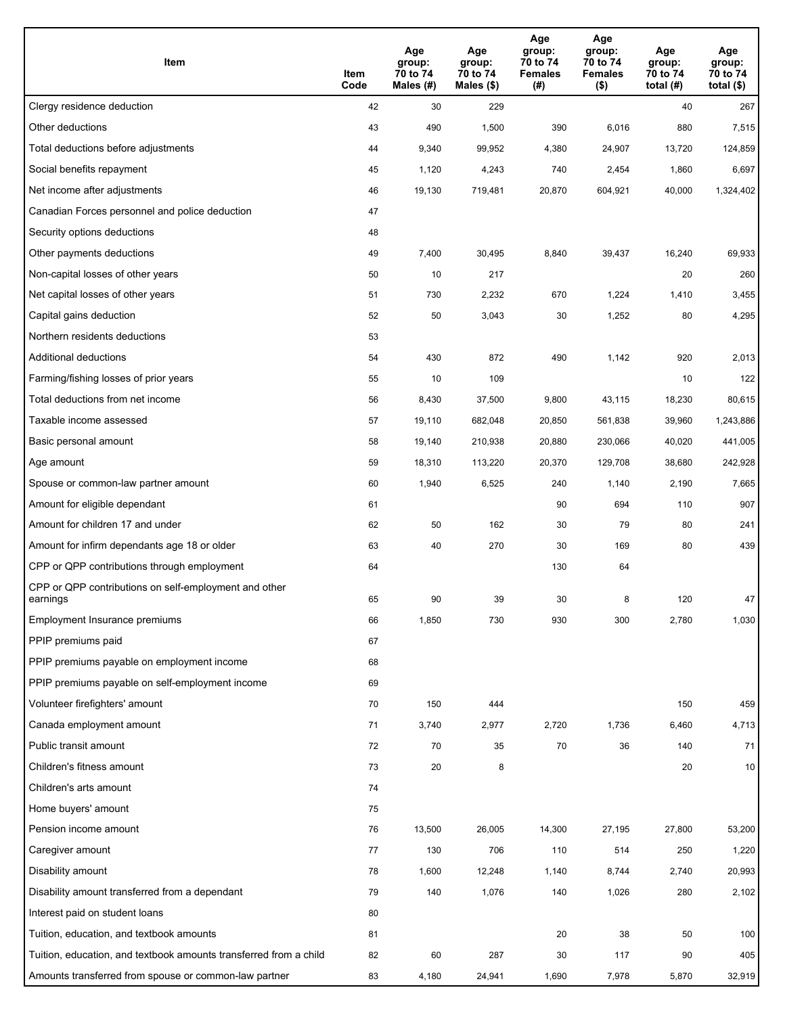| Item                                                              | Item<br>Code | Age<br>group:<br>70 to 74<br>Males (#) | Age<br>group:<br>70 to 74<br>Males (\$) | Age<br>group:<br>70 to 74<br><b>Females</b><br>(# ) | Age<br>group:<br>70 to 74<br>Females<br>$($ \$) | Age<br>group:<br>70 to 74<br>total $(H)$ | Age<br>group:<br>70 to 74<br>total $($)$ |
|-------------------------------------------------------------------|--------------|----------------------------------------|-----------------------------------------|-----------------------------------------------------|-------------------------------------------------|------------------------------------------|------------------------------------------|
| Clergy residence deduction                                        | 42           | 30                                     | 229                                     |                                                     |                                                 | 40                                       | 267                                      |
| Other deductions                                                  | 43           | 490                                    | 1,500                                   | 390                                                 | 6,016                                           | 880                                      | 7,515                                    |
| Total deductions before adjustments                               | 44           | 9,340                                  | 99,952                                  | 4,380                                               | 24,907                                          | 13,720                                   | 124,859                                  |
| Social benefits repayment                                         | 45           | 1,120                                  | 4,243                                   | 740                                                 | 2,454                                           | 1,860                                    | 6,697                                    |
| Net income after adjustments                                      | 46           | 19,130                                 | 719,481                                 | 20,870                                              | 604,921                                         | 40,000                                   | 1,324,402                                |
| Canadian Forces personnel and police deduction                    | 47           |                                        |                                         |                                                     |                                                 |                                          |                                          |
| Security options deductions                                       | 48           |                                        |                                         |                                                     |                                                 |                                          |                                          |
| Other payments deductions                                         | 49           | 7,400                                  | 30,495                                  | 8,840                                               | 39,437                                          | 16,240                                   | 69,933                                   |
| Non-capital losses of other years                                 | 50           | 10                                     | 217                                     |                                                     |                                                 | 20                                       | 260                                      |
| Net capital losses of other years                                 | 51           | 730                                    | 2,232                                   | 670                                                 | 1,224                                           | 1,410                                    | 3,455                                    |
| Capital gains deduction                                           | 52           | 50                                     | 3,043                                   | 30                                                  | 1,252                                           | 80                                       | 4,295                                    |
| Northern residents deductions                                     | 53           |                                        |                                         |                                                     |                                                 |                                          |                                          |
| Additional deductions                                             | 54           | 430                                    | 872                                     | 490                                                 | 1,142                                           | 920                                      | 2,013                                    |
| Farming/fishing losses of prior years                             | 55           | 10                                     | 109                                     |                                                     |                                                 | 10                                       | 122                                      |
| Total deductions from net income                                  | 56           | 8,430                                  | 37,500                                  | 9,800                                               | 43,115                                          | 18,230                                   | 80,615                                   |
| Taxable income assessed                                           | 57           | 19,110                                 | 682,048                                 | 20,850                                              | 561,838                                         | 39,960                                   | 1,243,886                                |
| Basic personal amount                                             | 58           | 19,140                                 | 210,938                                 | 20,880                                              | 230,066                                         | 40,020                                   | 441,005                                  |
| Age amount                                                        | 59           | 18,310                                 | 113,220                                 | 20,370                                              | 129,708                                         | 38,680                                   | 242,928                                  |
| Spouse or common-law partner amount                               | 60           | 1,940                                  | 6,525                                   | 240                                                 | 1,140                                           | 2,190                                    | 7,665                                    |
| Amount for eligible dependant                                     | 61           |                                        |                                         | 90                                                  | 694                                             | 110                                      | 907                                      |
| Amount for children 17 and under                                  | 62           | 50                                     | 162                                     | 30                                                  | 79                                              | 80                                       | 241                                      |
| Amount for infirm dependants age 18 or older                      | 63           | 40                                     | 270                                     | 30                                                  | 169                                             | 80                                       | 439                                      |
| CPP or QPP contributions through employment                       | 64           |                                        |                                         | 130                                                 | 64                                              |                                          |                                          |
| CPP or QPP contributions on self-employment and other<br>earnings | 65           | 90                                     | 39                                      | 30                                                  | 8                                               | 120                                      | 47                                       |
| Employment Insurance premiums                                     | 66           | 1,850                                  | 730                                     | 930                                                 | 300                                             | 2,780                                    | 1,030                                    |
| PPIP premiums paid                                                | 67           |                                        |                                         |                                                     |                                                 |                                          |                                          |
| PPIP premiums payable on employment income                        | 68           |                                        |                                         |                                                     |                                                 |                                          |                                          |
| PPIP premiums payable on self-employment income                   | 69           |                                        |                                         |                                                     |                                                 |                                          |                                          |
| Volunteer firefighters' amount                                    | 70           | 150                                    | 444                                     |                                                     |                                                 | 150                                      | 459                                      |
| Canada employment amount                                          | 71           | 3,740                                  | 2,977                                   | 2,720                                               | 1,736                                           | 6,460                                    | 4,713                                    |
| Public transit amount                                             | 72           | 70                                     | 35                                      | 70                                                  | 36                                              | 140                                      | 71                                       |
| Children's fitness amount                                         | 73           | 20                                     | 8                                       |                                                     |                                                 | 20                                       | 10                                       |
| Children's arts amount                                            | 74           |                                        |                                         |                                                     |                                                 |                                          |                                          |
| Home buyers' amount                                               | 75           |                                        |                                         |                                                     |                                                 |                                          |                                          |
| Pension income amount                                             | 76           | 13,500                                 | 26,005                                  | 14,300                                              | 27,195                                          | 27,800                                   | 53,200                                   |
| Caregiver amount                                                  | 77           | 130                                    | 706                                     | 110                                                 | 514                                             | 250                                      | 1,220                                    |
| Disability amount                                                 | 78           | 1,600                                  | 12,248                                  | 1,140                                               | 8,744                                           | 2,740                                    | 20,993                                   |
| Disability amount transferred from a dependant                    | 79           | 140                                    | 1,076                                   | 140                                                 | 1,026                                           | 280                                      | 2,102                                    |
| Interest paid on student loans                                    | 80           |                                        |                                         |                                                     |                                                 |                                          |                                          |
| Tuition, education, and textbook amounts                          | 81           |                                        |                                         | 20                                                  | 38                                              | 50                                       | 100                                      |
| Tuition, education, and textbook amounts transferred from a child | 82           | 60                                     | 287                                     | 30                                                  | 117                                             | 90                                       | 405                                      |
| Amounts transferred from spouse or common-law partner             | 83           | 4,180                                  | 24,941                                  | 1,690                                               | 7,978                                           | 5,870                                    | 32,919                                   |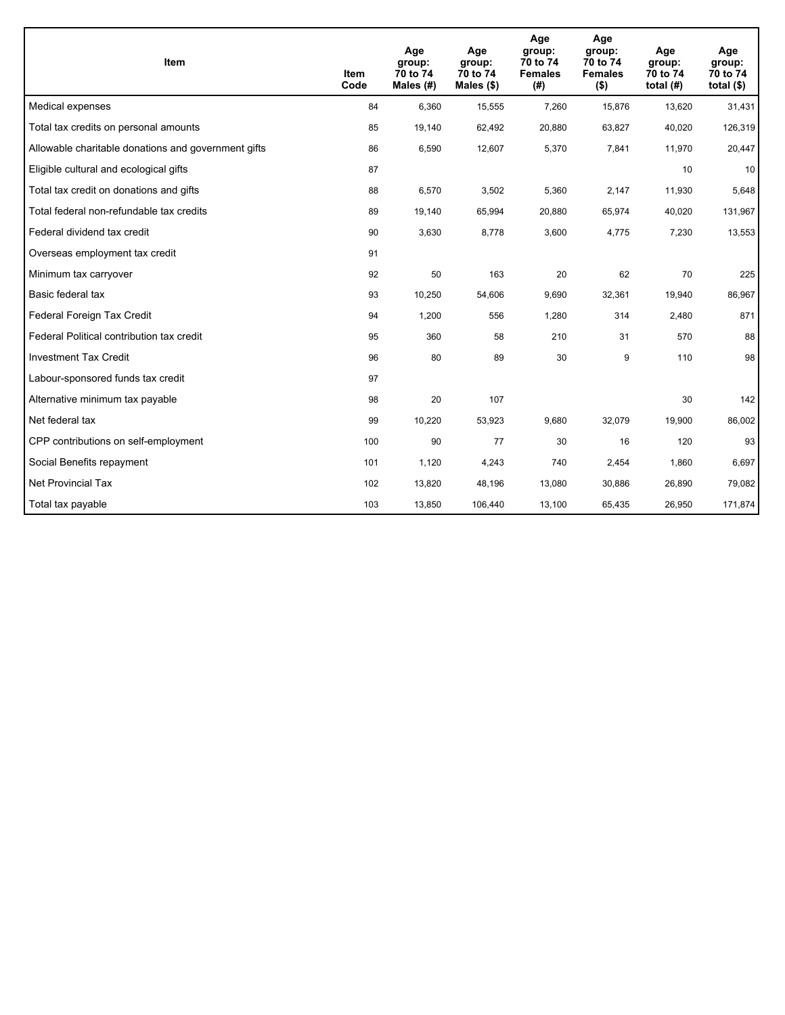| <b>Item</b>                                         | Item<br>Code | Age<br>group:<br>70 to 74<br>Males (#) | Age<br>group:<br>70 to 74<br>Males $(\$)$ | Age<br>group:<br>70 to 74<br><b>Females</b><br>(#) | Age<br>group:<br>70 to 74<br><b>Females</b><br>$($ \$) | Age<br>group:<br>70 to 74<br>total $(H)$ | Age<br>group:<br>70 to 74<br>total $($)$ |
|-----------------------------------------------------|--------------|----------------------------------------|-------------------------------------------|----------------------------------------------------|--------------------------------------------------------|------------------------------------------|------------------------------------------|
| Medical expenses                                    | 84           | 6,360                                  | 15,555                                    | 7,260                                              | 15,876                                                 | 13,620                                   | 31,431                                   |
| Total tax credits on personal amounts               | 85           | 19,140                                 | 62,492                                    | 20,880                                             | 63,827                                                 | 40,020                                   | 126,319                                  |
| Allowable charitable donations and government gifts | 86           | 6,590                                  | 12,607                                    | 5,370                                              | 7,841                                                  | 11,970                                   | 20,447                                   |
| Eligible cultural and ecological gifts              | 87           |                                        |                                           |                                                    |                                                        | 10                                       | 10                                       |
| Total tax credit on donations and gifts             | 88           | 6,570                                  | 3,502                                     | 5,360                                              | 2,147                                                  | 11,930                                   | 5,648                                    |
| Total federal non-refundable tax credits            | 89           | 19,140                                 | 65,994                                    | 20,880                                             | 65,974                                                 | 40,020                                   | 131,967                                  |
| Federal dividend tax credit                         | 90           | 3,630                                  | 8,778                                     | 3,600                                              | 4,775                                                  | 7,230                                    | 13,553                                   |
| Overseas employment tax credit                      | 91           |                                        |                                           |                                                    |                                                        |                                          |                                          |
| Minimum tax carryover                               | 92           | 50                                     | 163                                       | 20                                                 | 62                                                     | 70                                       | 225                                      |
| Basic federal tax                                   | 93           | 10,250                                 | 54,606                                    | 9,690                                              | 32,361                                                 | 19,940                                   | 86,967                                   |
| Federal Foreign Tax Credit                          | 94           | 1,200                                  | 556                                       | 1,280                                              | 314                                                    | 2,480                                    | 871                                      |
| Federal Political contribution tax credit           | 95           | 360                                    | 58                                        | 210                                                | 31                                                     | 570                                      | 88                                       |
| <b>Investment Tax Credit</b>                        | 96           | 80                                     | 89                                        | 30                                                 | 9                                                      | 110                                      | 98                                       |
| Labour-sponsored funds tax credit                   | 97           |                                        |                                           |                                                    |                                                        |                                          |                                          |
| Alternative minimum tax payable                     | 98           | 20                                     | 107                                       |                                                    |                                                        | 30                                       | 142                                      |
| Net federal tax                                     | 99           | 10,220                                 | 53,923                                    | 9,680                                              | 32,079                                                 | 19,900                                   | 86,002                                   |
| CPP contributions on self-employment                | 100          | 90                                     | 77                                        | 30                                                 | 16                                                     | 120                                      | 93                                       |
| Social Benefits repayment                           | 101          | 1,120                                  | 4,243                                     | 740                                                | 2,454                                                  | 1,860                                    | 6,697                                    |
| Net Provincial Tax                                  | 102          | 13,820                                 | 48,196                                    | 13,080                                             | 30,886                                                 | 26,890                                   | 79,082                                   |
| Total tax payable                                   | 103          | 13,850                                 | 106,440                                   | 13,100                                             | 65,435                                                 | 26,950                                   | 171,874                                  |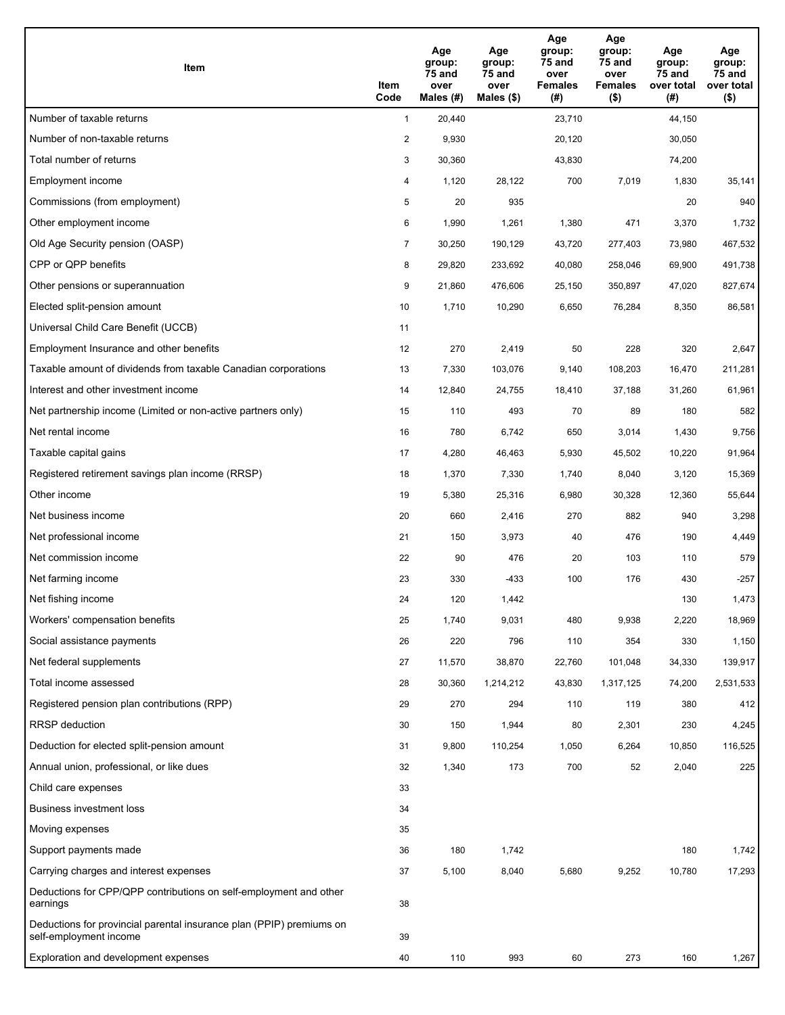| Item                                                                                           | Item<br>Code   | Age<br>group:<br>75 and<br>over<br>Males $(H)$ | Age<br>group:<br>75 and<br>over<br>Males $(\$)$ | Age<br>group:<br><b>75 and</b><br>over<br><b>Females</b><br>(#) | Age<br>group:<br>75 and<br>over<br><b>Females</b><br>$($ \$) | Age<br>group:<br>75 and<br>over total<br>(#) | Age<br>group:<br>75 and<br>over total<br>$($ \$) |
|------------------------------------------------------------------------------------------------|----------------|------------------------------------------------|-------------------------------------------------|-----------------------------------------------------------------|--------------------------------------------------------------|----------------------------------------------|--------------------------------------------------|
| Number of taxable returns                                                                      | $\mathbf{1}$   | 20,440                                         |                                                 | 23,710                                                          |                                                              | 44,150                                       |                                                  |
| Number of non-taxable returns                                                                  | $\overline{2}$ | 9,930                                          |                                                 | 20,120                                                          |                                                              | 30,050                                       |                                                  |
| Total number of returns                                                                        | 3              | 30,360                                         |                                                 | 43,830                                                          |                                                              | 74,200                                       |                                                  |
| Employment income                                                                              | 4              | 1,120                                          | 28,122                                          | 700                                                             | 7,019                                                        | 1,830                                        | 35,141                                           |
| Commissions (from employment)                                                                  | 5              | 20                                             | 935                                             |                                                                 |                                                              | 20                                           | 940                                              |
| Other employment income                                                                        | 6              | 1,990                                          | 1,261                                           | 1,380                                                           | 471                                                          | 3,370                                        | 1,732                                            |
| Old Age Security pension (OASP)                                                                | $\overline{7}$ | 30,250                                         | 190,129                                         | 43,720                                                          | 277,403                                                      | 73,980                                       | 467,532                                          |
| CPP or QPP benefits                                                                            | 8              | 29,820                                         | 233,692                                         | 40,080                                                          | 258,046                                                      | 69,900                                       | 491,738                                          |
| Other pensions or superannuation                                                               | 9              | 21,860                                         | 476,606                                         | 25,150                                                          | 350,897                                                      | 47,020                                       | 827,674                                          |
| Elected split-pension amount                                                                   | 10             | 1,710                                          | 10,290                                          | 6,650                                                           | 76,284                                                       | 8,350                                        | 86,581                                           |
| Universal Child Care Benefit (UCCB)                                                            | 11             |                                                |                                                 |                                                                 |                                                              |                                              |                                                  |
| Employment Insurance and other benefits                                                        | 12             | 270                                            | 2,419                                           | 50                                                              | 228                                                          | 320                                          | 2,647                                            |
| Taxable amount of dividends from taxable Canadian corporations                                 | 13             | 7,330                                          | 103,076                                         | 9,140                                                           | 108,203                                                      | 16,470                                       | 211,281                                          |
| Interest and other investment income                                                           | 14             | 12,840                                         | 24,755                                          | 18,410                                                          | 37,188                                                       | 31,260                                       | 61,961                                           |
| Net partnership income (Limited or non-active partners only)                                   | 15             | 110                                            | 493                                             | 70                                                              | 89                                                           | 180                                          | 582                                              |
| Net rental income                                                                              | 16             | 780                                            | 6,742                                           | 650                                                             | 3,014                                                        | 1,430                                        | 9,756                                            |
| Taxable capital gains                                                                          | 17             | 4,280                                          | 46,463                                          | 5,930                                                           | 45,502                                                       | 10,220                                       | 91,964                                           |
| Registered retirement savings plan income (RRSP)                                               | 18             | 1,370                                          | 7,330                                           | 1,740                                                           | 8,040                                                        | 3,120                                        | 15,369                                           |
| Other income                                                                                   | 19             | 5,380                                          | 25,316                                          | 6,980                                                           | 30,328                                                       | 12,360                                       | 55,644                                           |
| Net business income                                                                            | 20             | 660                                            | 2,416                                           | 270                                                             | 882                                                          | 940                                          | 3,298                                            |
| Net professional income                                                                        | 21             | 150                                            | 3,973                                           | 40                                                              | 476                                                          | 190                                          | 4,449                                            |
| Net commission income                                                                          | 22             | 90                                             | 476                                             | 20                                                              | 103                                                          | 110                                          | 579                                              |
| Net farming income                                                                             | 23             | 330                                            | -433                                            | 100                                                             | 176                                                          | 430                                          | $-257$                                           |
| Net fishing income                                                                             | 24             | 120                                            | 1,442                                           |                                                                 |                                                              | 130                                          | 1,473                                            |
| Workers' compensation benefits                                                                 | 25             | 1,740                                          | 9,031                                           | 480                                                             | 9,938                                                        | 2,220                                        | 18,969                                           |
| Social assistance payments                                                                     | 26             | 220                                            | 796                                             | 110                                                             | 354                                                          | 330                                          | 1,150                                            |
| Net federal supplements                                                                        | 27             | 11,570                                         | 38,870                                          | 22,760                                                          | 101,048                                                      | 34,330                                       | 139,917                                          |
| Total income assessed                                                                          | 28             | 30,360                                         | 1,214,212                                       | 43,830                                                          | 1,317,125                                                    | 74,200                                       | 2,531,533                                        |
| Registered pension plan contributions (RPP)                                                    | 29             | 270                                            | 294                                             | 110                                                             | 119                                                          | 380                                          | 412                                              |
| <b>RRSP</b> deduction                                                                          | 30             | 150                                            | 1,944                                           | 80                                                              | 2,301                                                        | 230                                          | 4,245                                            |
| Deduction for elected split-pension amount                                                     | 31             | 9,800                                          | 110,254                                         | 1,050                                                           | 6,264                                                        | 10,850                                       | 116,525                                          |
| Annual union, professional, or like dues                                                       | 32             | 1,340                                          | 173                                             | 700                                                             | 52                                                           | 2,040                                        | 225                                              |
| Child care expenses                                                                            | 33             |                                                |                                                 |                                                                 |                                                              |                                              |                                                  |
| <b>Business investment loss</b>                                                                | 34             |                                                |                                                 |                                                                 |                                                              |                                              |                                                  |
| Moving expenses                                                                                | 35             |                                                |                                                 |                                                                 |                                                              |                                              |                                                  |
| Support payments made                                                                          | 36             | 180                                            | 1,742                                           |                                                                 |                                                              | 180                                          | 1,742                                            |
| Carrying charges and interest expenses                                                         | 37             | 5,100                                          | 8,040                                           | 5,680                                                           | 9,252                                                        | 10,780                                       | 17,293                                           |
| Deductions for CPP/QPP contributions on self-employment and other<br>earnings                  | 38             |                                                |                                                 |                                                                 |                                                              |                                              |                                                  |
| Deductions for provincial parental insurance plan (PPIP) premiums on<br>self-employment income | 39             |                                                |                                                 |                                                                 |                                                              |                                              |                                                  |
| Exploration and development expenses                                                           | 40             | 110                                            | 993                                             | 60                                                              | 273                                                          | 160                                          | 1,267                                            |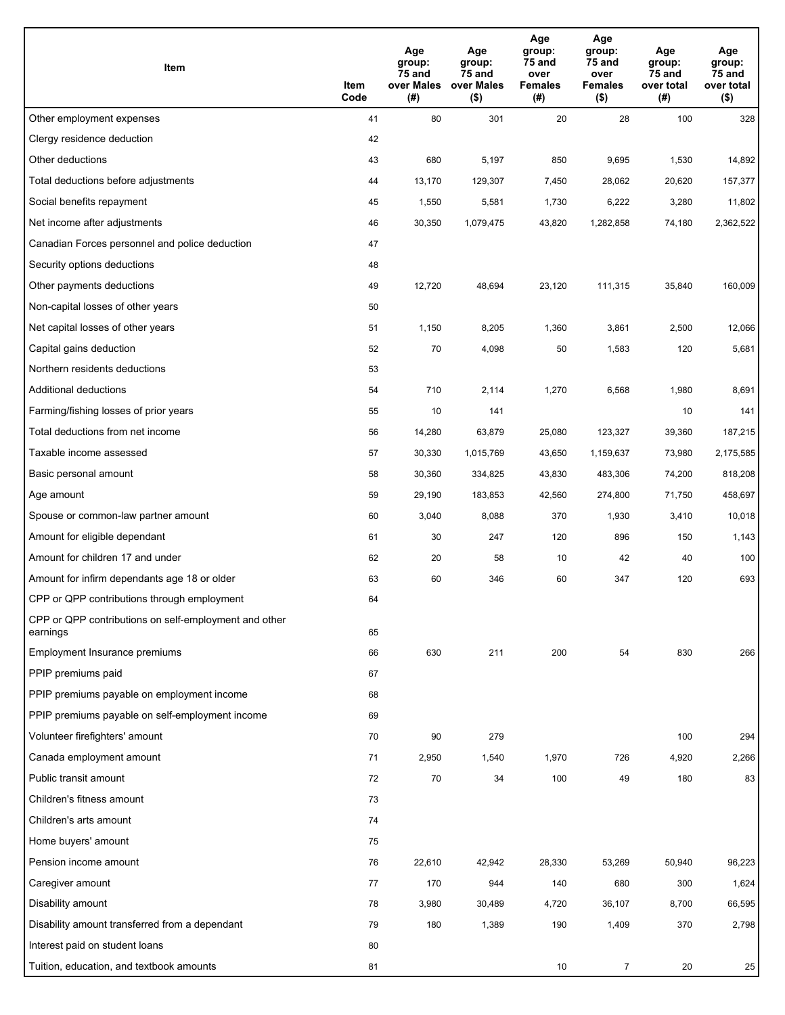| Item                                                              | Item<br>Code | Age<br>group:<br>75 and<br>over Males<br>(#) | Age<br>group:<br>75 and<br>over Males<br>$($ \$) | Age<br>group:<br>75 and<br>over<br><b>Females</b><br>(#) | Age<br>group:<br>75 and<br>over<br><b>Females</b><br>$($ \$) | Age<br>group:<br>75 and<br>over total<br>(#) | Age<br>group:<br>75 and<br>over total<br>$($ \$) |
|-------------------------------------------------------------------|--------------|----------------------------------------------|--------------------------------------------------|----------------------------------------------------------|--------------------------------------------------------------|----------------------------------------------|--------------------------------------------------|
| Other employment expenses                                         | 41           | 80                                           | 301                                              | 20                                                       | 28                                                           | 100                                          | 328                                              |
| Clergy residence deduction                                        | 42           |                                              |                                                  |                                                          |                                                              |                                              |                                                  |
| Other deductions                                                  | 43           | 680                                          | 5,197                                            | 850                                                      | 9,695                                                        | 1,530                                        | 14,892                                           |
| Total deductions before adjustments                               | 44           | 13,170                                       | 129,307                                          | 7,450                                                    | 28,062                                                       | 20,620                                       | 157,377                                          |
| Social benefits repayment                                         | 45           | 1,550                                        | 5,581                                            | 1,730                                                    | 6,222                                                        | 3,280                                        | 11,802                                           |
| Net income after adjustments                                      | 46           | 30,350                                       | 1,079,475                                        | 43,820                                                   | 1,282,858                                                    | 74,180                                       | 2,362,522                                        |
| Canadian Forces personnel and police deduction                    | 47           |                                              |                                                  |                                                          |                                                              |                                              |                                                  |
| Security options deductions                                       | 48           |                                              |                                                  |                                                          |                                                              |                                              |                                                  |
| Other payments deductions                                         | 49           | 12,720                                       | 48,694                                           | 23,120                                                   | 111,315                                                      | 35,840                                       | 160,009                                          |
| Non-capital losses of other years                                 | 50           |                                              |                                                  |                                                          |                                                              |                                              |                                                  |
| Net capital losses of other years                                 | 51           | 1,150                                        | 8,205                                            | 1,360                                                    | 3,861                                                        | 2,500                                        | 12,066                                           |
| Capital gains deduction                                           | 52           | 70                                           | 4,098                                            | 50                                                       | 1,583                                                        | 120                                          | 5,681                                            |
| Northern residents deductions                                     | 53           |                                              |                                                  |                                                          |                                                              |                                              |                                                  |
| Additional deductions                                             | 54           | 710                                          | 2,114                                            | 1,270                                                    | 6,568                                                        | 1,980                                        | 8,691                                            |
| Farming/fishing losses of prior years                             | 55           | 10                                           | 141                                              |                                                          |                                                              | 10                                           | 141                                              |
| Total deductions from net income                                  | 56           | 14,280                                       | 63,879                                           | 25,080                                                   | 123,327                                                      | 39,360                                       | 187,215                                          |
| Taxable income assessed                                           | 57           | 30,330                                       | 1,015,769                                        | 43,650                                                   | 1,159,637                                                    | 73,980                                       | 2,175,585                                        |
| Basic personal amount                                             | 58           | 30,360                                       | 334,825                                          | 43,830                                                   | 483,306                                                      | 74,200                                       | 818,208                                          |
| Age amount                                                        | 59           | 29,190                                       | 183,853                                          | 42,560                                                   | 274,800                                                      | 71,750                                       | 458,697                                          |
| Spouse or common-law partner amount                               | 60           | 3,040                                        | 8,088                                            | 370                                                      | 1,930                                                        | 3,410                                        | 10,018                                           |
| Amount for eligible dependant                                     | 61           | 30                                           | 247                                              | 120                                                      | 896                                                          | 150                                          | 1,143                                            |
| Amount for children 17 and under                                  | 62           | 20                                           | 58                                               | 10                                                       | 42                                                           | 40                                           | 100                                              |
| Amount for infirm dependants age 18 or older                      | 63           | 60                                           | 346                                              | 60                                                       | 347                                                          | 120                                          | 693                                              |
| CPP or QPP contributions through employment                       | 64           |                                              |                                                  |                                                          |                                                              |                                              |                                                  |
| CPP or QPP contributions on self-employment and other<br>earnings | 65           |                                              |                                                  |                                                          |                                                              |                                              |                                                  |
| Employment Insurance premiums                                     | 66           | 630                                          | 211                                              | 200                                                      | 54                                                           | 830                                          | 266                                              |
| PPIP premiums paid                                                | 67           |                                              |                                                  |                                                          |                                                              |                                              |                                                  |
| PPIP premiums payable on employment income                        | 68           |                                              |                                                  |                                                          |                                                              |                                              |                                                  |
| PPIP premiums payable on self-employment income                   | 69           |                                              |                                                  |                                                          |                                                              |                                              |                                                  |
| Volunteer firefighters' amount                                    | 70           | 90                                           | 279                                              |                                                          |                                                              | 100                                          | 294                                              |
| Canada employment amount                                          | 71           | 2,950                                        | 1,540                                            | 1,970                                                    | 726                                                          | 4,920                                        | 2,266                                            |
| Public transit amount                                             | 72           | 70                                           | 34                                               | 100                                                      | 49                                                           | 180                                          | 83                                               |
| Children's fitness amount                                         | 73           |                                              |                                                  |                                                          |                                                              |                                              |                                                  |
| Children's arts amount                                            | 74           |                                              |                                                  |                                                          |                                                              |                                              |                                                  |
| Home buyers' amount                                               | 75           |                                              |                                                  |                                                          |                                                              |                                              |                                                  |
| Pension income amount                                             | 76           | 22,610                                       | 42,942                                           | 28,330                                                   | 53,269                                                       | 50,940                                       | 96,223                                           |
| Caregiver amount                                                  | 77           | 170                                          | 944                                              | 140                                                      | 680                                                          | 300                                          | 1,624                                            |
| Disability amount                                                 | 78           | 3,980                                        | 30,489                                           | 4,720                                                    | 36,107                                                       | 8,700                                        | 66,595                                           |
| Disability amount transferred from a dependant                    | 79           | 180                                          | 1,389                                            | 190                                                      | 1,409                                                        | 370                                          | 2,798                                            |
| Interest paid on student loans                                    | 80           |                                              |                                                  |                                                          |                                                              |                                              |                                                  |
| Tuition, education, and textbook amounts                          | 81           |                                              |                                                  | 10                                                       | $\overline{7}$                                               | 20                                           | 25                                               |